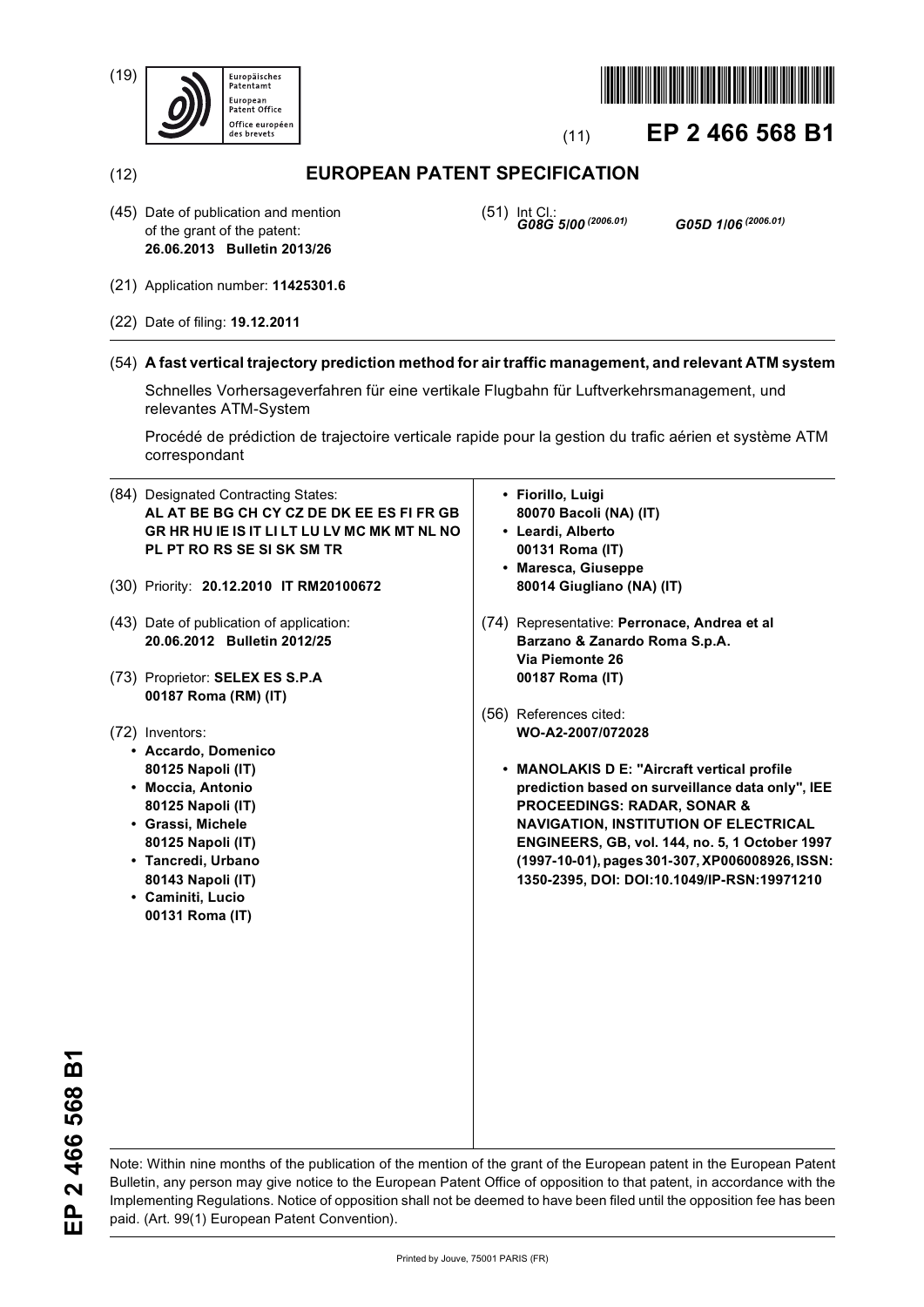(19)





# (11) **EP 2 466 568 B1**

# (12) **EUROPEAN PATENT SPECIFICATION**

(45) Date of publication and mention of the grant of the patent: **26.06.2013 Bulletin 2013/26**

(51) Int Cl.: *G08G 5/00 (2006.01) G05D 1/06 (2006.01)*

- (21) Application number: **11425301.6**
- (22) Date of filing: **19.12.2011**

# (54) **A fast vertical trajectory prediction method for air traffic management, and relevant ATM system**

Schnelles Vorhersageverfahren für eine vertikale Flugbahn für Luftverkehrsmanagement, und relevantes ATM-System

Procédé de prédiction de trajectoire verticale rapide pour la gestion du trafic aérien et système ATM correspondant

- (84) Designated Contracting States: **AL AT BE BG CH CY CZ DE DK EE ES FI FR GB GR HR HU IE IS IT LI LT LU LV MC MK MT NL NO PL PT RO RS SE SI SK SM TR**
- (30) Priority: **20.12.2010 IT RM20100672**
- (43) Date of publication of application: **20.06.2012 Bulletin 2012/25**
- (73) Proprietor: **SELEX ES S.P.A 00187 Roma (RM) (IT)**
- (72) Inventors:
	- **Accardo, Domenico 80125 Napoli (IT)**
	- **Moccia, Antonio 80125 Napoli (IT)**
	- **Grassi, Michele 80125 Napoli (IT)**
	- **Tancredi, Urbano 80143 Napoli (IT)**
	- **Caminiti, Lucio 00131 Roma (IT)**
- **Fiorillo, Luigi 80070 Bacoli (NA) (IT)**
- **Leardi, Alberto 00131 Roma (IT)**
- **Maresca, Giuseppe 80014 Giugliano (NA) (IT)**
- (74) Representative: **Perronace, Andrea et al Barzano & Zanardo Roma S.p.A. Via Piemonte 26 00187 Roma (IT)**
- (56) References cited: **WO-A2-2007/072028** 
	- **MANOLAKIS D E: "Aircraft vertical profile prediction based on surveillance data only", IEE PROCEEDINGS: RADAR, SONAR & NAVIGATION, INSTITUTION OF ELECTRICAL ENGINEERS, GB, vol. 144, no. 5, 1 October 1997 (1997-10-01), pages 301-307, XP006008926, ISSN: 1350-2395, DOI: DOI:10.1049/IP-RSN:19971210**

EP 2 466 568 B1 **EP 2 466 568 B1**

Note: Within nine months of the publication of the mention of the grant of the European patent in the European Patent Bulletin, any person may give notice to the European Patent Office of opposition to that patent, in accordance with the Implementing Regulations. Notice of opposition shall not be deemed to have been filed until the opposition fee has been paid. (Art. 99(1) European Patent Convention).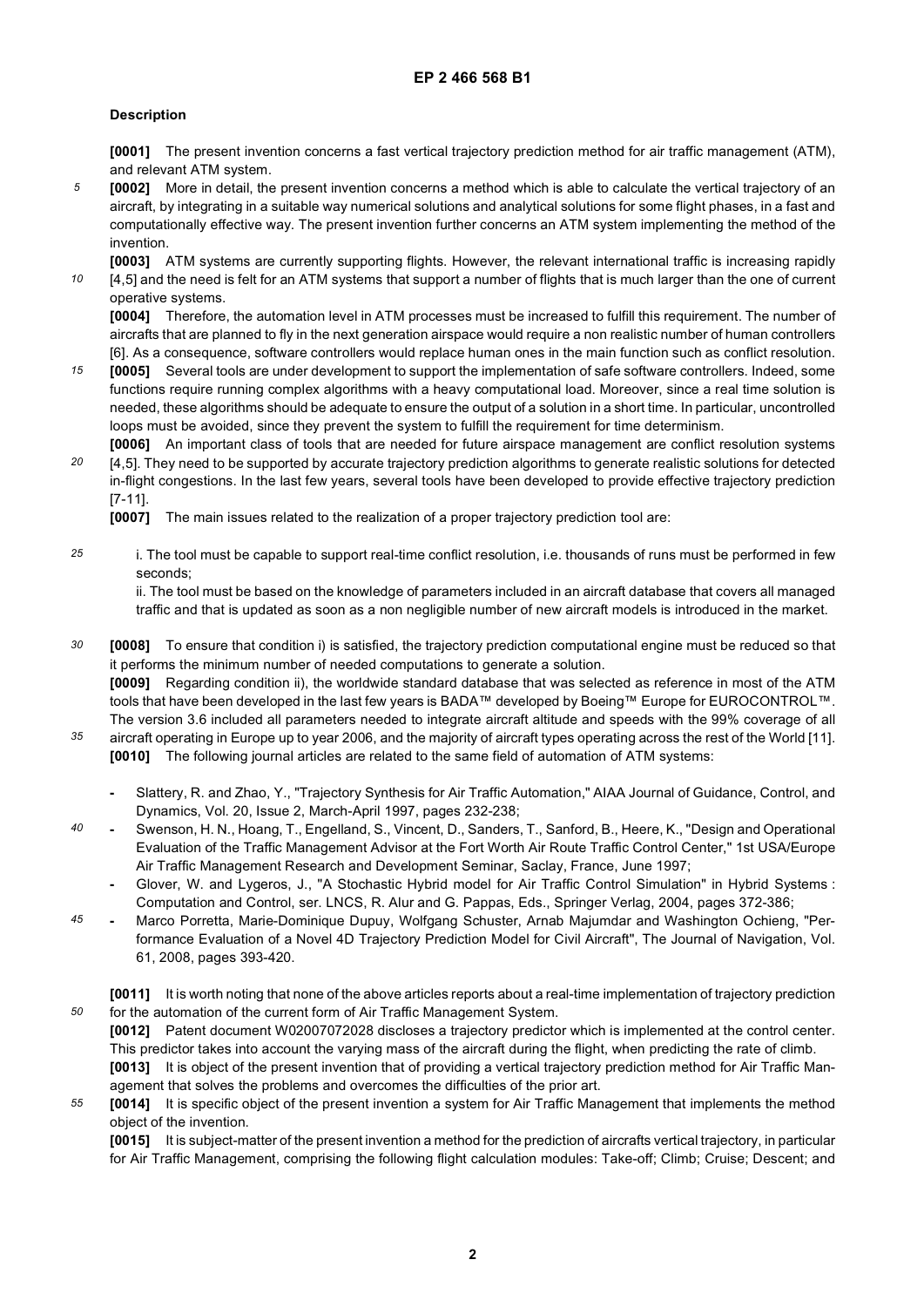# **Description**

*50*

**[0001]** The present invention concerns a fast vertical trajectory prediction method for air traffic management (ATM), and relevant ATM system.

*5* **[0002]** More in detail, the present invention concerns a method which is able to calculate the vertical trajectory of an aircraft, by integrating in a suitable way numerical solutions and analytical solutions for some flight phases, in a fast and computationally effective way. The present invention further concerns an ATM system implementing the method of the invention.

*10* **[0003]** ATM systems are currently supporting flights. However, the relevant international traffic is increasing rapidly [4,5] and the need is felt for an ATM systems that support a number of flights that is much larger than the one of current operative systems.

**[0004]** Therefore, the automation level in ATM processes must be increased to fulfill this requirement. The number of aircrafts that are planned to fly in the next generation airspace would require a non realistic number of human controllers [6]. As a consequence, software controllers would replace human ones in the main function such as conflict resolution.

- *15* **[0005]** Several tools are under development to support the implementation of safe software controllers. Indeed, some functions require running complex algorithms with a heavy computational load. Moreover, since a real time solution is needed, these algorithms should be adequate to ensure the output of a solution in a short time. In particular, uncontrolled loops must be avoided, since they prevent the system to fulfill the requirement for time determinism.
- *20* **[0006]** An important class of tools that are needed for future airspace management are conflict resolution systems [4,5]. They need to be supported by accurate trajectory prediction algorithms to generate realistic solutions for detected in-flight congestions. In the last few years, several tools have been developed to provide effective trajectory prediction [7-11].

**[0007]** The main issues related to the realization of a proper trajectory prediction tool are:

*25* i. The tool must be capable to support real-time conflict resolution, i.e. thousands of runs must be performed in few seconds;

ii. The tool must be based on the knowledge of parameters included in an aircraft database that covers all managed traffic and that is updated as soon as a non negligible number of new aircraft models is introduced in the market.

- *30* **[0008]** To ensure that condition i) is satisfied, the trajectory prediction computational engine must be reduced so that it performs the minimum number of needed computations to generate a solution. **[0009]** Regarding condition ii), the worldwide standard database that was selected as reference in most of the ATM tools that have been developed in the last few years is BADA™ developed by Boeing™ Europe for EUROCONTROL™. The version 3.6 included all parameters needed to integrate aircraft altitude and speeds with the 99% coverage of all
- *35* aircraft operating in Europe up to year 2006, and the majority of aircraft types operating across the rest of the World [11]. **[0010]** The following journal articles are related to the same field of automation of ATM systems:
	- **-** Slattery, R. and Zhao, Y., "Trajectory Synthesis for Air Traffic Automation," AIAA Journal of Guidance, Control, and Dynamics, Vol. 20, Issue 2, March-April 1997, pages 232-238;
- *40* **-** Swenson, H. N., Hoang, T., Engelland, S., Vincent, D., Sanders, T., Sanford, B., Heere, K., "Design and Operational Evaluation of the Traffic Management Advisor at the Fort Worth Air Route Traffic Control Center," 1st USA/Europe Air Traffic Management Research and Development Seminar, Saclay, France, June 1997;
	- **-** Glover, W. and Lygeros, J., "A Stochastic Hybrid model for Air Traffic Control Simulation" in Hybrid Systems : Computation and Control, ser. LNCS, R. Alur and G. Pappas, Eds., Springer Verlag, 2004, pages 372-386;
- *45* **-** Marco Porretta, Marie-Dominique Dupuy, Wolfgang Schuster, Arnab Majumdar and Washington Ochieng, "Performance Evaluation of a Novel 4D Trajectory Prediction Model for Civil Aircraft", The Journal of Navigation, Vol. 61, 2008, pages 393-420.
	- **[0011]** It is worth noting that none of the above articles reports about a real-time implementation of trajectory prediction for the automation of the current form of Air Traffic Management System.

**[0012]** Patent document W02007072028 discloses a trajectory predictor which is implemented at the control center. This predictor takes into account the varying mass of the aircraft during the flight, when predicting the rate of climb. **[0013]** It is object of the present invention that of providing a vertical trajectory prediction method for Air Traffic Man-

- agement that solves the problems and overcomes the difficulties of the prior art.
- *55* **[0014]** It is specific object of the present invention a system for Air Traffic Management that implements the method object of the invention.

**[0015]** It is subject-matter of the present invention a method for the prediction of aircrafts vertical trajectory, in particular for Air Traffic Management, comprising the following flight calculation modules: Take-off; Climb; Cruise; Descent; and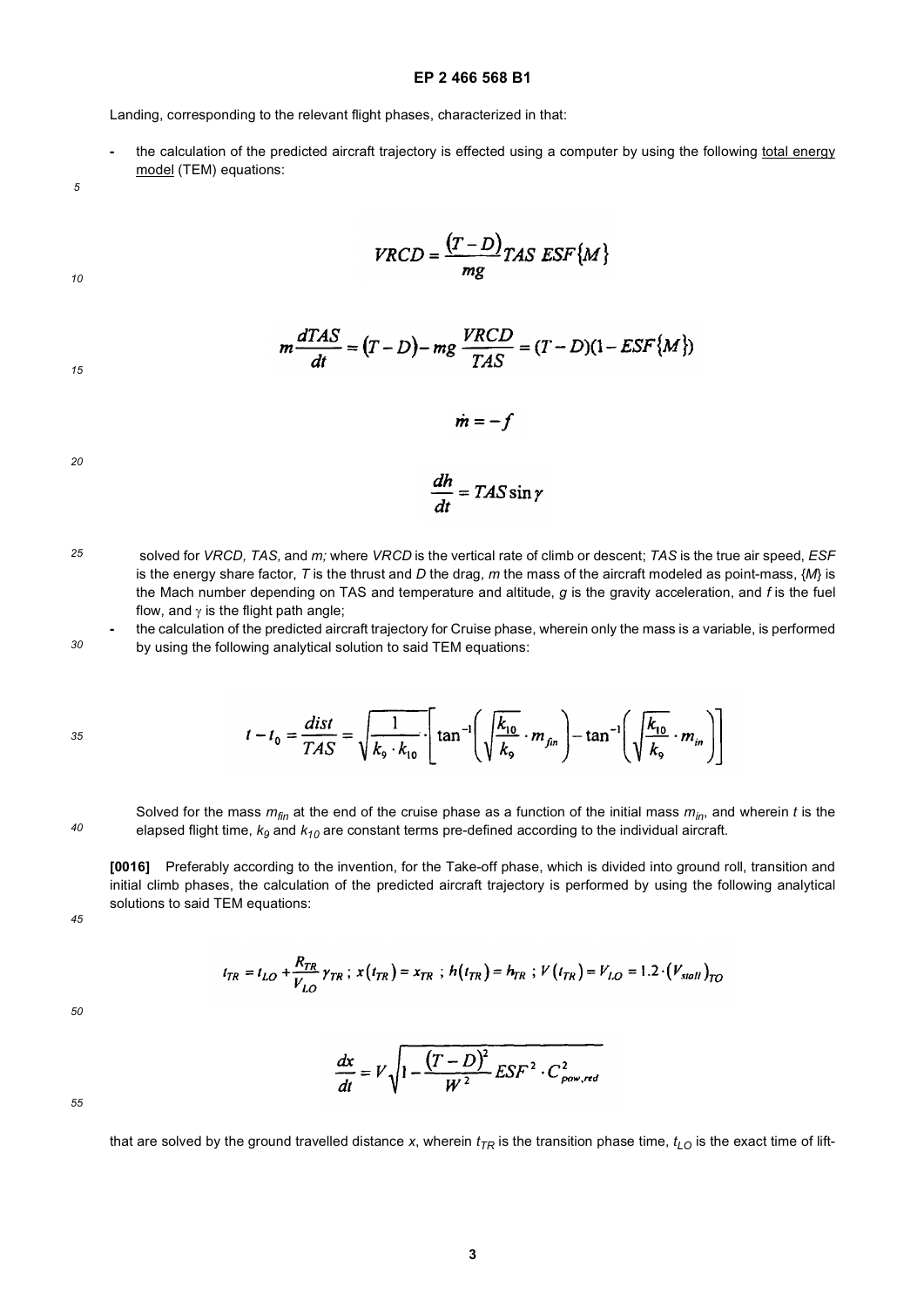**-** the calculation of the predicted aircraft trajectory is effected using a computer by using the following total energy model (TEM) equations:

*5*

 $VRCD = \frac{(T - D)}{mg}TAS ESF\{M\}$ 

$$
f_{\rm{max}}
$$

*15*

*10*

$$
m\frac{dTAS}{dt} = (T - D) - mg\frac{VRCD}{TAS} = (T - D)(1 - ESF\{M\})
$$

$$
\dot{m}=-f
$$

*20*

$$
\frac{dh}{dt} = TAS\sin\gamma
$$

*25* solved for *VRCD, TAS,* and *m;* where *VRCD* is the vertical rate of climb or descent; *TAS* is the true air speed, *ESF* is the energy share factor, *T* is the thrust and *D* the drag, *m* the mass of the aircraft modeled as point-mass, {*M*} is the Mach number depending on TAS and temperature and altitude, *g* is the gravity acceleration, and *f* is the fuel flow, and  $\gamma$  is the flight path angle;

*30* **-** the calculation of the predicted aircraft trajectory for Cruise phase, wherein only the mass is a variable, is performed by using the following analytical solution to said TEM equations:

$$
t - t_0 = \frac{dist}{TAS} = \sqrt{\frac{1}{k_9 \cdot k_{10}}} \cdot \left[ \tan^{-1} \left( \sqrt{\frac{k_{10}}{k_9}} \cdot m_{fin} \right) - \tan^{-1} \left( \sqrt{\frac{k_{10}}{k_9}} \cdot m_{in} \right) \right]
$$

Solved for the mass *mfin* at the end of the cruise phase as a function of the initial mass *min*, and wherein *t* is the elapsed flight time, *k9* and *k10* are constant terms pre-defined according to the individual aircraft.

**[0016]** Preferably according to the invention, for the Take-off phase, which is divided into ground roll, transition and initial climb phases, the calculation of the predicted aircraft trajectory is performed by using the following analytical solutions to said TEM equations:

*45*

*40*

$$
t_{TR} = t_{LO} + \frac{R_{TR}}{V_{LO}} \gamma_{TR} \ ; \ x(t_{TR}) = x_{TR} \ ; \ h(t_{TR}) = h_{TR} \ ; \ V(t_{TR}) = V_{LO} = 1.2 \cdot (V_{stall})_{TO}
$$

*50*

$$
\frac{dx}{dt} = V \sqrt{1 - \frac{(T - D)^2}{W^2} E S F^2 \cdot C_{pow, red}^2}
$$

*55*

that are solved by the ground travelled distance *x*, wherein  $t_{TR}$  is the transition phase time,  $t_{LO}$  is the exact time of lift-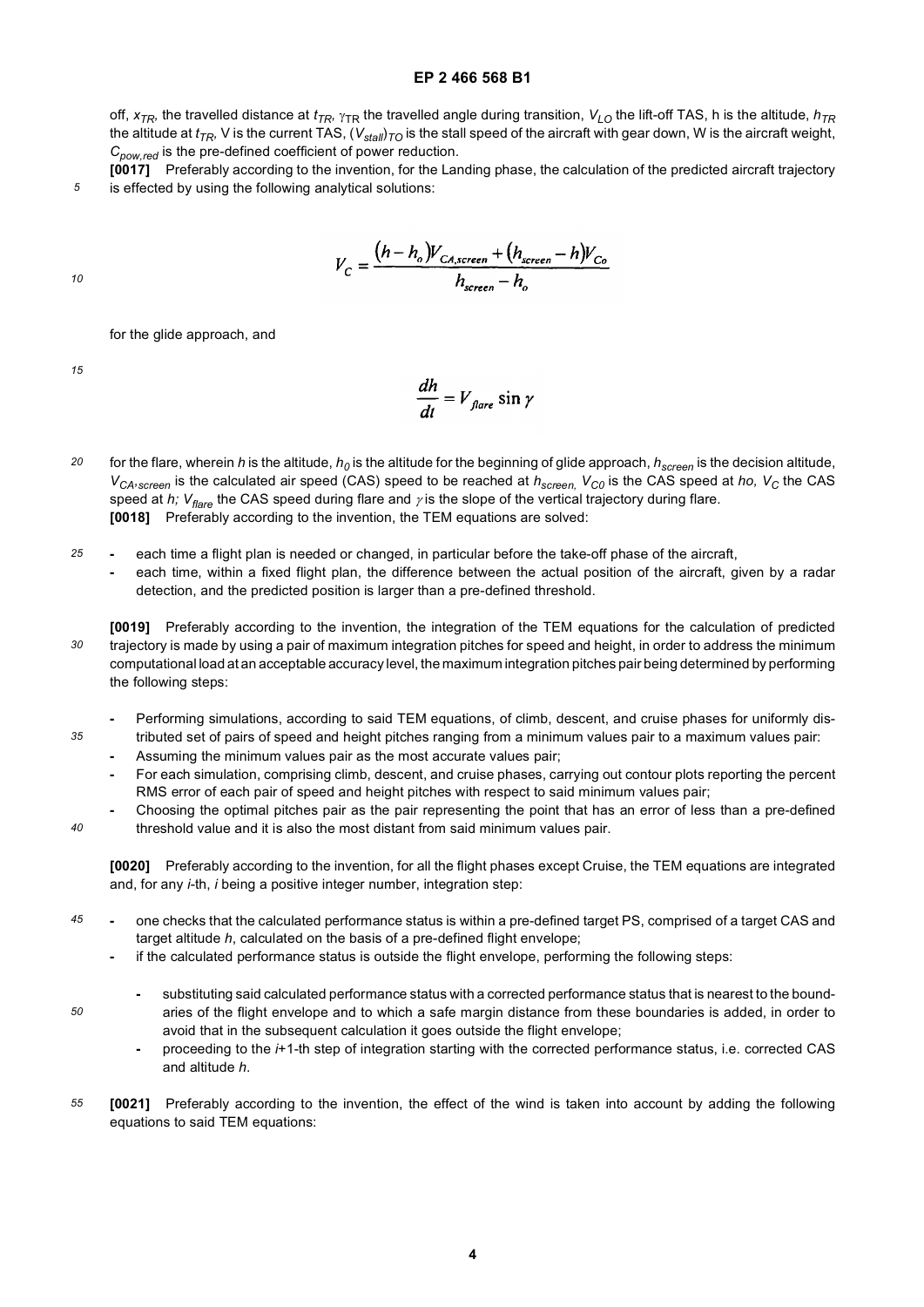off,  $x_{TR}$ , the travelled distance at  $t_{TR}$ ,  $\gamma_{TR}$  the travelled angle during transition,  $V_{LO}$  the lift-off TAS, h is the altitude,  $h_{TR}$ the altitude at  $t_{TR}$ , V is the current TAS,  $(V_{stall})_{TO}$  is the stall speed of the aircraft with gear down, W is the aircraft weight, *Cpow,red* is the pre-defined coefficient of power reduction.

**[0017]** Preferably according to the invention, for the Landing phase, the calculation of the predicted aircraft trajectory is effected by using the following analytical solutions:

$$
V_C = \frac{(h - h_o)V_{CA, screen} + (h_{screen} - h)V_{Co}}{h_{screen} - h_o}
$$

*10*

*5*

for the glide approach, and

*15*

*35*

*40*

*50*

$$
\frac{dh}{dt} = V_{\text{flare}} \sin \gamma
$$

- *20* for the flare, wherein *h* is the altitude,  $h_0$  is the altitude for the beginning of glide approach,  $h_{screen}$  is the decision altitude, *V<sub>CA</sub>*, *screen* is the calculated air speed (CAS) speed to be reached at  $h_{screen}$ , *V<sub>C0</sub>* is the CAS speed at *ho*, *V<sub>C</sub>* the CAS speed at *h; V<sub>flare</sub>* the CAS speed during flare and *γ* is the slope of the vertical trajectory during flare. **[0018]** Preferably according to the invention, the TEM equations are solved:
- *25* **-** each time a flight plan is needed or changed, in particular before the take-off phase of the aircraft,
	- **-** each time, within a fixed flight plan, the difference between the actual position of the aircraft, given by a radar detection, and the predicted position is larger than a pre-defined threshold.
- *30* **[0019]** Preferably according to the invention, the integration of the TEM equations for the calculation of predicted trajectory is made by using a pair of maximum integration pitches for speed and height, in order to address the minimum computational load at an acceptable accuracy level, the maximum integration pitches pair being determined by performing the following steps:
	- **-** Performing simulations, according to said TEM equations, of climb, descent, and cruise phases for uniformly distributed set of pairs of speed and height pitches ranging from a minimum values pair to a maximum values pair:
	- **-** Assuming the minimum values pair as the most accurate values pair;
	- **-** For each simulation, comprising climb, descent, and cruise phases, carrying out contour plots reporting the percent RMS error of each pair of speed and height pitches with respect to said minimum values pair;
	- **-** Choosing the optimal pitches pair as the pair representing the point that has an error of less than a pre-defined threshold value and it is also the most distant from said minimum values pair.

**[0020]** Preferably according to the invention, for all the flight phases except Cruise, the TEM equations are integrated and, for any *i*-th, *i* being a positive integer number, integration step:

- *45* **-** one checks that the calculated performance status is within a pre-defined target PS, comprised of a target CAS and target altitude *h*, calculated on the basis of a pre-defined flight envelope;
	- **-** if the calculated performance status is outside the flight envelope, performing the following steps:
		- **-** substituting said calculated performance status with a corrected performance status that is nearest to the boundaries of the flight envelope and to which a safe margin distance from these boundaries is added, in order to avoid that in the subsequent calculation it goes outside the flight envelope;
		- **-** proceeding to the *i*+1-th step of integration starting with the corrected performance status, i.e. corrected CAS and altitude *h*.
- *55* **[0021]** Preferably according to the invention, the effect of the wind is taken into account by adding the following equations to said TEM equations: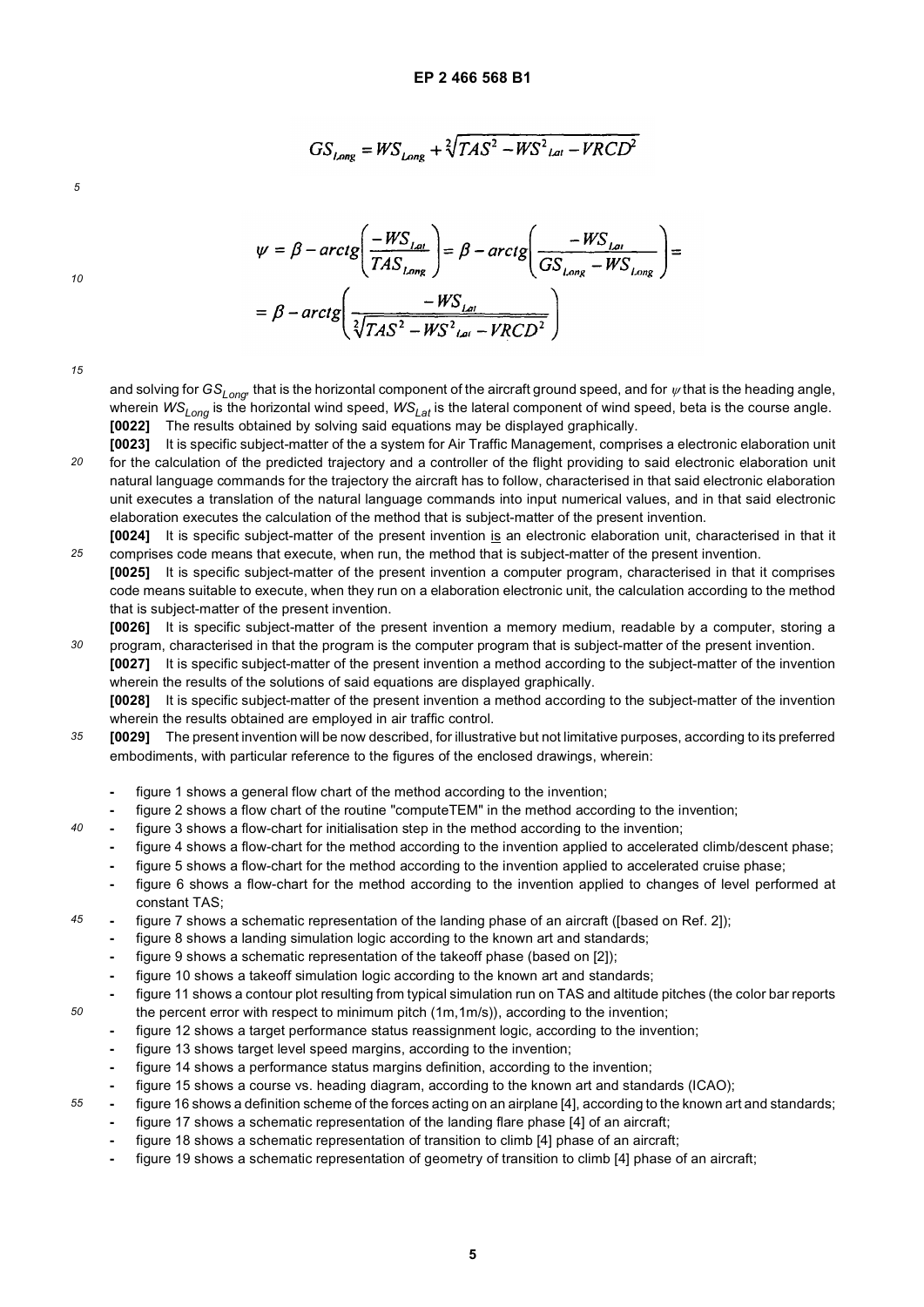$GS_{Long} = WS_{Long} + \sqrt[2]{TAS^2 - WS^2_{lat} - VRCD^2}$ 

*5*

$$
\psi = \beta - \arctg \left( \frac{-WS_{Lal}}{TAS_{Long}} \right) = \beta - \arctg \left( \frac{-WS_{Lou}}{GS_{Long} - WS_{Long}} \right) =
$$

$$
= \beta - \arctg \left( \frac{-WS_{Lou}}{\sqrt[3]{TAS^2 - WS^2_{Lou} - VRCD^2}} \right)
$$

| ٧<br>i<br>I<br>$\sim$ |
|-----------------------|
|-----------------------|

*40*

*45*

*50*

*55*

*10*

and solving for  $GS_{Long}$  that is the horizontal component of the aircraft ground speed, and for  $\psi$  that is the heading angle, wherein *WS<sub>Long</sub>* is the horizontal wind speed, *WS<sub>Lat</sub>* is the lateral component of wind speed, beta is the course angle. **[0022]** The results obtained by solving said equations may be displayed graphically.

- *20* **[0023]** It is specific subject-matter of the a system for Air Traffic Management, comprises a electronic elaboration unit for the calculation of the predicted trajectory and a controller of the flight providing to said electronic elaboration unit natural language commands for the trajectory the aircraft has to follow, characterised in that said electronic elaboration unit executes a translation of the natural language commands into input numerical values, and in that said electronic elaboration executes the calculation of the method that is subject-matter of the present invention.
- *25* **[0024]** It is specific subject-matter of the present invention is an electronic elaboration unit, characterised in that it comprises code means that execute, when run, the method that is subject-matter of the present invention.
- **[0025]** It is specific subject-matter of the present invention a computer program, characterised in that it comprises code means suitable to execute, when they run on a elaboration electronic unit, the calculation according to the method that is subject-matter of the present invention.
- *30* **[0026]** It is specific subject-matter of the present invention a memory medium, readable by a computer, storing a program, characterised in that the program is the computer program that is subject-matter of the present invention.
	- **[0027]** It is specific subject-matter of the present invention a method according to the subject-matter of the invention wherein the results of the solutions of said equations are displayed graphically.

**[0028]** It is specific subject-matter of the present invention a method according to the subject-matter of the invention wherein the results obtained are employed in air traffic control.

- *35* **[0029]** The present invention will be now described, for illustrative but not limitative purposes, according to its preferred embodiments, with particular reference to the figures of the enclosed drawings, wherein:
	- **-** figure 1 shows a general flow chart of the method according to the invention;
	- **-** figure 2 shows a flow chart of the routine "computeTEM" in the method according to the invention;
	- **-** figure 3 shows a flow-chart for initialisation step in the method according to the invention;
		- **-** figure 4 shows a flow-chart for the method according to the invention applied to accelerated climb/descent phase;
		- **-** figure 5 shows a flow-chart for the method according to the invention applied to accelerated cruise phase;
		- **-** figure 6 shows a flow-chart for the method according to the invention applied to changes of level performed at constant TAS;
	- **-** figure 7 shows a schematic representation of the landing phase of an aircraft ([based on Ref. 2]);
	- **-** figure 8 shows a landing simulation logic according to the known art and standards;
	- **-** figure 9 shows a schematic representation of the takeoff phase (based on [2]);
	- **-** figure 10 shows a takeoff simulation logic according to the known art and standards;
	- **-** figure 11 shows a contour plot resulting from typical simulation run on TAS and altitude pitches (the color bar reports
	- the percent error with respect to minimum pitch (1m,1m/s)), according to the invention;
		- **-** figure 12 shows a target performance status reassignment logic, according to the invention;
		- **-** figure 13 shows target level speed margins, according to the invention;
		- **-** figure 14 shows a performance status margins definition, according to the invention;
		- **-** figure 15 shows a course vs. heading diagram, according to the known art and standards (ICAO);
	- **-** figure 16 shows a definition scheme of the forces acting on an airplane [4], according to the known art and standards;
		- **-** figure 17 shows a schematic representation of the landing flare phase [4] of an aircraft;
		- **-** figure 18 shows a schematic representation of transition to climb [4] phase of an aircraft;
		- **-** figure 19 shows a schematic representation of geometry of transition to climb [4] phase of an aircraft;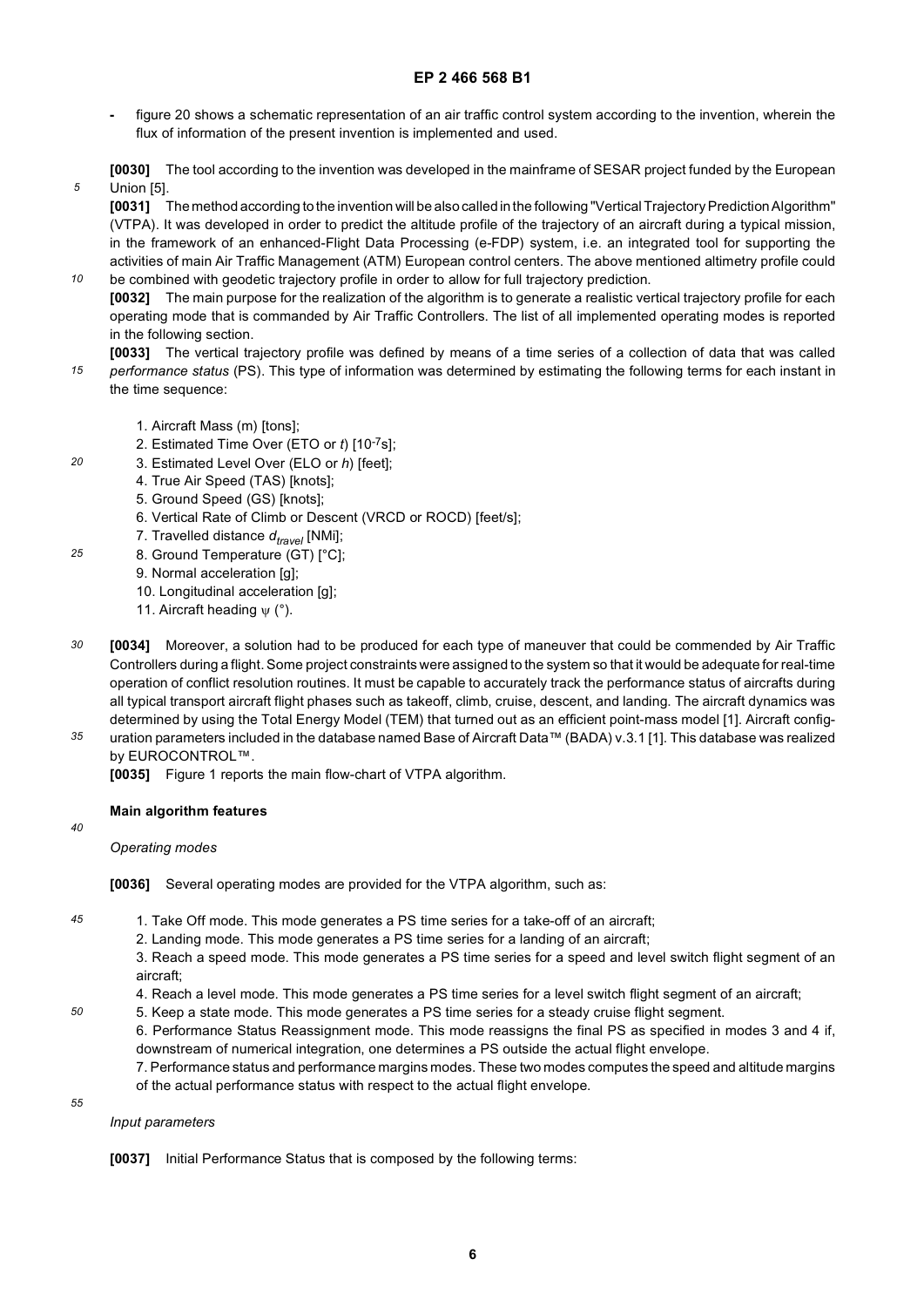- **-** figure 20 shows a schematic representation of an air traffic control system according to the invention, wherein the flux of information of the present invention is implemented and used.
- **[0030]** The tool according to the invention was developed in the mainframe of SESAR project funded by the European Union [5].

**[0031]** The method according to the invention will be also called in the following "Vertical Trajectory Prediction Algorithm" (VTPA). It was developed in order to predict the altitude profile of the trajectory of an aircraft during a typical mission, in the framework of an enhanced-Flight Data Processing (e-FDP) system, i.e. an integrated tool for supporting the activities of main Air Traffic Management (ATM) European control centers. The above mentioned altimetry profile could be combined with geodetic trajectory profile in order to allow for full trajectory prediction.

*10* **[0032]** The main purpose for the realization of the algorithm is to generate a realistic vertical trajectory profile for each operating mode that is commanded by Air Traffic Controllers. The list of all implemented operating modes is reported in the following section.

- *15* **[0033]** The vertical trajectory profile was defined by means of a time series of a collection of data that was called *performance status* (PS). This type of information was determined by estimating the following terms for each instant in the time sequence:
	- 1. Aircraft Mass (m) [tons];
	- 2. Estimated Time Over (ETO or *t*) [10-7s];
	- 3. Estimated Level Over (ELO or *h*) [feet];
	- 4. True Air Speed (TAS) [knots];
	- 5. Ground Speed (GS) [knots];
	- 6. Vertical Rate of Climb or Descent (VRCD or ROCD) [feet/s];
	- 7. Travelled distance  $d_{travel}$  [NMi];
- *25* 8. Ground Temperature (GT) [°C];
	- 9. Normal acceleration [g];
	- 10. Longitudinal acceleration [g];
	- 11. Aircraft heading ψ (°).
- *30* **[0034]** Moreover, a solution had to be produced for each type of maneuver that could be commended by Air Traffic Controllers during a flight. Some project constraints were assigned to the system so that it would be adequate for real-time operation of conflict resolution routines. It must be capable to accurately track the performance status of aircrafts during all typical transport aircraft flight phases such as takeoff, climb, cruise, descent, and landing. The aircraft dynamics was determined by using the Total Energy Model (TEM) that turned out as an efficient point-mass model [1]. Aircraft config-
- *35* uration parameters included in the database named Base of Aircraft Data™ (BADA) v.3.1 [1]. This database was realized by EUROCONTROL™.

**[0035]** Figure 1 reports the main flow-chart of VTPA algorithm.

# **Main algorithm features**

*40*

*45*

*50*

*5*

*20*

*Operating modes*

**[0036]** Several operating modes are provided for the VTPA algorithm, such as:

- 1. Take Off mode. This mode generates a PS time series for a take-off of an aircraft;
	- 2. Landing mode. This mode generates a PS time series for a landing of an aircraft;

3. Reach a speed mode. This mode generates a PS time series for a speed and level switch flight segment of an aircraft;

- 4. Reach a level mode. This mode generates a PS time series for a level switch flight segment of an aircraft;
- 5. Keep a state mode. This mode generates a PS time series for a steady cruise flight segment.

6. Performance Status Reassignment mode. This mode reassigns the final PS as specified in modes 3 and 4 if, downstream of numerical integration, one determines a PS outside the actual flight envelope.

7. Performance status and performance margins modes. These two modes computes the speed and altitude margins of the actual performance status with respect to the actual flight envelope.

*55*

*Input parameters*

**[0037]** Initial Performance Status that is composed by the following terms: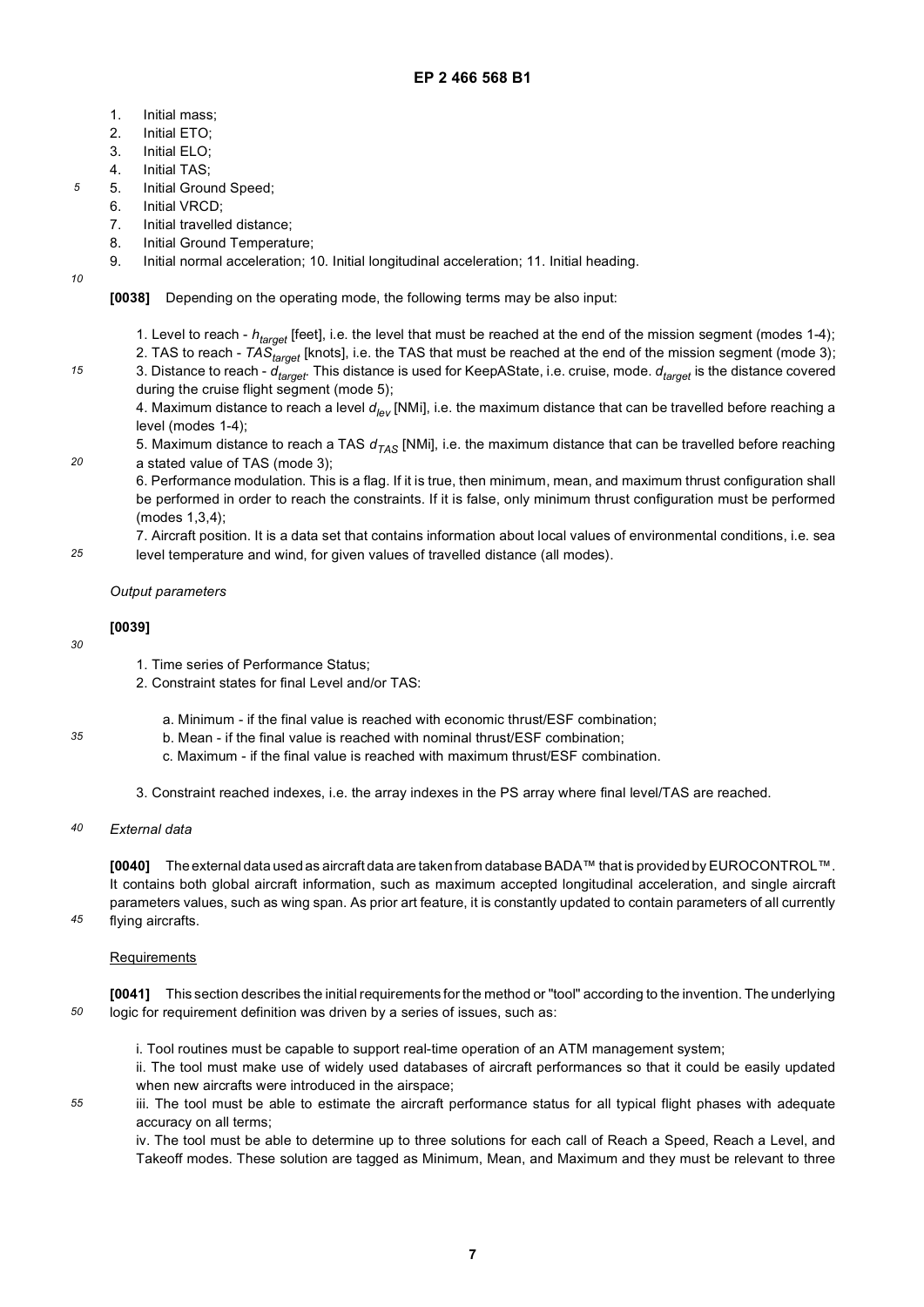- 1. Initial mass;
- 2. Initial ETO;
- 3. Initial ELO;
- 4. Initial TAS;
- 5. Initial Ground Speed;
- 6. Initial VRCD;
- 7. Initial travelled distance;
- 8. Initial Ground Temperature;
- 9. Initial normal acceleration; 10. Initial longitudinal acceleration; 11. Initial heading.
- *10*

*20*

*5*

# **[0038]** Depending on the operating mode, the following terms may be also input:

- 1. Level to reach *htarget* [feet], i.e. the level that must be reached at the end of the mission segment (modes 1-4);
- 2. TAS to reach *TAStarget* [knots], i.e. the TAS that must be reached at the end of the mission segment (mode 3);
- 3. Distance to reach *dtarget.* This distance is used for KeepAState, i.e. cruise, mode. *dtarget* is the distance covered during the cruise flight segment (mode 5);

4. Maximum distance to reach a level *dlev* [NMi], i.e. the maximum distance that can be travelled before reaching a level (modes 1-4);

5. Maximum distance to reach a TAS  $d_{TAS}$  [NMi], i.e. the maximum distance that can be travelled before reaching a stated value of TAS (mode 3);

6. Performance modulation. This is a flag. If it is true, then minimum, mean, and maximum thrust configuration shall be performed in order to reach the constraints. If it is false, only minimum thrust configuration must be performed (modes 1,3,4);

*25* 7. Aircraft position. It is a data set that contains information about local values of environmental conditions, i.e. sea level temperature and wind, for given values of travelled distance (all modes).

# *Output parameters*

# **[0039]**

*30*

*35*

*45*

*55*

- 1. Time series of Performance Status;
- 2. Constraint states for final Level and/or TAS:
	- a. Minimum if the final value is reached with economic thrust/ESF combination;
	- b. Mean if the final value is reached with nominal thrust/ESF combination;
	- c. Maximum if the final value is reached with maximum thrust/ESF combination.
- 3. Constraint reached indexes, i.e. the array indexes in the PS array where final level/TAS are reached.
- *40 External data*

**[0040]** The external data used as aircraft data are taken from database BADA™ that is provided by EUROCONTROL™. It contains both global aircraft information, such as maximum accepted longitudinal acceleration, and single aircraft parameters values, such as wing span. As prior art feature, it is constantly updated to contain parameters of all currently flying aircrafts.

# **Requirements**

*50* **[0041]** This section describes the initial requirements for the method or "tool" according to the invention. The underlying logic for requirement definition was driven by a series of issues, such as:

i. Tool routines must be capable to support real-time operation of an ATM management system;

ii. The tool must make use of widely used databases of aircraft performances so that it could be easily updated when new aircrafts were introduced in the airspace;

iii. The tool must be able to estimate the aircraft performance status for all typical flight phases with adequate accuracy on all terms;

iv. The tool must be able to determine up to three solutions for each call of Reach a Speed, Reach a Level, and Takeoff modes. These solution are tagged as Minimum, Mean, and Maximum and they must be relevant to three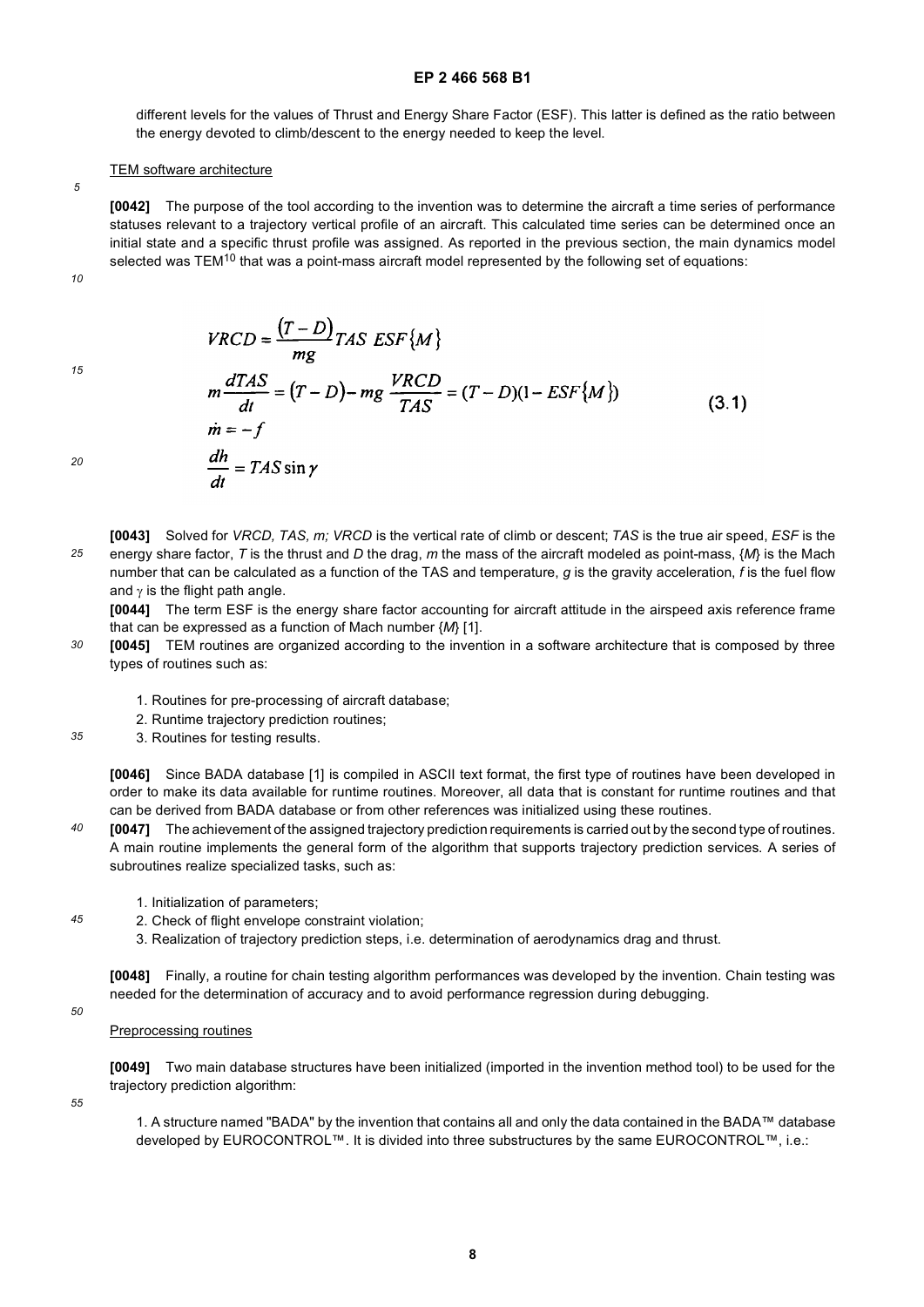different levels for the values of Thrust and Energy Share Factor (ESF). This latter is defined as the ratio between the energy devoted to climb/descent to the energy needed to keep the level.

### TEM software architecture

**[0042]** The purpose of the tool according to the invention was to determine the aircraft a time series of performance statuses relevant to a trajectory vertical profile of an aircraft. This calculated time series can be determined once an initial state and a specific thrust profile was assigned. As reported in the previous section, the main dynamics model selected was TEM<sup>10</sup> that was a point-mass aircraft model represented by the following set of equations:

*10*

*5*

*15*

$$
VRCD = \frac{(T - D)}{mg}TAS\ ESF\{M\}
$$
  
\n
$$
m\frac{dTAS}{dt} = (T - D) - mg\frac{VRCD}{TAS} = (T - D)(1 - ESF\{M\})
$$
  
\n
$$
\dot{m} = -f
$$
  
\n
$$
\frac{dh}{dt} = TAS\sin\gamma
$$
\n(3.1)

*20*

*25* **[0043]** Solved for *VRCD, TAS, m; VRCD* is the vertical rate of climb or descent; *TAS* is the true air speed, *ESF* is the energy share factor, *T* is the thrust and *D* the drag, *m* the mass of the aircraft modeled as point-mass, {*M*} is the Mach number that can be calculated as a function of the TAS and temperature, *g* is the gravity acceleration, *f* is the fuel flow and  $\gamma$  is the flight path angle.

**[0044]** The term ESF is the energy share factor accounting for aircraft attitude in the airspeed axis reference frame that can be expressed as a function of Mach number {*M*} [1].

*30* **[0045]** TEM routines are organized according to the invention in a software architecture that is composed by three types of routines such as:

1. Routines for pre-processing of aircraft database;

 $\sim$ 

 $\sim$   $\sim$   $\sim$ 

- 2. Runtime trajectory prediction routines;
- *35* 3. Routines for testing results.

**[0046]** Since BADA database [1] is compiled in ASCII text format, the first type of routines have been developed in order to make its data available for runtime routines. Moreover, all data that is constant for runtime routines and that can be derived from BADA database or from other references was initialized using these routines.

- *40* **[0047]** The achievement of the assigned trajectory prediction requirements is carried out by the second type of routines. A main routine implements the general form of the algorithm that supports trajectory prediction services. A series of subroutines realize specialized tasks, such as:
	- 1. Initialization of parameters;
	- 2. Check of flight envelope constraint violation;
	- 3. Realization of trajectory prediction steps, i.e. determination of aerodynamics drag and thrust.

**[0048]** Finally, a routine for chain testing algorithm performances was developed by the invention. Chain testing was needed for the determination of accuracy and to avoid performance regression during debugging.

*50*

*45*

Preprocessing routines

**[0049]** Two main database structures have been initialized (imported in the invention method tool) to be used for the trajectory prediction algorithm:

*55*

1. A structure named "BADA" by the invention that contains all and only the data contained in the BADA™ database developed by EUROCONTROL™. It is divided into three substructures by the same EUROCONTROL™, i.e.: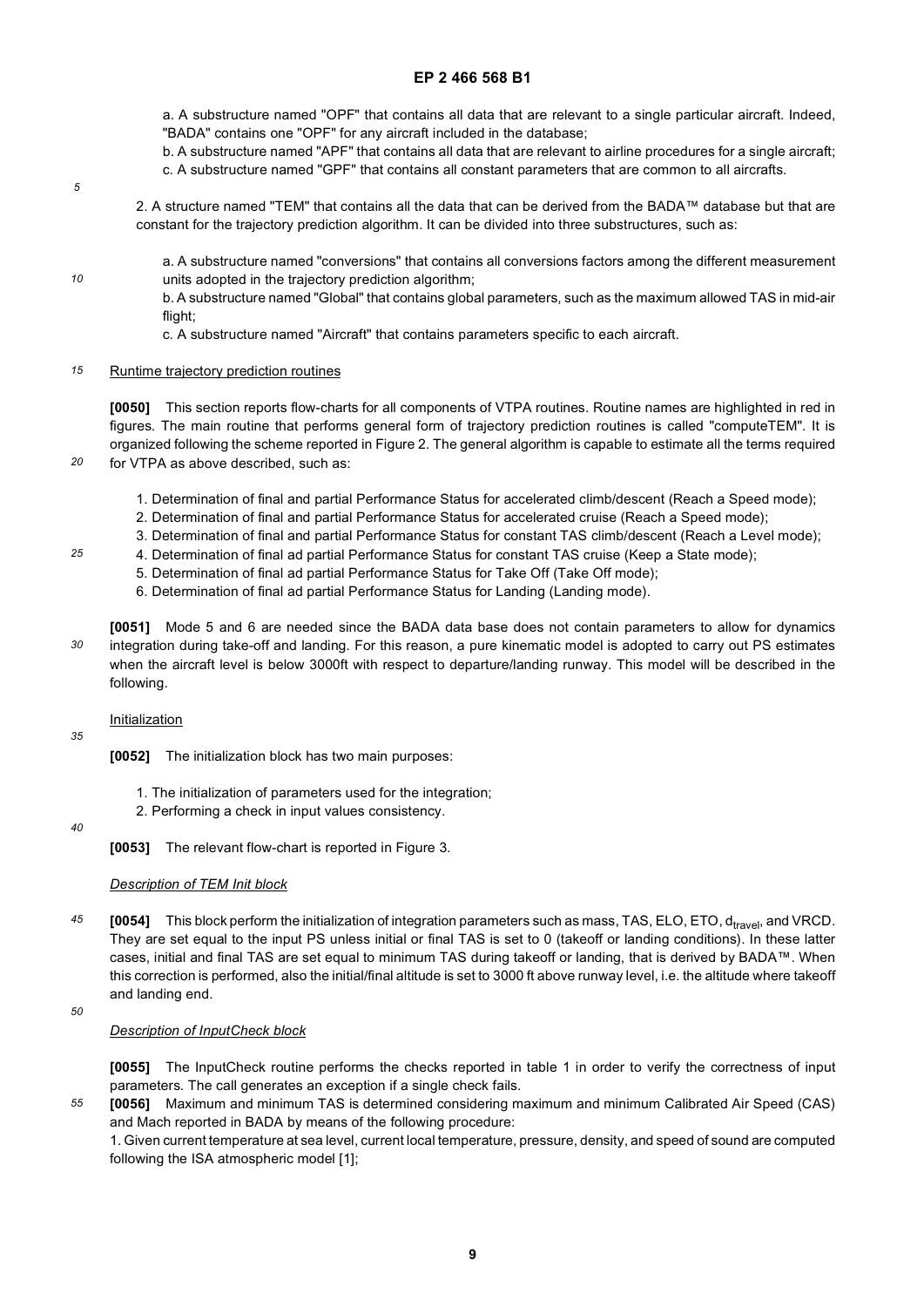a. A substructure named "OPF" that contains all data that are relevant to a single particular aircraft. Indeed, "BADA" contains one "OPF" for any aircraft included in the database;

b. A substructure named "APF" that contains all data that are relevant to airline procedures for a single aircraft;

- c. A substructure named "GPF" that contains all constant parameters that are common to all aircrafts.
- *5*

*10*

*20*

*25*

2. A structure named "TEM" that contains all the data that can be derived from the BADA™ database but that are constant for the trajectory prediction algorithm. It can be divided into three substructures, such as:

a. A substructure named "conversions" that contains all conversions factors among the different measurement units adopted in the trajectory prediction algorithm;

b. A substructure named "Global" that contains global parameters, such as the maximum allowed TAS in mid-air flight;

c. A substructure named "Aircraft" that contains parameters specific to each aircraft.

#### *15* Runtime trajectory prediction routines

**[0050]** This section reports flow-charts for all components of VTPA routines. Routine names are highlighted in red in figures. The main routine that performs general form of trajectory prediction routines is called "computeTEM". It is organized following the scheme reported in Figure 2. The general algorithm is capable to estimate all the terms required for VTPA as above described, such as:

- 1. Determination of final and partial Performance Status for accelerated climb/descent (Reach a Speed mode);
- 2. Determination of final and partial Performance Status for accelerated cruise (Reach a Speed mode);
- 3. Determination of final and partial Performance Status for constant TAS climb/descent (Reach a Level mode);
- 4. Determination of final ad partial Performance Status for constant TAS cruise (Keep a State mode);
	- 5. Determination of final ad partial Performance Status for Take Off (Take Off mode);
	- 6. Determination of final ad partial Performance Status for Landing (Landing mode).
- *30* **[0051]** Mode 5 and 6 are needed since the BADA data base does not contain parameters to allow for dynamics integration during take-off and landing. For this reason, a pure kinematic model is adopted to carry out PS estimates when the aircraft level is below 3000ft with respect to departure/landing runway. This model will be described in the following.

# **Initialization**

- **[0052]** The initialization block has two main purposes:
	- 1. The initialization of parameters used for the integration;
	- 2. Performing a check in input values consistency.

### *40*

*35*

**[0053]** The relevant flow-chart is reported in Figure 3.

### *Description of TEM Init block*

- *45* **[0054]** This block perform the initialization of integration parameters such as mass, TAS, ELO, ETO, d<sub>travel</sub>, and VRCD. They are set equal to the input PS unless initial or final TAS is set to 0 (takeoff or landing conditions). In these latter cases, initial and final TAS are set equal to minimum TAS during takeoff or landing, that is derived by BADA™. When this correction is performed, also the initial/final altitude is set to 3000 ft above runway level, i.e. the altitude where takeoff and landing end.
- *50*

# *Description of InputCheck block*

**[0055]** The InputCheck routine performs the checks reported in table 1 in order to verify the correctness of input parameters. The call generates an exception if a single check fails.

*55* **[0056]** Maximum and minimum TAS is determined considering maximum and minimum Calibrated Air Speed (CAS) and Mach reported in BADA by means of the following procedure:

1. Given current temperature at sea level, current local temperature, pressure, density, and speed of sound are computed following the ISA atmospheric model [1];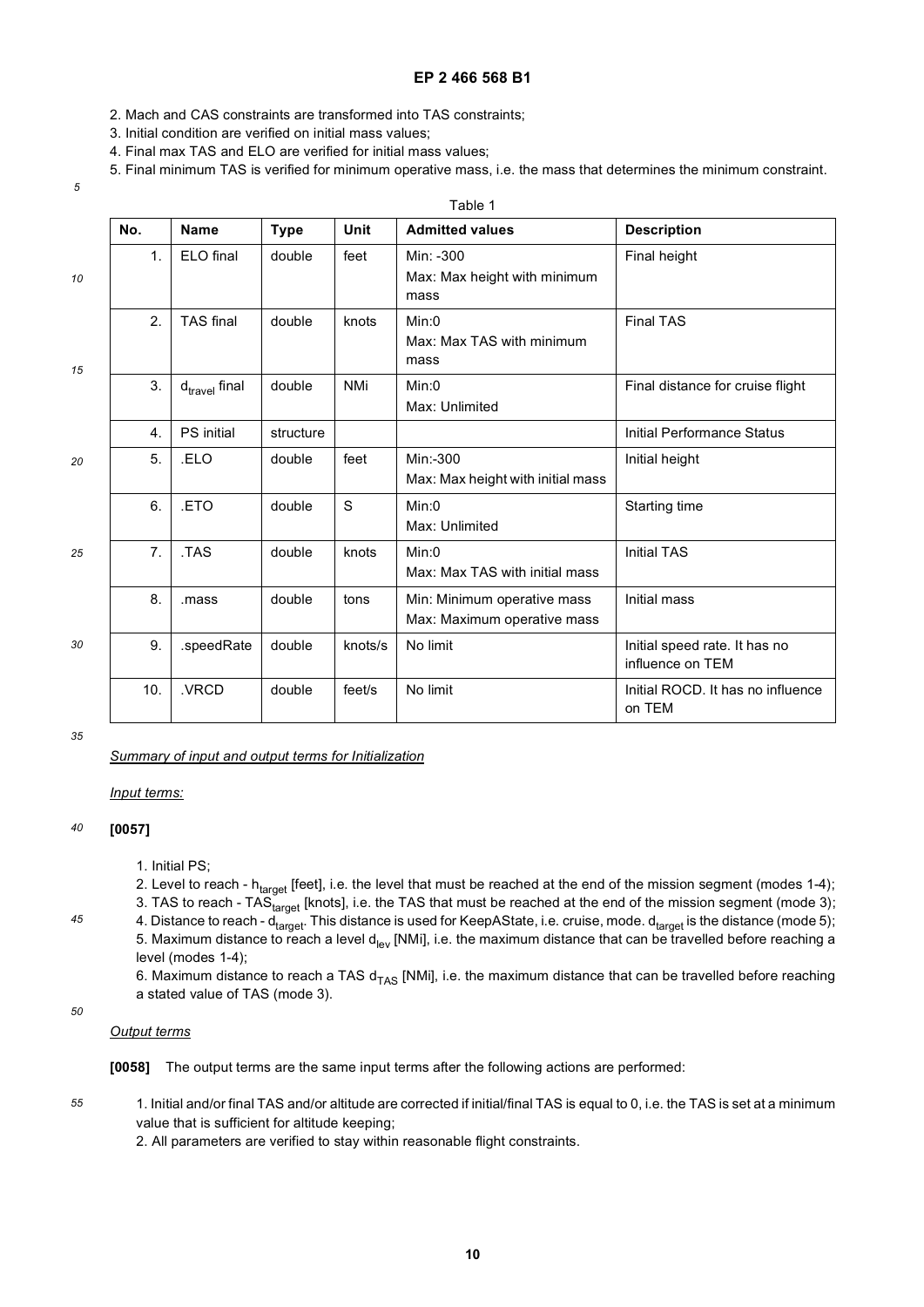- 2. Mach and CAS constraints are transformed into TAS constraints;
- 3. Initial condition are verified on initial mass values;
- 4. Final max TAS and ELO are verified for initial mass values;
- 5. Final minimum TAS is verified for minimum operative mass, i.e. the mass that determines the minimum constraint.

Table 1

| ٧                 |
|-------------------|
| i<br>I<br>۰.<br>× |

| No.              | <b>Name</b>               | <b>Type</b> | Unit       | <b>Admitted values</b>                                     | <b>Description</b>                                |
|------------------|---------------------------|-------------|------------|------------------------------------------------------------|---------------------------------------------------|
| 1.               | ELO final                 | double      | feet       | Min: -300<br>Max: Max height with minimum<br>mass          | Final height                                      |
| 2.               | <b>TAS</b> final          | double      | knots      | Min:0<br>Max: Max TAS with minimum<br>mass                 | <b>Final TAS</b>                                  |
| 3.               | $d_{\text{travel}}$ final | double      | <b>NMi</b> | Min:0<br>Max: Unlimited                                    | Final distance for cruise flight                  |
| $\overline{4}$ . | PS initial                | structure   |            |                                                            | Initial Performance Status                        |
| 5.               | .ELO                      | double      | feet       | Min:-300<br>Max: Max height with initial mass              | Initial height                                    |
| 6.               | .ETO                      | double      | S          | Min:0<br>Max: Unlimited                                    | Starting time                                     |
| 7.               | .TAS                      | double      | knots      | Min:0<br>Max: Max TAS with initial mass                    | <b>Initial TAS</b>                                |
| 8.               | .mass                     | double      | tons       | Min: Minimum operative mass<br>Max: Maximum operative mass | Initial mass                                      |
| 9.               | .speedRate                | double      | knots/s    | No limit                                                   | Initial speed rate. It has no<br>influence on TEM |
| 10.              | .VRCD                     | double      | feet/s     | No limit                                                   | Initial ROCD. It has no influence<br>on TEM       |

*35*

*Summary of input and output terms for Initialization*

*Input terms:*

#### *40* **[0057]**

1. Initial PS;

2. Level to reach -  $h_{target}$  [feet], i.e. the level that must be reached at the end of the mission segment (modes 1-4); 3. TAS to reach - TAS<sub>target</sub> [knots], i.e. the TAS that must be reached at the end of the mission segment (mode 3);

4. Distance to reach -  $d_{target}$ . This distance is used for KeepAState, i.e. cruise, mode.  $d_{target}$  is the distance (mode 5); 5. Maximum distance to reach a level  $d_{lev}$  [NMi], i.e. the maximum distance that can be travelled before reaching a level (modes 1-4);

6. Maximum distance to reach a TAS  $d_{TAS}$  [NMi], i.e. the maximum distance that can be travelled before reaching a stated value of TAS (mode 3).

# *50*

*45*

*Output terms*

**[0058]** The output terms are the same input terms after the following actions are performed:

*55* 1. Initial and/or final TAS and/or altitude are corrected if initial/final TAS is equal to 0, i.e. the TAS is set at a minimum value that is sufficient for altitude keeping;

2. All parameters are verified to stay within reasonable flight constraints.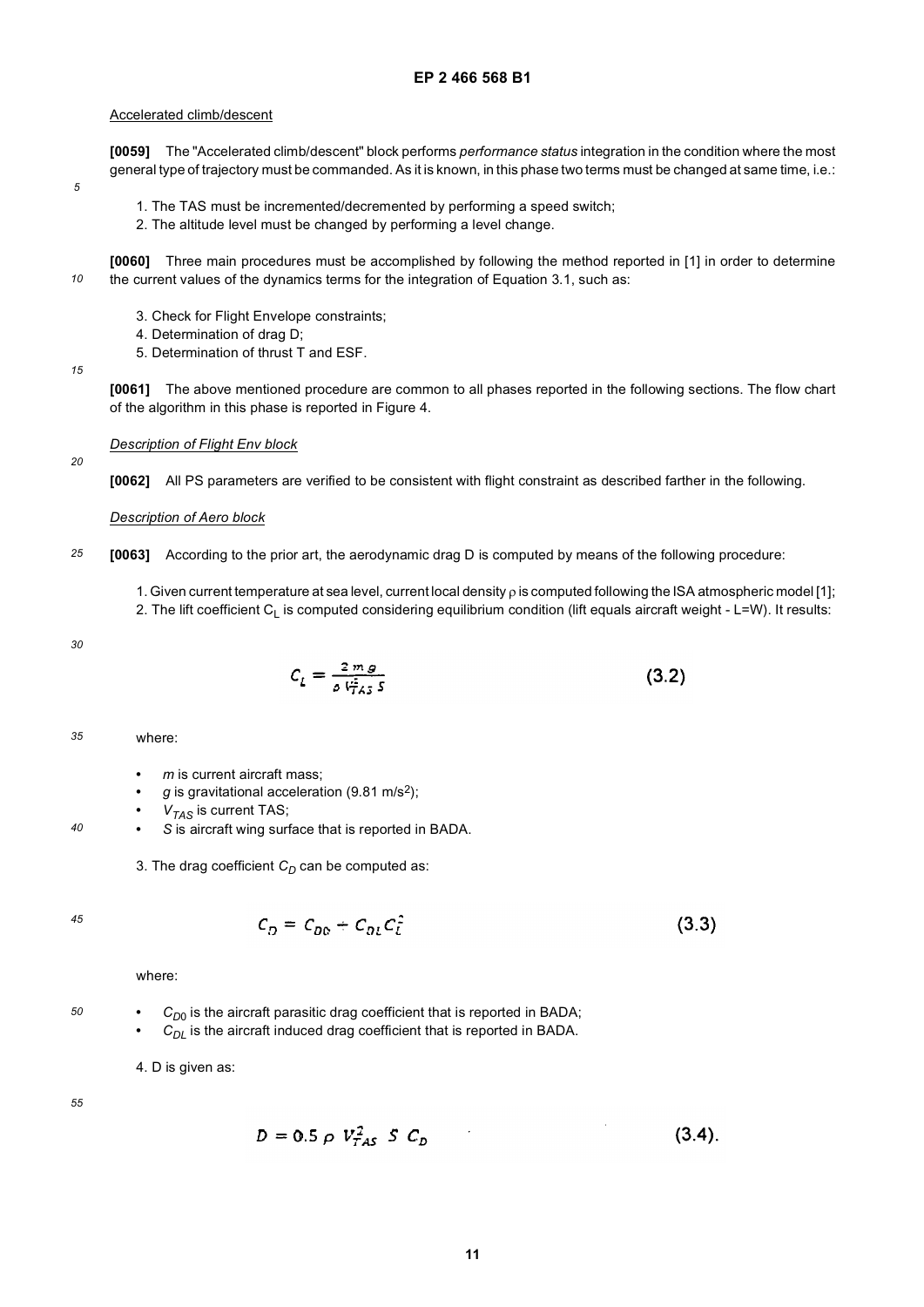### Accelerated climb/descent

**[0059]** The "Accelerated climb/descent" block performs *performance status* integration in the condition where the most general type of trajectory must be commanded. As it is known, in this phase two terms must be changed at same time, i.e.:

- 1. The TAS must be incremented/decremented by performing a speed switch;
- 2. The altitude level must be changed by performing a level change.

*10* **[0060]** Three main procedures must be accomplished by following the method reported in [1] in order to determine the current values of the dynamics terms for the integration of Equation 3.1, such as:

- 3. Check for Flight Envelope constraints;
- 4. Determination of drag D;
- 5. Determination of thrust T and ESF.

**[0061]** The above mentioned procedure are common to all phases reported in the following sections. The flow chart of the algorithm in this phase is reported in Figure 4.

*Description of Flight Env block*

**[0062]** All PS parameters are verified to be consistent with flight constraint as described farther in the following.

### *Description of Aero block*

- *25* **[0063]** According to the prior art, the aerodynamic drag D is computed by means of the following procedure:
	- 1. Given current temperature at sea level, current local density ρ is computed following the ISA atmospheric model [1]; 2. The lift coefficient  $C_1$  is computed considering equilibrium condition (lift equals aircraft weight - L=W). It results:

*30*

*5*

*15*

*20*

$$
C_L = \frac{2 \, m \, g}{\rho \, V_{TAS}^2 \, s} \tag{3.2}
$$

*35* where:

- **•** *m* is current aircraft mass;
- **•** *g* is gravitational acceleration (9.81 m/s2);
- **•** *VTAS* is current TAS;
- **•** *S* is aircraft wing surface that is reported in BADA.
- 3. The drag coefficient  $C_D$  can be computed as:

$$
45\,
$$

*40*

 $C_D = C_{DD} + C_{DI} C_i^2$  $(3.3)$ 

where:

*50*

- $C_{D0}$  is the aircraft parasitic drag coefficient that is reported in BADA;
- $C_{DI}$  is the aircraft induced drag coefficient that is reported in BADA.

4. D is given as:

$$
D = 0.5 \, \rho \, V_{TAS}^2 \, S \, C_D \tag{3.4}
$$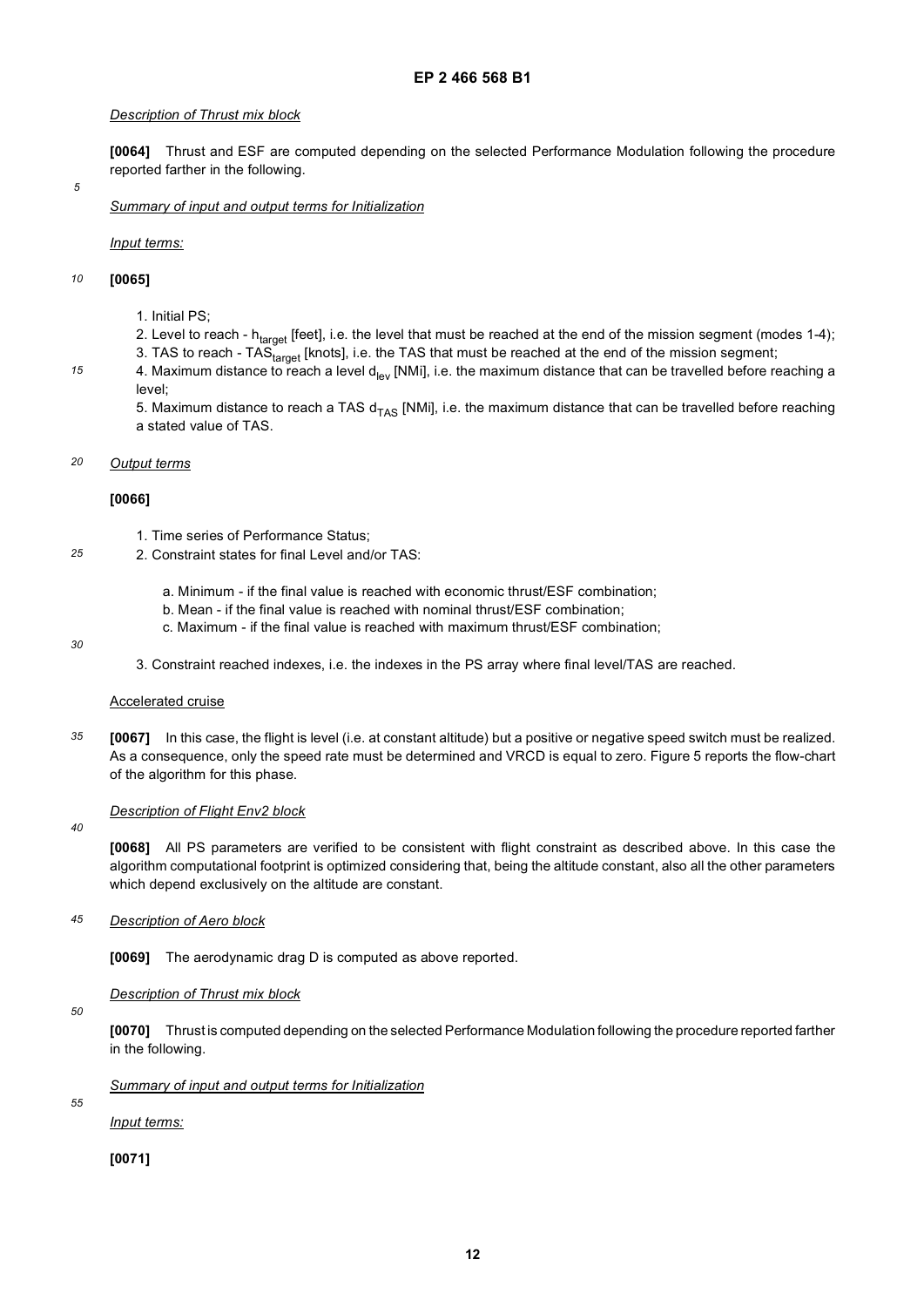### *Description of Thrust mix block*

**[0064]** Thrust and ESF are computed depending on the selected Performance Modulation following the procedure reported farther in the following.

*5*

*15*

*Summary of input and output terms for Initialization*

*Input terms:*

#### *10* **[0065]**

- 1. Initial PS;
- 2. Level to reach  $h_{target}$  [feet], i.e. the level that must be reached at the end of the mission segment (modes 1-4);
- 3. TAS to reach TAS<sub>target</sub> [knots], i.e. the TAS that must be reached at the end of the mission segment;
- 4. Maximum distance to reach a level d<sub>lev</sub> [NMi], i.e. the maximum distance that can be travelled before reaching a level;

5. Maximum distance to reach a TAS  $d_{TAS}$  [NMi], i.e. the maximum distance that can be travelled before reaching a stated value of TAS.

#### *20 Output terms*

# **[0066]**

- 1. Time series of Performance Status;
- *25* 2. Constraint states for final Level and/or TAS:
	- a. Minimum if the final value is reached with economic thrust/ESF combination;
	- b. Mean if the final value is reached with nominal thrust/ESF combination;
	- c. Maximum if the final value is reached with maximum thrust/ESF combination;
- *30*
- 3. Constraint reached indexes, i.e. the indexes in the PS array where final level/TAS are reached.

### Accelerated cruise

*35* **[0067]** In this case, the flight is level (i.e. at constant altitude) but a positive or negative speed switch must be realized. As a consequence, only the speed rate must be determined and VRCD is equal to zero. Figure 5 reports the flow-chart of the algorithm for this phase.

### *Description of Flight Env2 block*

**[0068]** All PS parameters are verified to be consistent with flight constraint as described above. In this case the algorithm computational footprint is optimized considering that, being the altitude constant, also all the other parameters which depend exclusively on the altitude are constant.

*45 Description of Aero block*

**[0069]** The aerodynamic drag D is computed as above reported.

### *Description of Thrust mix block*

*50*

*40*

**[0070]** Thrust is computed depending on the selected Performance Modulation following the procedure reported farther in the following.

*Summary of input and output terms for Initialization*

*55*

*Input terms:*

**[0071]**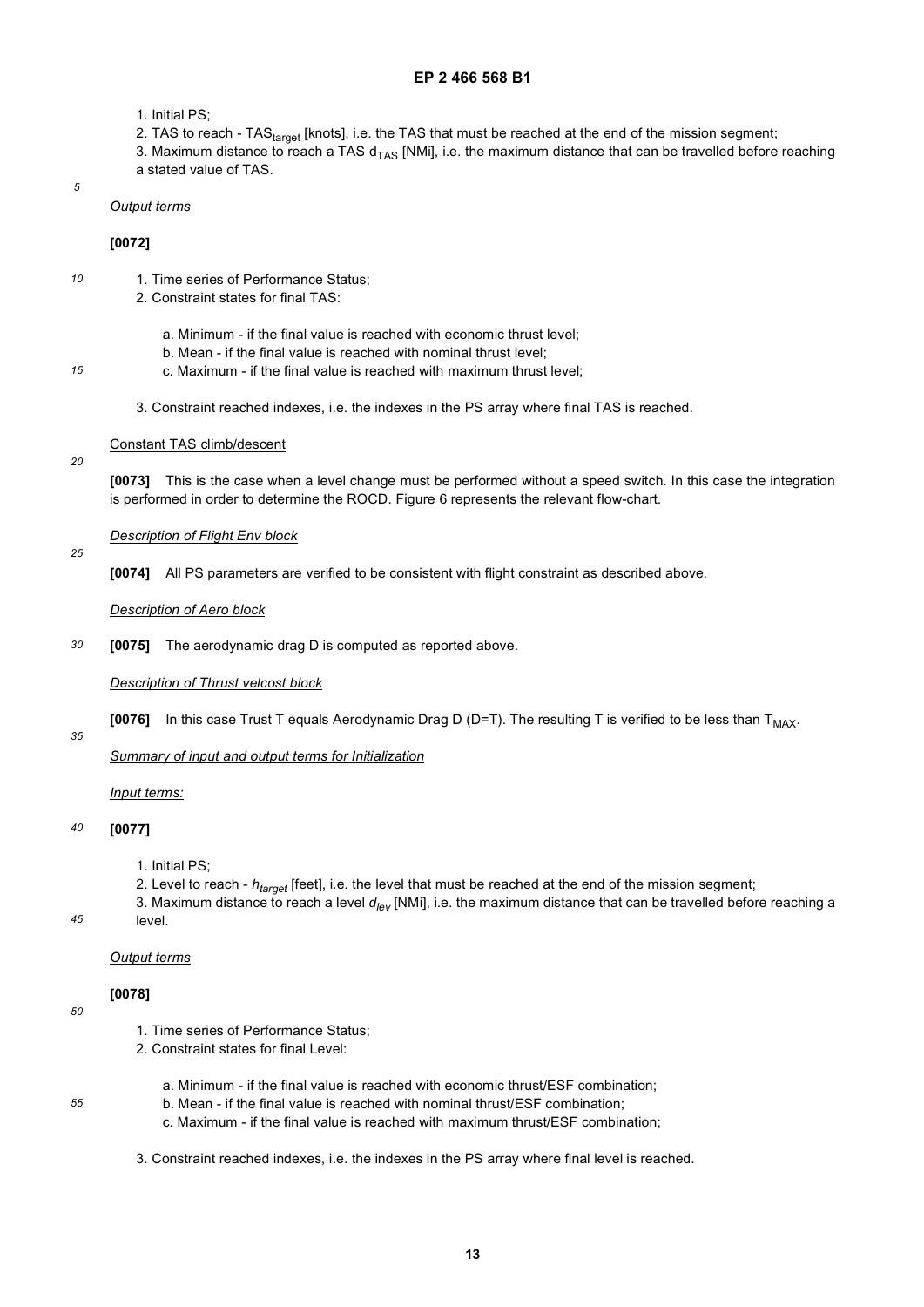- 1. Initial PS;
- 2. TAS to reach TAS<sub>target</sub> [knots], i.e. the TAS that must be reached at the end of the mission segment;

3. Maximum distance to reach a TAS  $d_{TAS}$  [NMi], i.e. the maximum distance that can be travelled before reaching a stated value of TAS.

*5*

*15*

*20*

*25*

# *Output terms*

# **[0072]**

- *10* 1. Time series of Performance Status;
	- 2. Constraint states for final TAS:
		- a. Minimum if the final value is reached with economic thrust level;
		- b. Mean if the final value is reached with nominal thrust level;
		- c. Maximum if the final value is reached with maximum thrust level;
	- 3. Constraint reached indexes, i.e. the indexes in the PS array where final TAS is reached.

# Constant TAS climb/descent

**[0073]** This is the case when a level change must be performed without a speed switch. In this case the integration is performed in order to determine the ROCD. Figure 6 represents the relevant flow-chart.

# *Description of Flight Env block*

**[0074]** All PS parameters are verified to be consistent with flight constraint as described above.

# *Description of Aero block*

*30* **[0075]** The aerodynamic drag D is computed as reported above.

# *Description of Thrust velcost block*

**[0076]** In this case Trust T equals Aerodynamic Drag D (D=T). The resulting T is verified to be less than T<sub>MAX</sub>.

*35*

# *Summary of input and output terms for Initialization*

*Input terms:*

#### *40* **[0077]**

1. Initial PS;

2. Level to reach - *htarget* [feet], i.e. the level that must be reached at the end of the mission segment;

3. Maximum distance to reach a level *dlev* [NMi], i.e. the maximum distance that can be travelled before reaching a level.

### *Output terms*

# **[0078]**

*50*

- 1. Time series of Performance Status;
- 2. Constraint states for final Level:
- *55*
- a. Minimum if the final value is reached with economic thrust/ESF combination;
- b. Mean if the final value is reached with nominal thrust/ESF combination;
- c. Maximum if the final value is reached with maximum thrust/ESF combination;
- 3. Constraint reached indexes, i.e. the indexes in the PS array where final level is reached.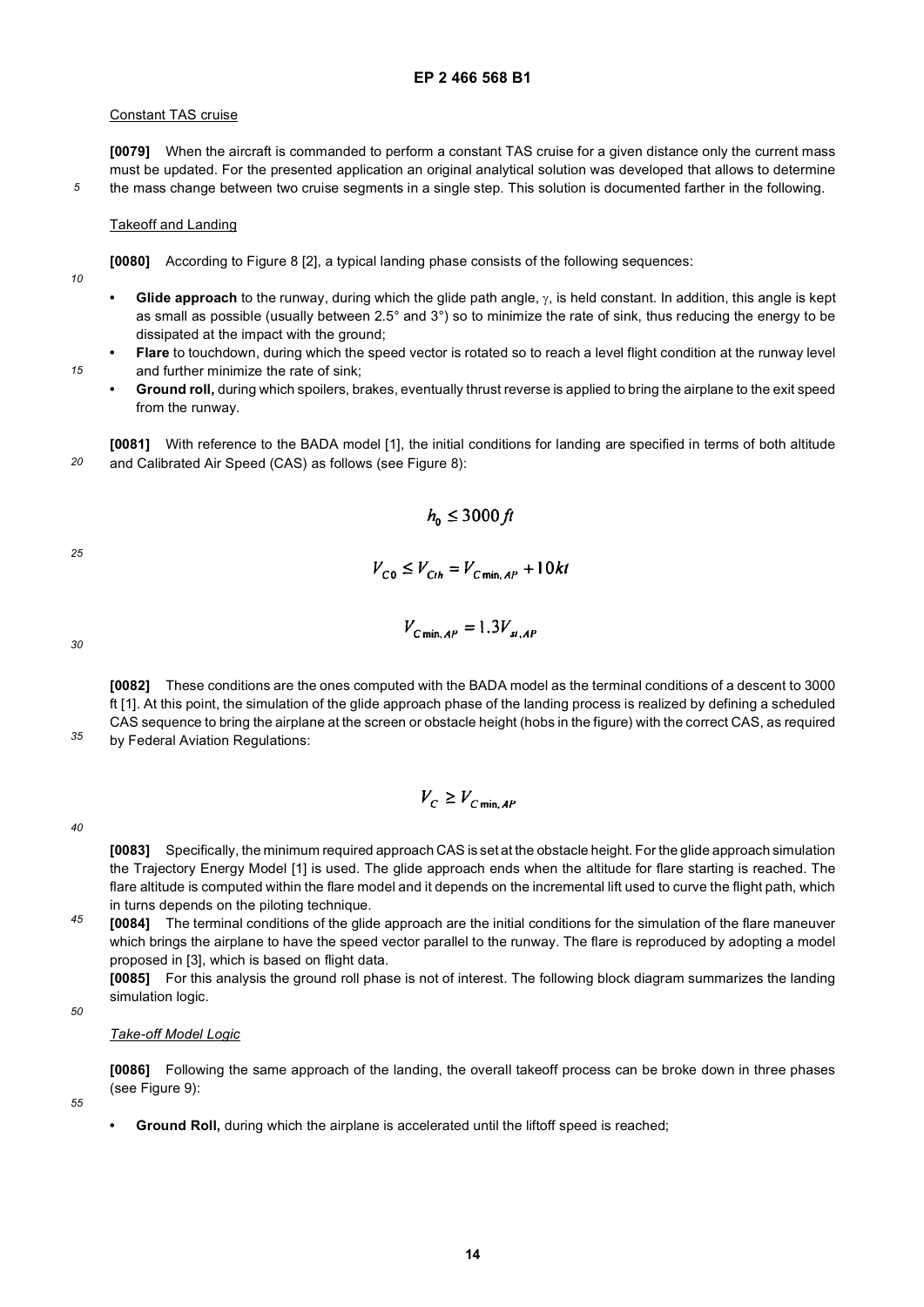# Constant TAS cruise

**[0079]** When the aircraft is commanded to perform a constant TAS cruise for a given distance only the current mass must be updated. For the presented application an original analytical solution was developed that allows to determine the mass change between two cruise segments in a single step. This solution is documented farther in the following.

# Takeoff and Landing

**[0080]** According to Figure 8 [2], a typical landing phase consists of the following sequences:

*10*

*15*

*5*

- **Glide approach** to the runway, during which the glide path angle, γ, is held constant. In addition, this angle is kept as small as possible (usually between 2.5° and 3°) so to minimize the rate of sink, thus reducing the energy to be dissipated at the impact with the ground;
- **Flare** to touchdown, during which the speed vector is rotated so to reach a level flight condition at the runway level and further minimize the rate of sink;
	- **Ground roll,** during which spoilers, brakes, eventually thrust reverse is applied to bring the airplane to the exit speed from the runway.

*20* **[0081]** With reference to the BADA model [1], the initial conditions for landing are specified in terms of both altitude and Calibrated Air Speed (CAS) as follows (see Figure 8):

$$
h_{0} \leq 3000 \, \text{ft}
$$

*25*

$$
V_{C \min, AP} = 1.3 V_{st, AP}
$$

 $V_{C0} \leq V_{Cth} = V_{CminAP} + 10kt$ 

*30*

*35*

**[0082]** These conditions are the ones computed with the BADA model as the terminal conditions of a descent to 3000 ft [1]. At this point, the simulation of the glide approach phase of the landing process is realized by defining a scheduled CAS sequence to bring the airplane at the screen or obstacle height (hobs in the figure) with the correct CAS, as required by Federal Aviation Regulations:

$$
V_C \geq V_{C \min, AP}
$$

*40*

**[0083]** Specifically, the minimum required approach CAS is set at the obstacle height. For the glide approach simulation the Trajectory Energy Model [1] is used. The glide approach ends when the altitude for flare starting is reached. The flare altitude is computed within the flare model and it depends on the incremental lift used to curve the flight path, which in turns depends on the piloting technique.

*45* **[0084]** The terminal conditions of the glide approach are the initial conditions for the simulation of the flare maneuver which brings the airplane to have the speed vector parallel to the runway. The flare is reproduced by adopting a model proposed in [3], which is based on flight data.

**[0085]** For this analysis the ground roll phase is not of interest. The following block diagram summarizes the landing simulation logic.

*50*

## *Take-off Model Logic*

**[0086]** Following the same approach of the landing, the overall takeoff process can be broke down in three phases (see Figure 9):

*55*

**Ground Roll,** during which the airplane is accelerated until the liftoff speed is reached;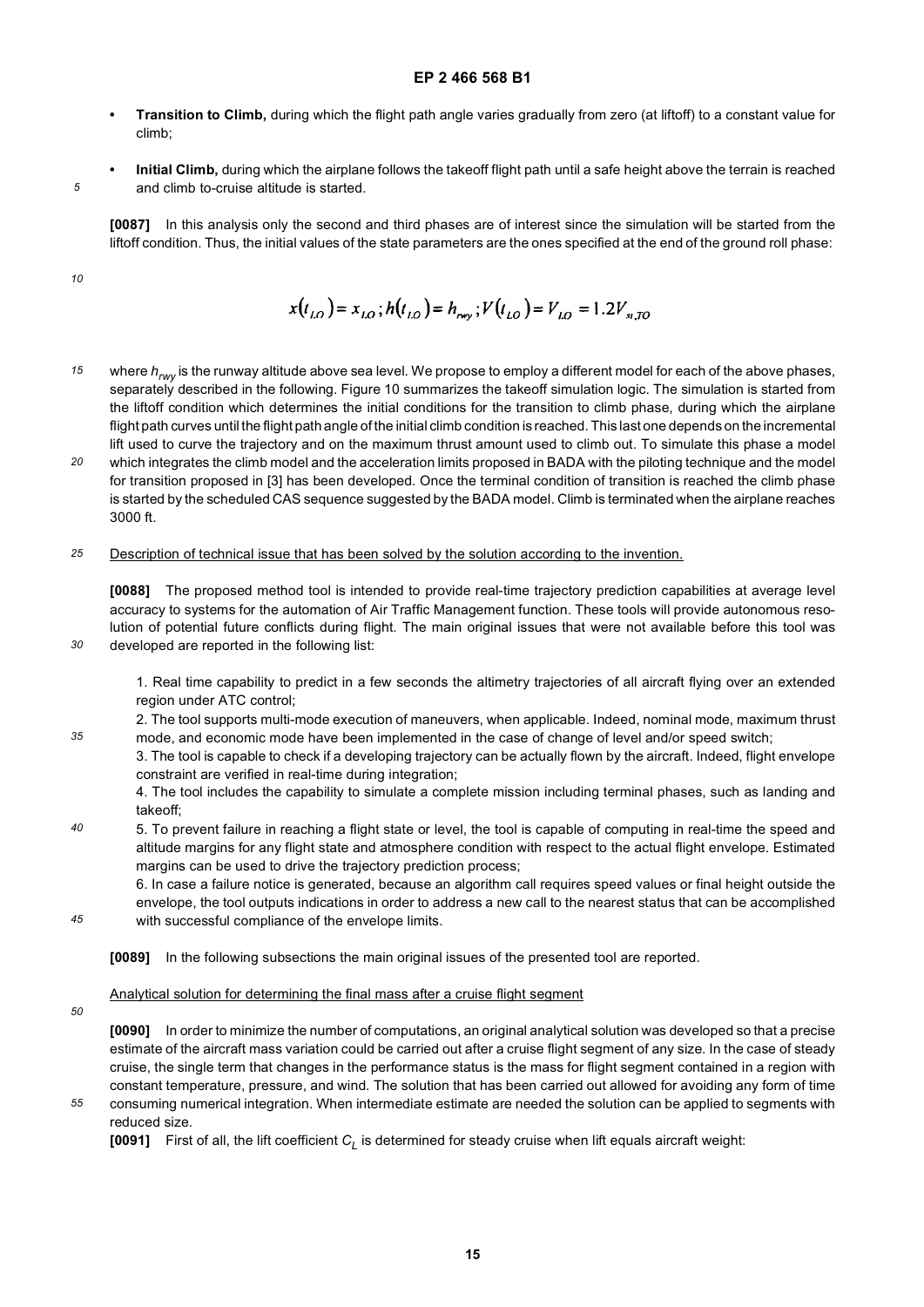- **Transition to Climb,** during which the flight path angle varies gradually from zero (at liftoff) to a constant value for climb;
- **Initial Climb,** during which the airplane follows the takeoff flight path until a safe height above the terrain is reached and climb to-cruise altitude is started.

**[0087]** In this analysis only the second and third phases are of interest since the simulation will be started from the liftoff condition. Thus, the initial values of the state parameters are the ones specified at the end of the ground roll phase:

*10*

*5*

$$
x(t_{LO}) = x_{LO}; h(t_{LO}) = h_{\text{avg}}; V(t_{LO}) = V_{LO} = 1.2V_{s,TO}
$$

- *15* where  $h_{\text{rw}}$  is the runway altitude above sea level. We propose to employ a different model for each of the above phases, separately described in the following. Figure 10 summarizes the takeoff simulation logic. The simulation is started from the liftoff condition which determines the initial conditions for the transition to climb phase, during which the airplane flight path curves until the flight path angle of the initial climb condition is reached. This last one depends on the incremental lift used to curve the trajectory and on the maximum thrust amount used to climb out. To simulate this phase a model
- *20* which integrates the climb model and the acceleration limits proposed in BADA with the piloting technique and the model for transition proposed in [3] has been developed. Once the terminal condition of transition is reached the climb phase is started by the scheduled CAS sequence suggested by the BADA model. Climb is terminated when the airplane reaches 3000 ft.

#### *25* Description of technical issue that has been solved by the solution according to the invention.

**[0088]** The proposed method tool is intended to provide real-time trajectory prediction capabilities at average level accuracy to systems for the automation of Air Traffic Management function. These tools will provide autonomous resolution of potential future conflicts during flight. The main original issues that were not available before this tool was developed are reported in the following list:

1. Real time capability to predict in a few seconds the altimetry trajectories of all aircraft flying over an extended region under ATC control;

2. The tool supports multi-mode execution of maneuvers, when applicable. Indeed, nominal mode, maximum thrust mode, and economic mode have been implemented in the case of change of level and/or speed switch;

3. The tool is capable to check if a developing trajectory can be actually flown by the aircraft. Indeed, flight envelope constraint are verified in real-time during integration;

4. The tool includes the capability to simulate a complete mission including terminal phases, such as landing and takeoff;

*40* 5. To prevent failure in reaching a flight state or level, the tool is capable of computing in real-time the speed and altitude margins for any flight state and atmosphere condition with respect to the actual flight envelope. Estimated margins can be used to drive the trajectory prediction process;

6. In case a failure notice is generated, because an algorithm call requires speed values or final height outside the envelope, the tool outputs indications in order to address a new call to the nearest status that can be accomplished with successful compliance of the envelope limits.

*45*

**[0089]** In the following subsections the main original issues of the presented tool are reported.

## Analytical solution for determining the final mass after a cruise flight segment

*50*

*30*

*35*

**[0090]** In order to minimize the number of computations, an original analytical solution was developed so that a precise estimate of the aircraft mass variation could be carried out after a cruise flight segment of any size. In the case of steady cruise, the single term that changes in the performance status is the mass for flight segment contained in a region with constant temperature, pressure, and wind. The solution that has been carried out allowed for avoiding any form of time

*55* consuming numerical integration. When intermediate estimate are needed the solution can be applied to segments with reduced size.

**[0091]** First of all, the lift coefficient C<sub>l</sub> is determined for steady cruise when lift equals aircraft weight: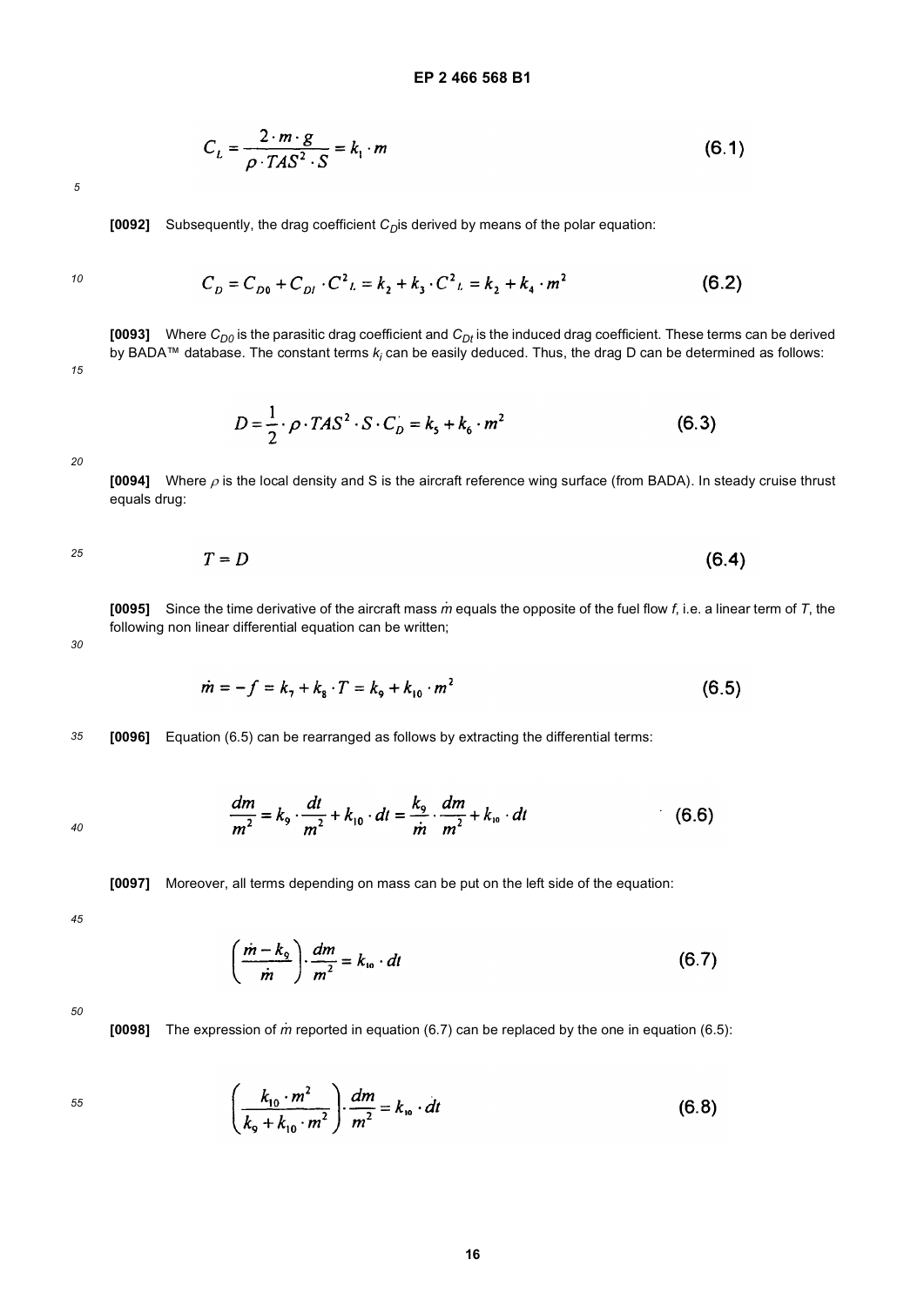$$
C_L = \frac{2 \cdot m \cdot g}{\rho \cdot TAS^2 \cdot S} = k_1 \cdot m \tag{6.1}
$$

**[0092]** Subsequently, the drag coefficient *C<sub>D</sub>*is derived by means of the polar equation:

*10*

*15*

$$
C_D = C_{D0} + C_{DI} \cdot C^2 L = k_2 + k_3 \cdot C^2 L = k_2 + k_4 \cdot m^2
$$
 (6.2)

**[0093]** Where  $C_{D0}$  is the parasitic drag coefficient and  $C_{Dt}$  is the induced drag coefficient. These terms can be derived by BADA™ database. The constant terms *k<sub>i</sub>* can be easily deduced. Thus, the drag D can be determined as follows:

$$
D = \frac{1}{2} \cdot \rho \cdot T A S^2 \cdot S \cdot C_D = k_s + k_6 \cdot m^2
$$
 (6.3)

*20*

**[0094]** Where ρ is the local density and S is the aircraft reference wing surface (from BADA). In steady cruise thrust equals drug:

$$
T = D \tag{6.4}
$$

**[0095]** Since the time derivative of the aircraft mass *m* equals the opposite of the fuel flow *f*, i.e. a linear term of *T*, the · following non linear differential equation can be written;

*30*

$$
\dot{m} = -f = k_1 + k_8 \cdot T = k_9 + k_{10} \cdot m^2 \tag{6.5}
$$

*35* **[0096]** Equation (6.5) can be rearranged as follows by extracting the differential terms:

$$
\frac{dm}{m^2} = k_9 \cdot \frac{dt}{m^2} + k_{10} \cdot dt = \frac{k_9}{m} \cdot \frac{dm}{m^2} + k_{10} \cdot dt \qquad (6.6)
$$

**[0097]** Moreover, all terms depending on mass can be put on the left side of the equation:

*45*

*40*

$$
\left(\frac{\dot{m}-k_{\rm o}}{\dot{m}}\right)\cdot\frac{dm}{m^2}=k_{\rm lo}\cdot dt\tag{6.7}
$$

*50*

**[0098]** The expression of *m* reported in equation (6.7) can be replaced by the one in equation (6.5): ·

$$
\left(\frac{k_{10} \cdot m^2}{k_9 + k_{10} \cdot m^2}\right) \cdot \frac{dm}{m^2} = k_{10} \cdot dt
$$
 (6.8)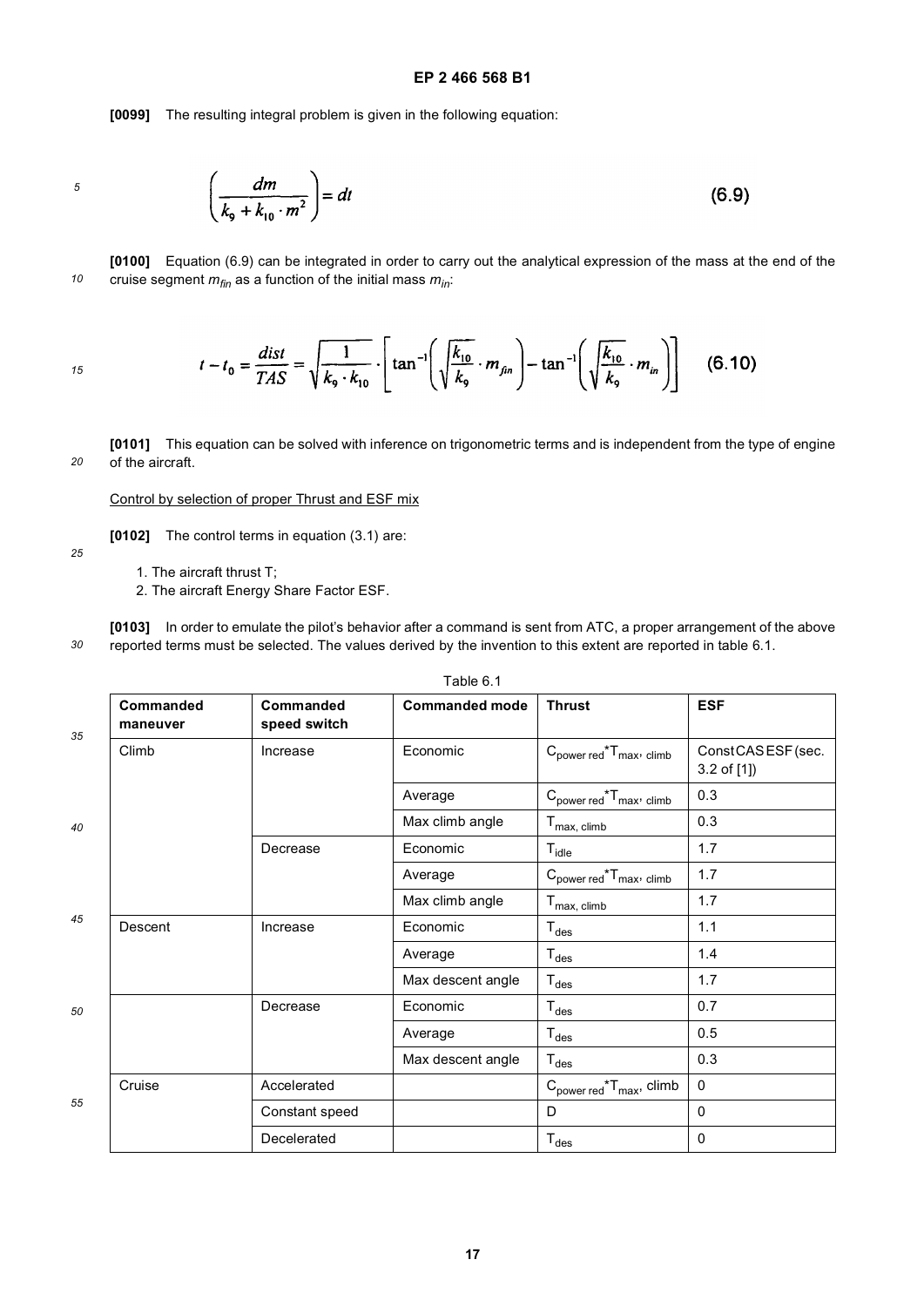**[0099]** The resulting integral problem is given in the following equation:

$$
\boldsymbol{5}
$$

$$
\left(\frac{dm}{k_9 + k_{10} \cdot m^2}\right) = dt \tag{6.9}
$$

*10* **[0100]** Equation (6.9) can be integrated in order to carry out the analytical expression of the mass at the end of the cruise segment  $m_{fin}$  as a function of the initial mass  $m_{in}$ .

*15*

$$
t - t_0 = \frac{dist}{TAS} = \sqrt{\frac{1}{k_9 \cdot k_{10}}} \cdot \left[ \tan^{-1} \left( \sqrt{\frac{k_{10}}{k_9}} \cdot m_{fin} \right) - \tan^{-1} \left( \sqrt{\frac{k_{10}}{k_9}} \cdot m_{in} \right) \right] \tag{6.10}
$$

*20* **[0101]** This equation can be solved with inference on trigonometric terms and is independent from the type of engine of the aircraft.

Control by selection of proper Thrust and ESF mix

**[0102]** The control terms in equation (3.1) are:

*25*

1. The aircraft thrust T;

2. The aircraft Energy Share Factor ESF.

*30* **[0103]** In order to emulate the pilot's behavior after a command is sent from ATC, a proper arrangement of the above reported terms must be selected. The values derived by the invention to this extent are reported in table 6.1.

| Commanded<br>maneuver | Commanded<br>speed switch | <b>Commanded mode</b> | <b>Thrust</b>                                   | <b>ESF</b>                          |
|-----------------------|---------------------------|-----------------------|-------------------------------------------------|-------------------------------------|
| Climb                 | Increase                  | Economic              | $C_{power\ red}$ <sup>*</sup> $T_{max}$ , climb | ConstCASESF (sec.<br>$3.2$ of $[1]$ |
|                       |                           | Average               | $C_{power\,red}$ <sup>*</sup> $T_{max}$ , climb | 0.3                                 |
|                       |                           | Max climb angle       | $T_{\text{max, climb}}$                         | 0.3                                 |
|                       | Decrease                  | Economic              | $T_{idle}$                                      | 1.7                                 |
|                       |                           | Average               | $C_{power\ red}$ <sup>*</sup> $T_{max}$ , climb | 1.7                                 |
|                       |                           | Max climb angle       | $T_{\text{max, climb}}$                         | 1.7                                 |
| Descent               | Increase                  | Economic              | $T_{des}$                                       | 1.1                                 |
|                       |                           | Average               | $\mathsf{T}_{\mathsf{des}}$                     | 1.4                                 |
|                       |                           | Max descent angle     | $\mathsf{T}_{\mathsf{des}}$                     | 1.7                                 |
|                       | Decrease                  | Economic              | $T_{des}$                                       | 0.7                                 |
|                       |                           | Average               | $\mathsf{T}_{\mathsf{des}}$                     | 0.5                                 |
|                       |                           | Max descent angle     | $T_{des}$                                       | 0.3                                 |
| Cruise                | Accelerated               |                       | $C_{power\ red}$ <sup>*</sup> $T_{max}$ , climb | $\mathbf 0$                         |
|                       | Constant speed            |                       | D                                               | $\mathbf{0}$                        |
|                       | Decelerated               |                       | $T_{des}$                                       | $\mathbf{0}$                        |
|                       |                           |                       |                                                 |                                     |

Table 6.1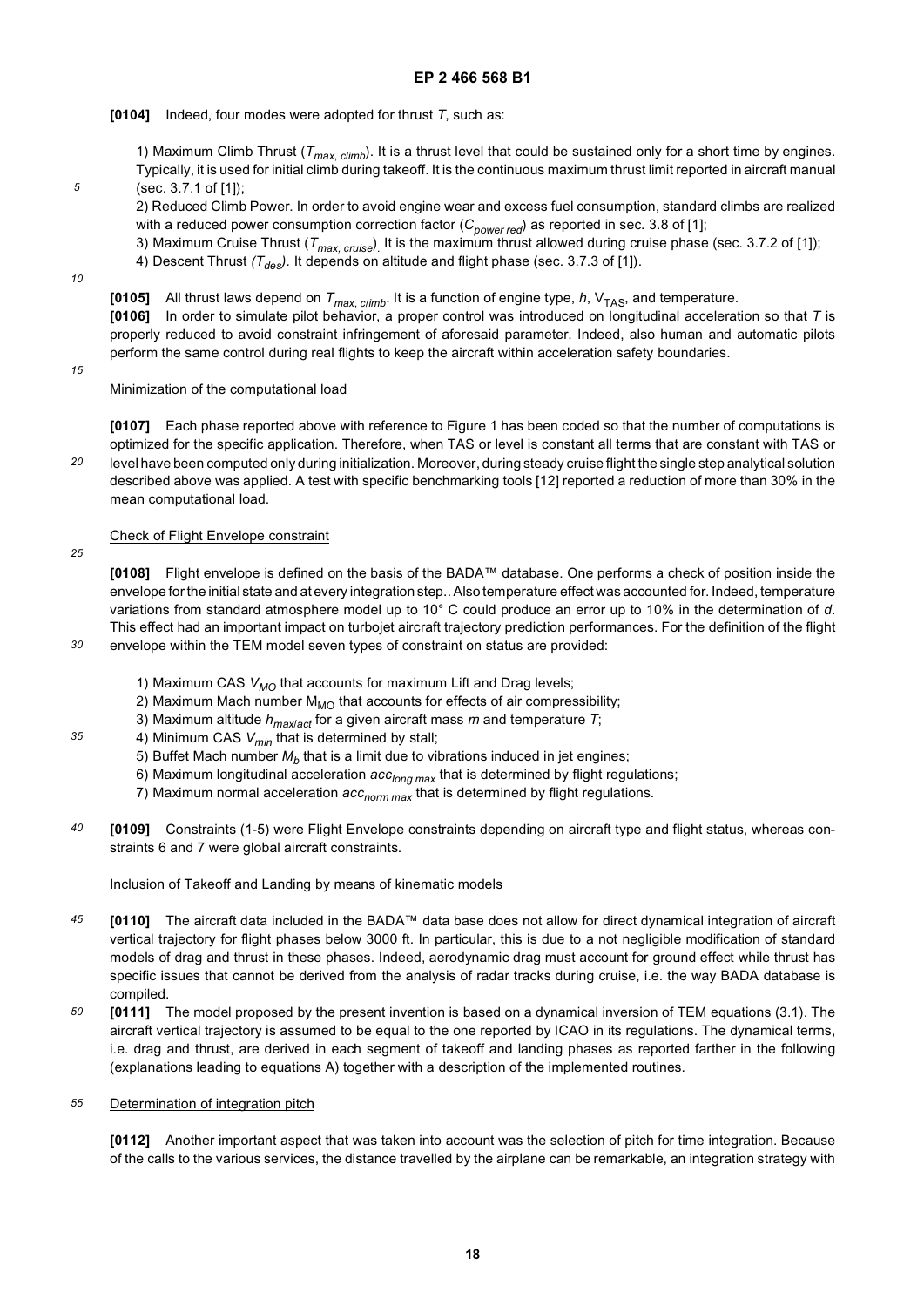**[0104]** Indeed, four modes were adopted for thrust *T*, such as:

1) Maximum Climb Thrust (*Tmax*, *climb*). It is a thrust level that could be sustained only for a short time by engines. Typically, it is used for initial climb during takeoff. It is the continuous maximum thrust limit reported in aircraft manual (sec. 3.7.1 of [1]);

2) Reduced Climb Power. In order to avoid engine wear and excess fuel consumption, standard climbs are realized with a reduced power consumption correction factor (C<sub>power red</sub>) as reported in sec. 3.8 of [1];

3) Maximum Cruise Thrust (*T<sub>max, cruise*)<sub>.</sub> It is the maximum thrust allowed during cruise phase (sec. 3.7.2 of [1]);</sub> 4) Descent Thrust  $(T_{des})$ . It depends on altitude and flight phase (sec. 3.7.3 of [1]).

*10*

*5*

**[0105]** All thrust laws depend on  $T_{max. \, cilimb}$ . It is a function of engine type,  $h$ ,  $V_{TAS}$ , and temperature.

**[0106]** In order to simulate pilot behavior, a proper control was introduced on longitudinal acceleration so that *T* is properly reduced to avoid constraint infringement of aforesaid parameter. Indeed, also human and automatic pilots perform the same control during real flights to keep the aircraft within acceleration safety boundaries.

*15*

Minimization of the computational load

*20* **[0107]** Each phase reported above with reference to Figure 1 has been coded so that the number of computations is optimized for the specific application. Therefore, when TAS or level is constant all terms that are constant with TAS or level have been computed only during initialization. Moreover, during steady cruise flight the single step analytical solution described above was applied. A test with specific benchmarking tools [12] reported a reduction of more than 30% in the mean computational load.

# Check of Flight Envelope constraint

*25*

*30*

*35*

**[0108]** Flight envelope is defined on the basis of the BADA™ database. One performs a check of position inside the envelope for the initial state and at every integration step.. Also temperature effect was accounted for. Indeed, temperature variations from standard atmosphere model up to 10° C could produce an error up to 10% in the determination of *d*. This effect had an important impact on turbojet aircraft trajectory prediction performances. For the definition of the flight envelope within the TEM model seven types of constraint on status are provided:

- 1) Maximum CAS *V<sub>MO</sub>* that accounts for maximum Lift and Drag levels;
- 2) Maximum Mach number  $M_{MO}$  that accounts for effects of air compressibility;
- 3) Maximum altitude *hmax*/*act* for a given aircraft mass *m* and temperature *T*;
- 4) Minimum CAS  $V_{min}$  that is determined by stall;
	- 5) Buffet Mach number  $M_h$  that is a limit due to vibrations induced in jet engines;
	- 6) Maximum longitudinal acceleration  $acc_{long\,max}$  that is determined by flight regulations;
	- 7) Maximum normal acceleration *acc<sub>norm max* that is determined by flight regulations.</sub>
- *40* **[0109]** Constraints (1-5) were Flight Envelope constraints depending on aircraft type and flight status, whereas constraints 6 and 7 were global aircraft constraints.

# Inclusion of Takeoff and Landing by means of kinematic models

- *45* **[0110]** The aircraft data included in the BADA™ data base does not allow for direct dynamical integration of aircraft vertical trajectory for flight phases below 3000 ft. In particular, this is due to a not negligible modification of standard models of drag and thrust in these phases. Indeed, aerodynamic drag must account for ground effect while thrust has specific issues that cannot be derived from the analysis of radar tracks during cruise, i.e. the way BADA database is compiled.
- *50* **[0111]** The model proposed by the present invention is based on a dynamical inversion of TEM equations (3.1). The aircraft vertical trajectory is assumed to be equal to the one reported by ICAO in its regulations. The dynamical terms, i.e. drag and thrust, are derived in each segment of takeoff and landing phases as reported farther in the following (explanations leading to equations A) together with a description of the implemented routines.

#### *55* Determination of integration pitch

**[0112]** Another important aspect that was taken into account was the selection of pitch for time integration. Because of the calls to the various services, the distance travelled by the airplane can be remarkable, an integration strategy with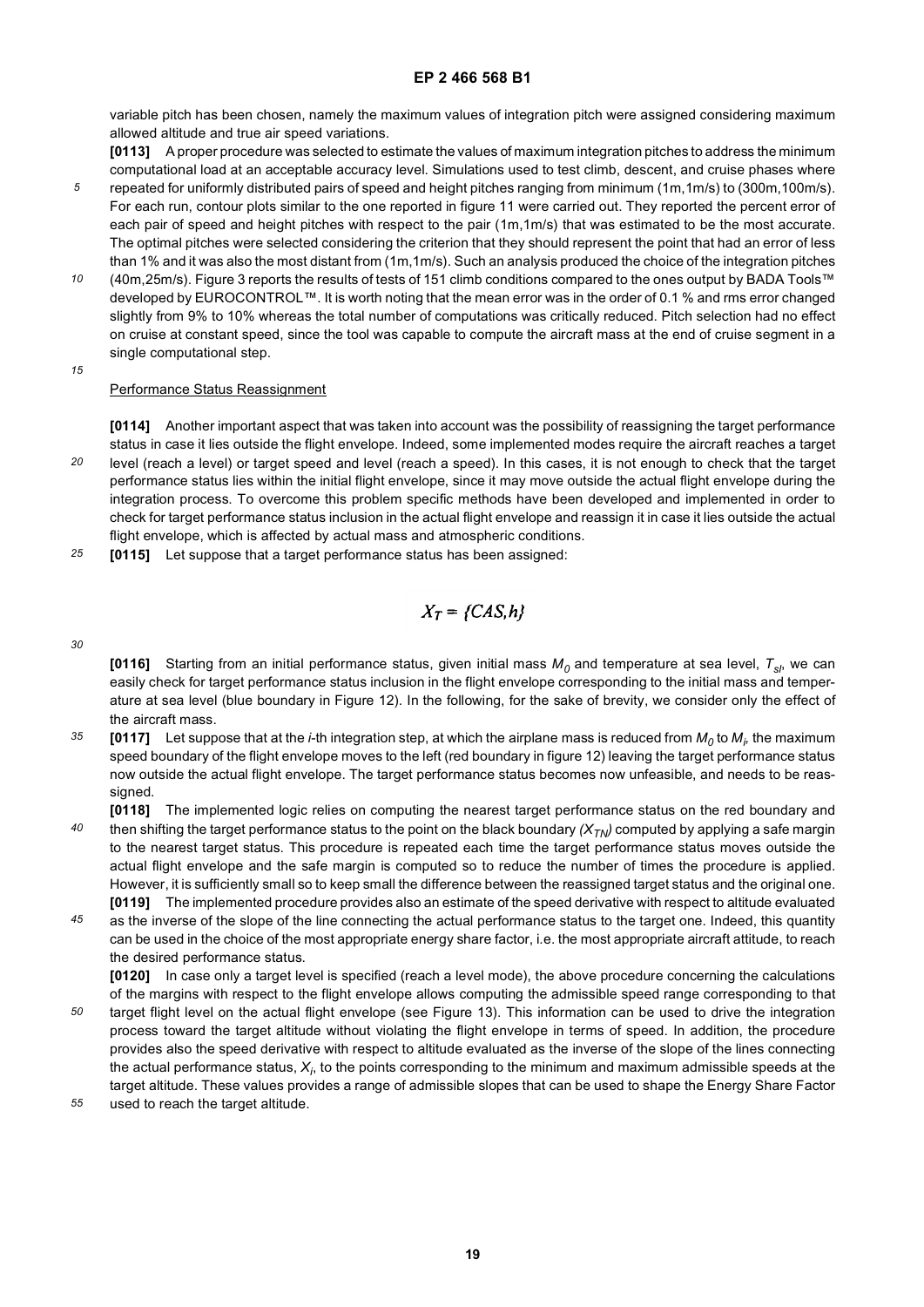variable pitch has been chosen, namely the maximum values of integration pitch were assigned considering maximum allowed altitude and true air speed variations.

**[0113]** A proper procedure was selected to estimate the values of maximum integration pitches to address the minimum computational load at an acceptable accuracy level. Simulations used to test climb, descent, and cruise phases where

- *5* repeated for uniformly distributed pairs of speed and height pitches ranging from minimum (1m,1m/s) to (300m,100m/s). For each run, contour plots similar to the one reported in figure 11 were carried out. They reported the percent error of each pair of speed and height pitches with respect to the pair (1m,1m/s) that was estimated to be the most accurate. The optimal pitches were selected considering the criterion that they should represent the point that had an error of less than 1% and it was also the most distant from (1m,1m/s). Such an analysis produced the choice of the integration pitches
- *10* (40m,25m/s). Figure 3 reports the results of tests of 151 climb conditions compared to the ones output by BADA Tools™ developed by EUROCONTROL™. It is worth noting that the mean error was in the order of 0.1 % and rms error changed slightly from 9% to 10% whereas the total number of computations was critically reduced. Pitch selection had no effect on cruise at constant speed, since the tool was capable to compute the aircraft mass at the end of cruise segment in a single computational step.
- *15*

# Performance Status Reassignment

**[0114]** Another important aspect that was taken into account was the possibility of reassigning the target performance status in case it lies outside the flight envelope. Indeed, some implemented modes require the aircraft reaches a target level (reach a level) or target speed and level (reach a speed). In this cases, it is not enough to check that the target

- *20* performance status lies within the initial flight envelope, since it may move outside the actual flight envelope during the integration process. To overcome this problem specific methods have been developed and implemented in order to check for target performance status inclusion in the actual flight envelope and reassign it in case it lies outside the actual flight envelope, which is affected by actual mass and atmospheric conditions.
- *25* **[0115]** Let suppose that a target performance status has been assigned:

$$
X_T = \{CAS, h\}
$$

*30*

**[0116]** Starting from an initial performance status, given initial mass M<sub>0</sub> and temperature at sea level, T<sub>sl</sub>, we can easily check for target performance status inclusion in the flight envelope corresponding to the initial mass and temperature at sea level (blue boundary in Figure 12). In the following, for the sake of brevity, we consider only the effect of the aircraft mass.

- *35* [0117] Let suppose that at the *i*-th integration step, at which the airplane mass is reduced from  $M_0$  to  $M_{\dot{p}}$  the maximum speed boundary of the flight envelope moves to the left (red boundary in figure 12) leaving the target performance status now outside the actual flight envelope. The target performance status becomes now unfeasible, and needs to be reassigned.
- *40* **[0118]** The implemented logic relies on computing the nearest target performance status on the red boundary and then shifting the target performance status to the point on the black boundary  $(X_{T_N})$  computed by applying a safe margin to the nearest target status. This procedure is repeated each time the target performance status moves outside the actual flight envelope and the safe margin is computed so to reduce the number of times the procedure is applied. However, it is sufficiently small so to keep small the difference between the reassigned target status and the original one. **[0119]** The implemented procedure provides also an estimate of the speed derivative with respect to altitude evaluated
- *45* as the inverse of the slope of the line connecting the actual performance status to the target one. Indeed, this quantity can be used in the choice of the most appropriate energy share factor, i.e. the most appropriate aircraft attitude, to reach the desired performance status.

**[0120]** In case only a target level is specified (reach a level mode), the above procedure concerning the calculations of the margins with respect to the flight envelope allows computing the admissible speed range corresponding to that

- *50* target flight level on the actual flight envelope (see Figure 13). This information can be used to drive the integration process toward the target altitude without violating the flight envelope in terms of speed. In addition, the procedure provides also the speed derivative with respect to altitude evaluated as the inverse of the slope of the lines connecting the actual performance status,  $X_{j\cdot}$  to the points corresponding to the minimum and maximum admissible speeds at the target altitude. These values provides a range of admissible slopes that can be used to shape the Energy Share Factor
- *55* used to reach the target altitude.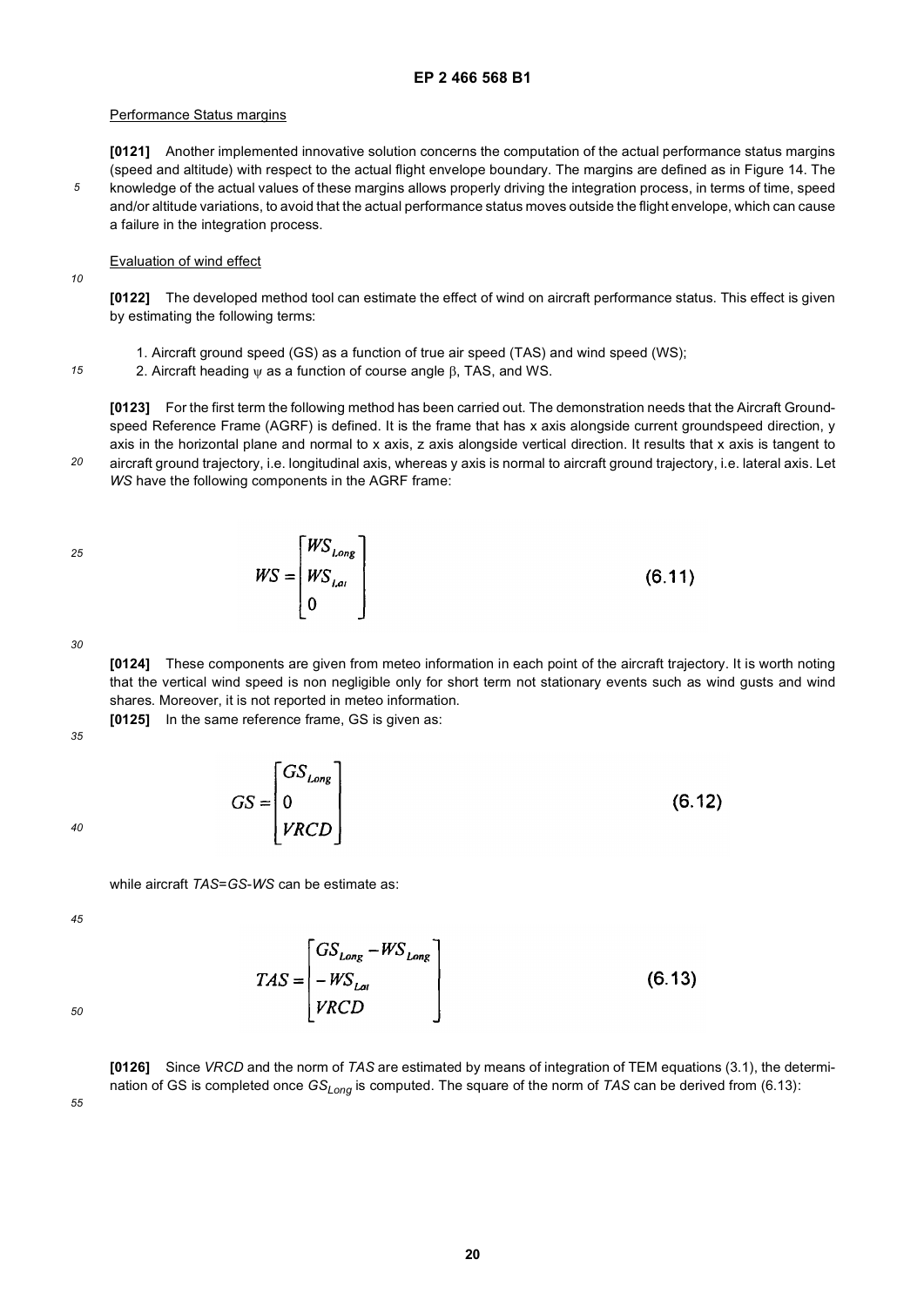### Performance Status margins

**[0121]** Another implemented innovative solution concerns the computation of the actual performance status margins (speed and altitude) with respect to the actual flight envelope boundary. The margins are defined as in Figure 14. The knowledge of the actual values of these margins allows properly driving the integration process, in terms of time, speed and/or altitude variations, to avoid that the actual performance status moves outside the flight envelope, which can cause a failure in the integration process.

# Evaluation of wind effect

*10*

*15*

*20*

*5*

**[0122]** The developed method tool can estimate the effect of wind on aircraft performance status. This effect is given by estimating the following terms:

- 1. Aircraft ground speed (GS) as a function of true air speed (TAS) and wind speed (WS);
- 2. Aircraft heading ψ as a function of course angle β, TAS, and WS.

**[0123]** For the first term the following method has been carried out. The demonstration needs that the Aircraft Groundspeed Reference Frame (AGRF) is defined. It is the frame that has x axis alongside current groundspeed direction, y axis in the horizontal plane and normal to x axis, z axis alongside vertical direction. It results that x axis is tangent to aircraft ground trajectory, i.e. longitudinal axis, whereas y axis is normal to aircraft ground trajectory, i.e. lateral axis. Let

# *WS* have the following components in the AGRF frame:

$$
WS = \begin{bmatrix} W S_{Long} \\ W S_{Lai} \\ 0 \end{bmatrix}
$$
 (6.11)

*30*

*25*

**[0124]** These components are given from meteo information in each point of the aircraft trajectory. It is worth noting that the vertical wind speed is non negligible only for short term not stationary events such as wind gusts and wind shares. Moreover, it is not reported in meteo information.

 $(6.12)$ 

**[0125]** In the same reference frame, GS is given as:

 $GS = \begin{bmatrix} GS_{Long} \\ 0 \\ VRCD \end{bmatrix}$ 

*35*

*40*

while aircraft *TAS*=*GS*-*WS* can be estimate as:

*45*



*50*

**[0126]** Since *VRCD* and the norm of *TAS* are estimated by means of integration of TEM equations (3.1), the determination of GS is completed once GS<sub>Long</sub> is computed. The square of the norm of *TAS* can be derived from (6.13):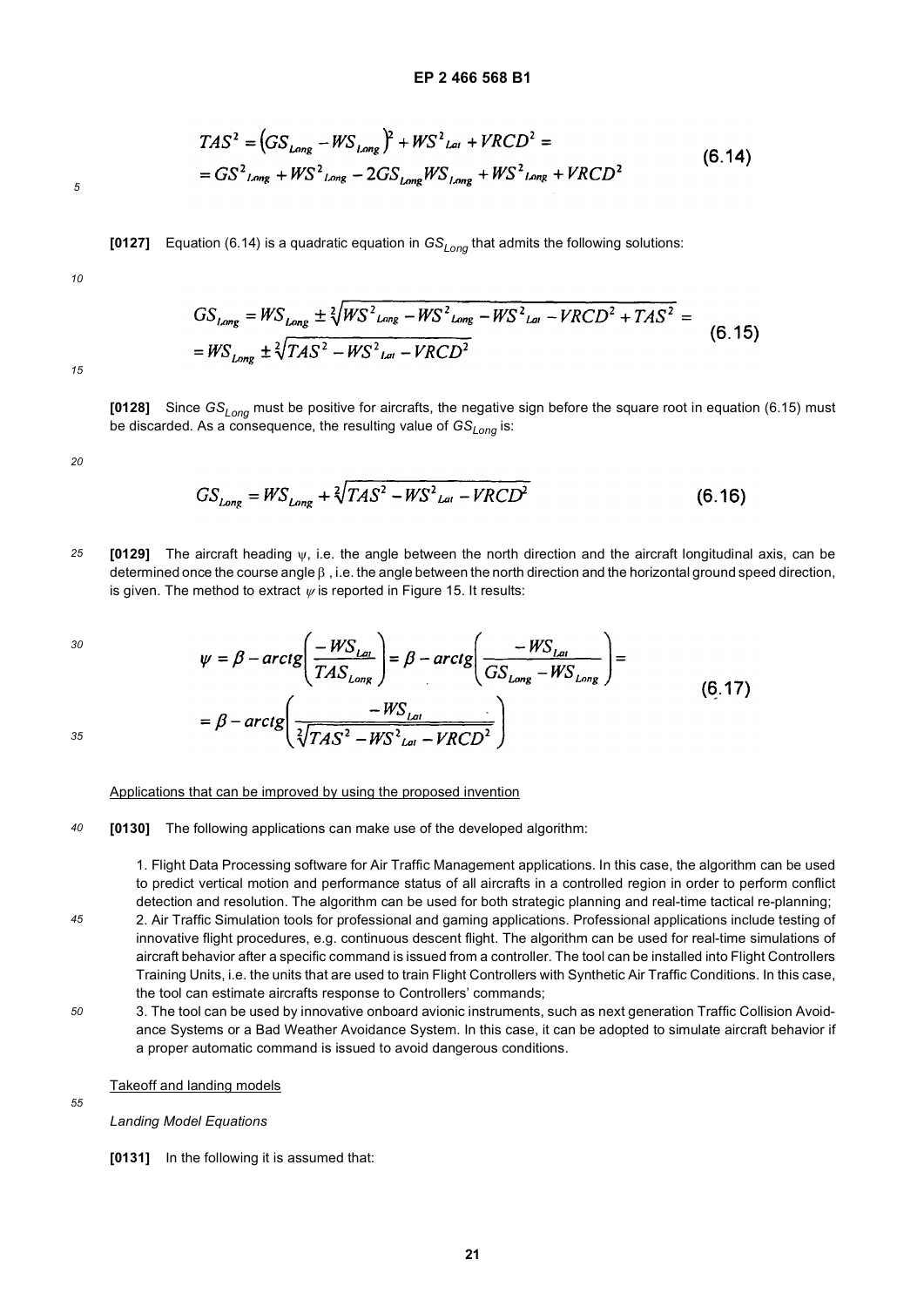$(6.14)$  $=GS^2_{long} + WS^2_{long} - 2GS_{long}WS_{long} + WS^2_{long} + VRCD^2$ 

**[0127]** Equation (6.14) is a quadratic equation in *GSLong* that admits the following solutions:

 $TAS^2 = (GS_{Lape} - WS_{Lone})^2 + WS^2_{Lat} + VRCD^2 =$ 

*10*

 $GS_{long} = WS_{long} \pm \sqrt[2]{WS^2_{long} - WS^2_{long} - WS^2_{long} - VRCD^2 + TAS^2} =$  $(6.15)$ =  $WS_{long} \pm \sqrt[2]{TAS^2 - WS^2_{lat} - VRCD^2}$ 

*15*

**[0128]** Since *GSLong* must be positive for aircrafts, the negative sign before the square root in equation (6.15) must be discarded. As a consequence, the resulting value of  $GS_{Long}$  is:

*20*

$$
GS_{Long} = WS_{Long} + \sqrt[2]{TAS^2 - WS^2_{lat} - VRCD^2}
$$
 (6.16)

*25* **[0129]** The aircraft heading ψ, i.e. the angle between the north direction and the aircraft longitudinal axis, can be determined once the course angle β , i.e. the angle between the north direction and the horizontal ground speed direction, is given. The method to extract  $\psi$  is reported in Figure 15. It results:

$$
\psi = \beta - \arctg \left( \frac{-WS_{Lat}}{TAS_{Long}} \right) = \beta - \arctg \left( \frac{-WS_{Lat}}{GS_{Long} - WS_{Long}} \right) =
$$
\n
$$
= \beta - \arctg \left( \frac{-WS_{Lat}}{\sqrt[3]{TAS^2 - WS^2_{Lat} - VRCD^2}} \right)
$$
\n(6.17)

*35*

*30*

### Applications that can be improved by using the proposed invention

*40* **[0130]** The following applications can make use of the developed algorithm:

> 1. Flight Data Processing software for Air Traffic Management applications. In this case, the algorithm can be used to predict vertical motion and performance status of all aircrafts in a controlled region in order to perform conflict detection and resolution. The algorithm can be used for both strategic planning and real-time tactical re-planning;

- *45* 2. Air Traffic Simulation tools for professional and gaming applications. Professional applications include testing of innovative flight procedures, e.g. continuous descent flight. The algorithm can be used for real-time simulations of aircraft behavior after a specific command is issued from a controller. The tool can be installed into Flight Controllers Training Units, i.e. the units that are used to train Flight Controllers with Synthetic Air Traffic Conditions. In this case, the tool can estimate aircrafts response to Controllers' commands;
- *50* 3. The tool can be used by innovative onboard avionic instruments, such as next generation Traffic Collision Avoidance Systems or a Bad Weather Avoidance System. In this case, it can be adopted to simulate aircraft behavior if a proper automatic command is issued to avoid dangerous conditions.

## Takeoff and landing models

*55*

*Landing Model Equations*

### **[0131]** In the following it is assumed that: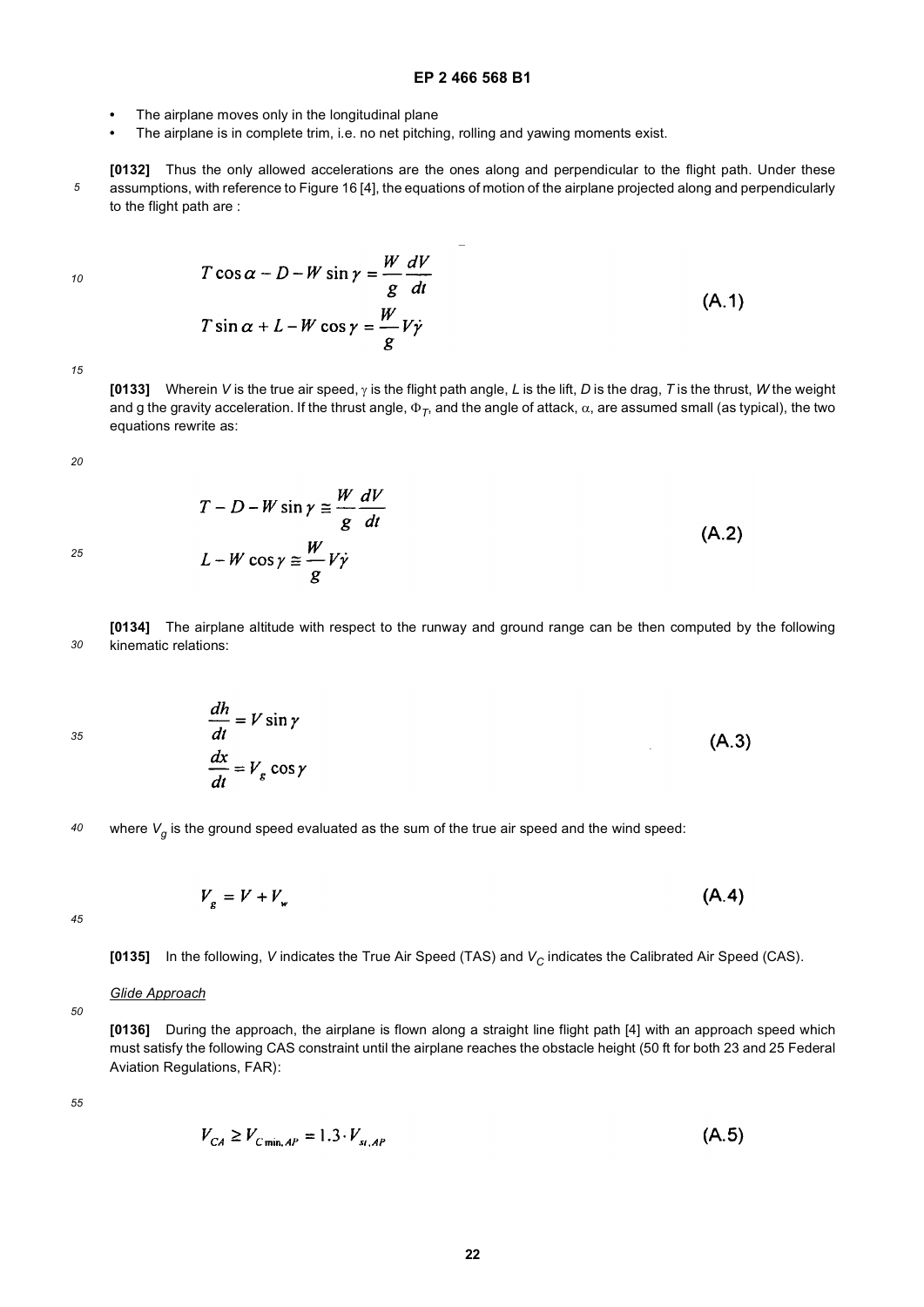- **•** The airplane moves only in the longitudinal plane
- **•** The airplane is in complete trim, i.e. no net pitching, rolling and yawing moments exist.
- *5* **[0132]** Thus the only allowed accelerations are the ones along and perpendicular to the flight path. Under these assumptions, with reference to Figure 16 [4], the equations of motion of the airplane projected along and perpendicularly to the flight path are :

 $\sim$ 

*10*

$$
T\cos\alpha - D - W\sin\gamma = \frac{w}{g}\frac{dV}{dt}
$$
  

$$
T\sin\alpha + L - W\cos\gamma = \frac{W}{g}V\dot{\gamma}
$$
 (A.1)

*15*

**[0133]** Wherein *V* is the true air speed, γ is the flight path angle, *L* is the lift, *D* is the drag, *T* is the thrust, *W* the weight and g the gravity acceleration. If the thrust angle, Φ*T*, and the angle of attack, α, are assumed small (as typical), the two equations rewrite as:

*20*

*25*

$$
T - D - W \sin \gamma \approx \frac{W}{g} \frac{dV}{dt}
$$
  
\n
$$
L - W \cos \gamma \approx \frac{W}{g} V \dot{\gamma}
$$
 (A.2)

*30* **[0134]** The airplane altitude with respect to the runway and ground range can be then computed by the following kinematic relations:

*35*

$$
\frac{dh}{dt} = V \sin \gamma
$$

$$
\frac{dx}{dt} = V_g \cos \gamma
$$

*40* where  $V_q$  is the ground speed evaluated as the sum of the true air speed and the wind speed:

 $V_e = V + V_u$ 

*45*

[0135] In the following, *V* indicates the True Air Speed (TAS) and *V<sub>C</sub>* indicates the Calibrated Air Speed (CAS).

## *Glide Approach*

**[0136]** During the approach, the airplane is flown along a straight line flight path [4] with an approach speed which must satisfy the following CAS constraint until the airplane reaches the obstacle height (50 ft for both 23 and 25 Federal Aviation Regulations, FAR):

*55*

*50*

$$
V_{CA} \ge V_{C_{\min,AP}} = 1.3 \cdot V_{st,AP} \tag{A.5}
$$

 $(A.4)$ 

 $(A.3)$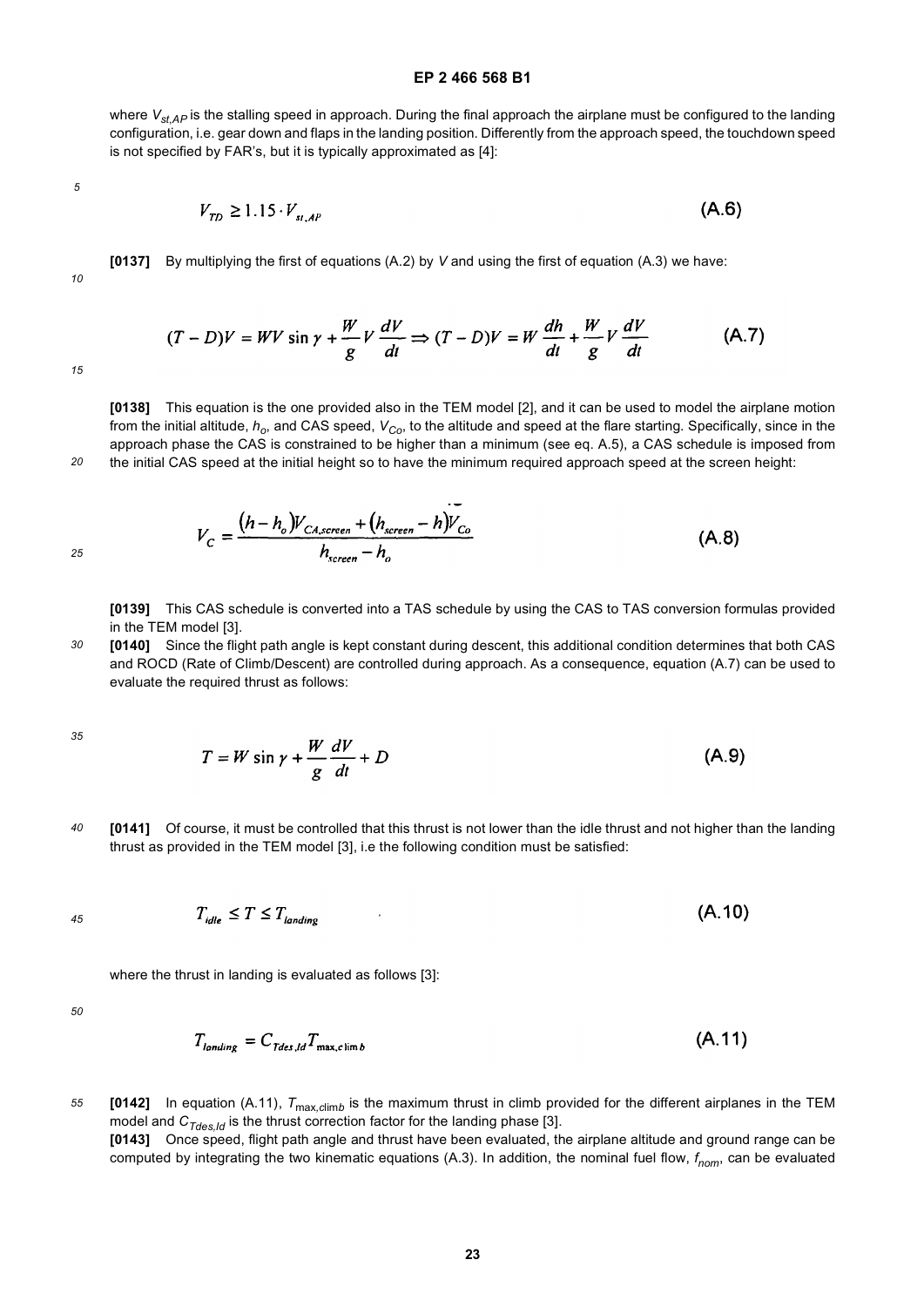where  $V_{stAP}$  is the stalling speed in approach. During the final approach the airplane must be configured to the landing configuration, i.e. gear down and flaps in the landing position. Differently from the approach speed, the touchdown speed is not specified by FAR's, but it is typically approximated as [4]:

*5*

$$
V_{TD} \ge 1.15 \cdot V_{s_{I,AP}} \tag{A.6}
$$

*10*

**[0137]** By multiplying the first of equations (A.2) by *V* and using the first of equation (A.3) we have:

$$
(T - D)V = WV \sin \gamma + \frac{W}{g}V \frac{dV}{dt} \Rightarrow (T - D)V = W \frac{dh}{dt} + \frac{W}{g}V \frac{dV}{dt}
$$
 (A.7)

*15*

*20*

*25*

**[0138]** This equation is the one provided also in the TEM model [2], and it can be used to model the airplane motion from the initial altitude,  $h_o$ , and CAS speed,  $V_{Co}$ , to the altitude and speed at the flare starting. Specifically, since in the approach phase the CAS is constrained to be higher than a minimum (see eq. A.5), a CAS schedule is imposed from the initial CAS speed at the initial height so to have the minimum required approach speed at the screen height:

$$
V_C = \frac{(h-h_o)V_{CA,screen} + (h_{screen} - h)V_{Co}}{h_{screen} - h_o}
$$
(A.8)

**[0139]** This CAS schedule is converted into a TAS schedule by using the CAS to TAS conversion formulas provided in the TEM model [3].

*30* **[0140]** Since the flight path angle is kept constant during descent, this additional condition determines that both CAS and ROCD (Rate of Climb/Descent) are controlled during approach. As a consequence, equation (A.7) can be used to evaluate the required thrust as follows:

*35*

$$
T = W \sin \gamma + \frac{W}{g} \frac{dV}{dt} + D \tag{A.9}
$$

*40* **[0141]** Of course, it must be controlled that this thrust is not lower than the idle thrust and not higher than the landing thrust as provided in the TEM model [3], i.e the following condition must be satisfied:

$$
T_{idle} \le T \le T_{landine} \tag{A.10}
$$

where the thrust in landing is evaluated as follows [3]:

*50*

*45*

$$
T_{landing} = C_{Tdes,ld} T_{\max, \text{clim }b} \tag{A.11}
$$

*55* **[0142]** In equation (A.11), *T*max*,c*lim*b* is the maximum thrust in climb provided for the different airplanes in the TEM model and C<sub>Tdes,Id</sub> is the thrust correction factor for the landing phase [3]. **[0143]** Once speed, flight path angle and thrust have been evaluated, the airplane altitude and ground range can be computed by integrating the two kinematic equations (A.3). In addition, the nominal fuel flow,  $f_{nom}$ , can be evaluated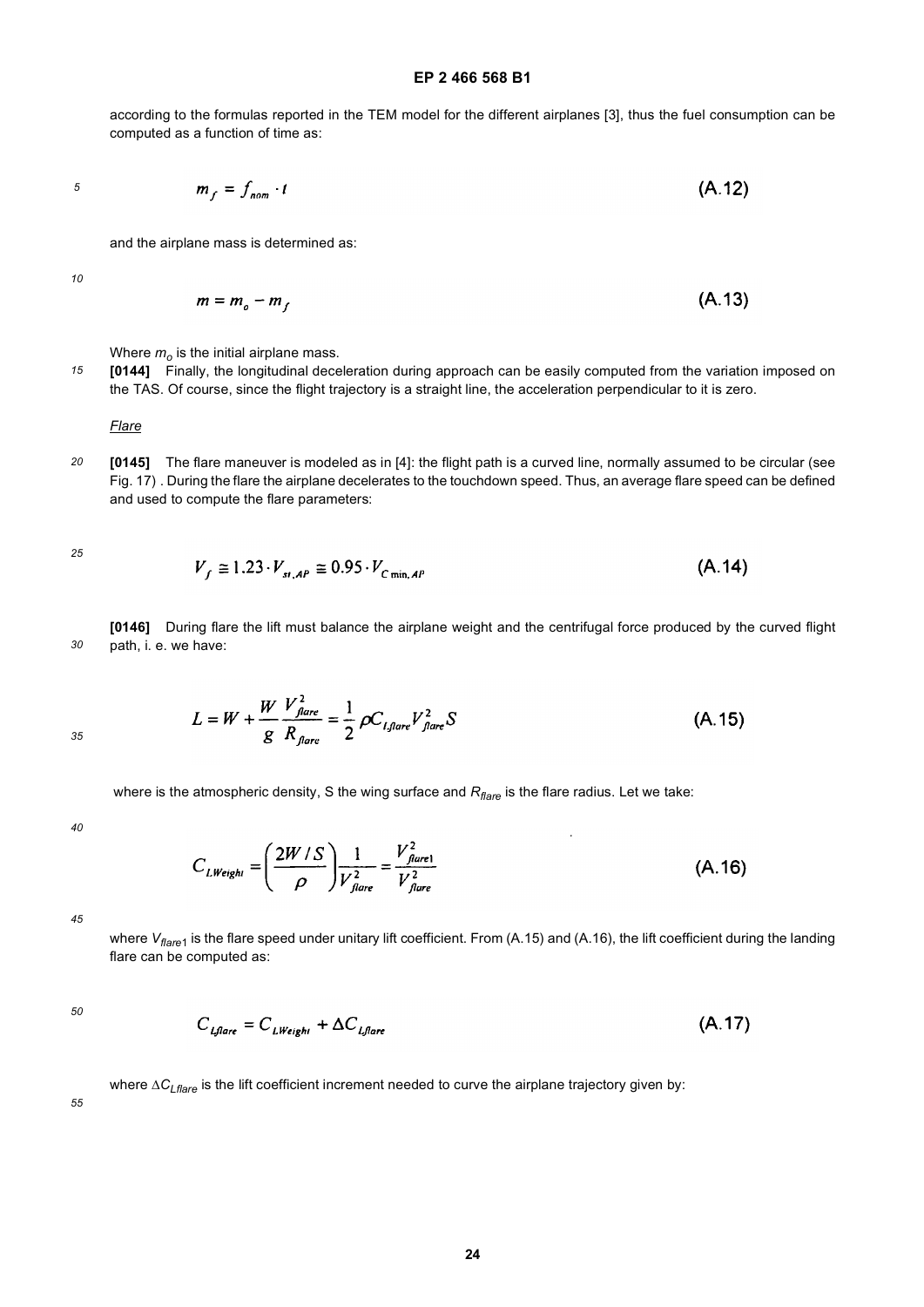according to the formulas reported in the TEM model for the different airplanes [3], thus the fuel consumption can be computed as a function of time as:

*5*

$$
m_f = f_{nom} \cdot t \tag{A.12}
$$

and the airplane mass is determined as:

*10*

*15*

$$
m = m_o - m_f \tag{A.13}
$$

Where  $m<sub>o</sub>$  is the initial airplane mass.

**[0144]** Finally, the longitudinal deceleration during approach can be easily computed from the variation imposed on the TAS. Of course, since the flight trajectory is a straight line, the acceleration perpendicular to it is zero.

*Flare*

*20* **[0145]** The flare maneuver is modeled as in [4]: the flight path is a curved line, normally assumed to be circular (see Fig. 17) . During the flare the airplane decelerates to the touchdown speed. Thus, an average flare speed can be defined and used to compute the flare parameters:

*25*

$$
V_f \approx 1.23 \cdot V_{st,AP} \approx 0.95 \cdot V_{c_{\min,AP}}
$$
 (A.14)

*30* **[0146]** During flare the lift must balance the airplane weight and the centrifugal force produced by the curved flight path, i. e. we have:

$$
L = W + \frac{W}{g} \frac{V_{\text{flare}}^2}{R_{\text{flare}}} = \frac{1}{2} \rho C_{\text{I,flare}} V_{\text{flare}}^2 S
$$
 (A.15)

where is the atmospheric density, S the wing surface and R<sub>flare</sub> is the flare radius. Let we take:

*40*

*35*

$$
C_{LWeight} = \left(\frac{2W/S}{\rho}\right) \frac{1}{V_{flare}^2} = \frac{V_{flare}^2}{V_{flare}^2}
$$
 (A.16)

 $\overline{a}$ 

*45*

where *V<sub>flare1</sub>* is the flare speed under unitary lift coefficient. From (A.15) and (A.16), the lift coefficient during the landing flare can be computed as:

*50*

$$
C_{\text{LJfare}} = C_{\text{LWeighl}} + \Delta C_{\text{Lflare}} \tag{A.17}
$$

where Δ*C<sub>I flare</sub>* is the lift coefficient increment needed to curve the airplane trajectory given by: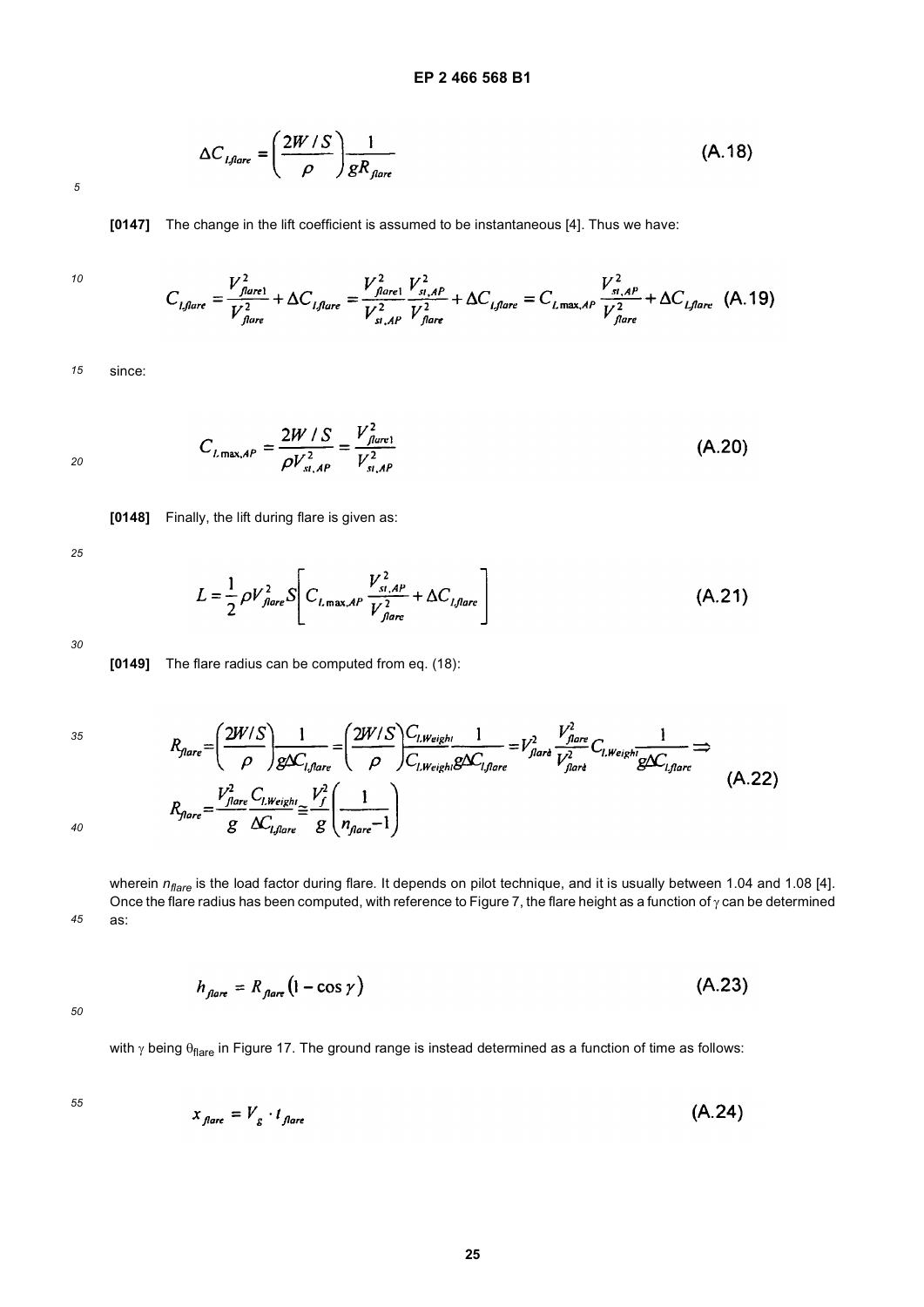$$
\Delta C_{i,flare} = \left(\frac{2W/S}{\rho}\right) \frac{1}{gR_{jare}} \tag{A.18}
$$

**[0147]** The change in the lift coefficient is assumed to be instantaneous [4]. Thus we have:

 $\overline{a}$ 

*10*

$$
C_{i, flare} = \frac{V_{flare}^2}{V_{flare}^2} + \Delta C_{i, flare} = \frac{V_{flare}^2}{V_{s_i, AP}^2} + \frac{V_{s_i, AP}^2}{V_{flare}^2} + \Delta C_{i, flare} = C_{i, max, AP} \frac{V_{s_i, AP}^2}{V_{flare}^2} + \Delta C_{i, flare} \tag{A.19}
$$

*15* since:

$$
C_{L\max,AP} = \frac{2W/S}{\rho V_{s\mu,AP}^2} = \frac{V_{flure1}^2}{V_{s\mu,AP}^2}
$$
 (A.20)

**[0148]** Finally, the lift during flare is given as:

*25*

*20*

$$
L = \frac{1}{2} \rho V_{\text{flare}}^2 S \left[ C_{L_{\text{max}} \mathcal{A}^P} \frac{V_{\text{st}}^2 A^P}{V_{\text{flare}}^2} + \Delta C_{L_{\text{flare}}} \right]
$$
(A.21)

*30*

**[0149]** The flare radius can be computed from eq. (18):

*35*

$$
R_{\text{flare}} = \left(\frac{2W/S}{\rho}\right) \frac{1}{g\Delta C_{l,\text{flare}}} = \left(\frac{2W/S}{\rho}\right) \frac{C_{l,\text{Weight}}}{C_{l,\text{Water}}} \frac{1}{g\Delta C_{l,\text{flare}}} = V_{\text{flart}}^2 \frac{V_{\text{flare}}^2}{V_{\text{flare}}^2} C_{l,\text{Weight}} \frac{1}{g\Delta C_{l,\text{flare}}} \Rightarrow
$$
\n
$$
R_{\text{flare}} = \frac{V_{\text{flare}}^2 C_{l,\text{Weight}}}{g} \frac{V_f^2}{\Delta C_{l,\text{flare}}} \approx \frac{V_f^2}{g} \left(\frac{1}{n_{\text{flare}} - 1}\right) \tag{A.22}
$$

*40*

*45* wherein  $n_{flare}$  is the load factor during flare. It depends on pilot technique, and it is usually between 1.04 and 1.08 [4]. Once the flare radius has been computed, with reference to Figure 7, the flare height as a function of  $\gamma$  can be determined as:

$$
h_{\text{flare}} = R_{\text{flare}} \left( 1 - \cos \gamma \right) \tag{A.23}
$$

*50*

with  $\gamma$  being  $\theta_{\text{flare}}$  in Figure 17. The ground range is instead determined as a function of time as follows:

$$
x_{\text{flare}} = V_{\text{g}} \cdot t_{\text{flare}} \tag{A.24}
$$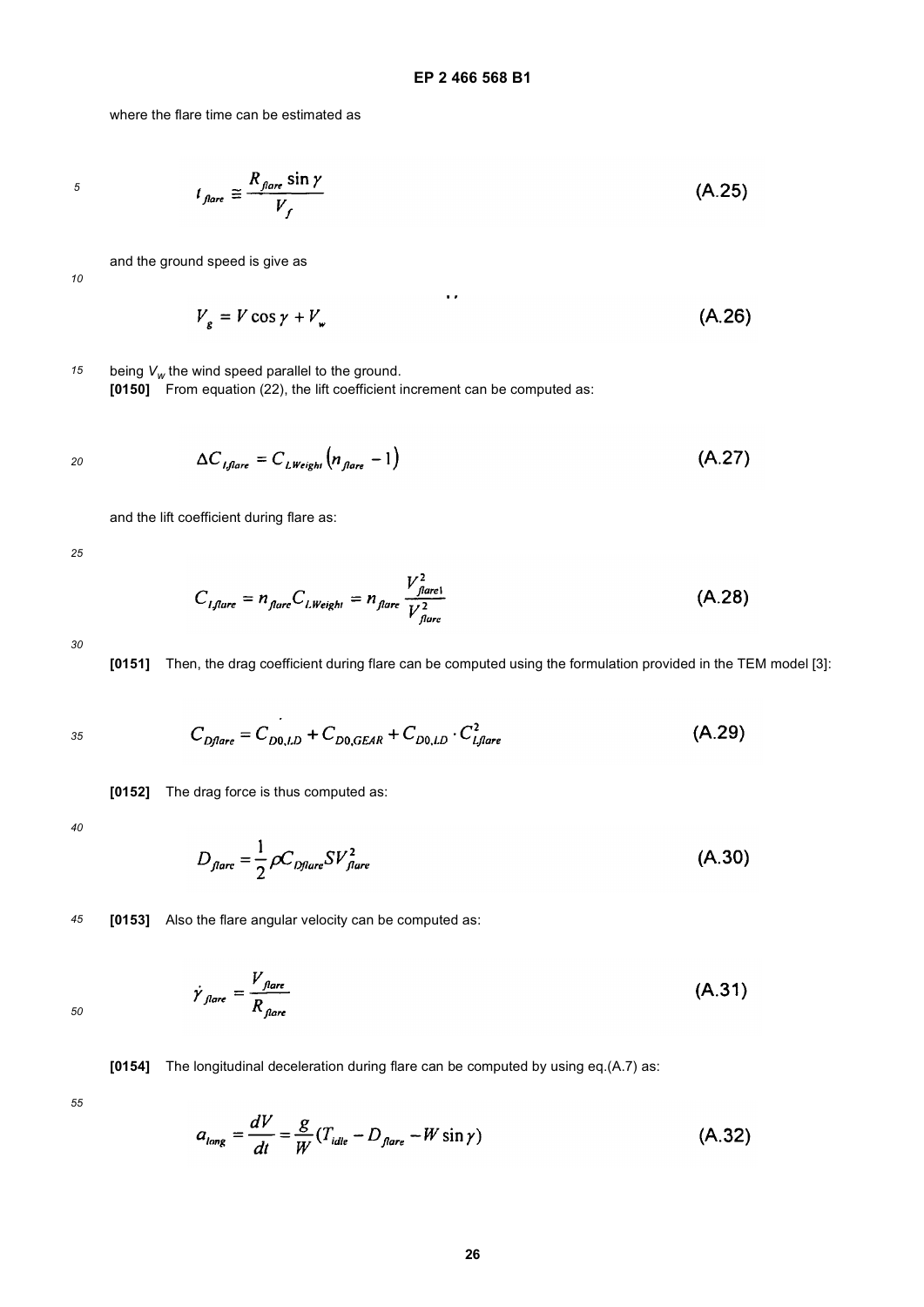where the flare time can be estimated as

*5*

$$
t_{\text{flare}} \cong \frac{R_{\text{flare}} \sin \gamma}{V_f} \tag{A.25}
$$

and the ground speed is give as

*10*

$$
V_g = V \cos \gamma + V_w \tag{A.26}
$$

*15* being  $V_w$  the wind speed parallel to the ground. **[0150]** From equation (22), the lift coefficient increment can be computed as:

$$
\Delta C_{i, \text{flare}} = C_{i, \text{Weight}} \left( n_{\text{flare}} - 1 \right) \tag{A.27}
$$

and the lift coefficient during flare as:

*25*

$$
C_{I,flare} = n_{flare} C_{I, Weight} = n_{flare} \frac{V_{flare}^2}{V_{flare}^2}
$$
 (A.28)

*30*



$$
C_{Dflare} = C_{D0, LD} + C_{D0, GEAR} + C_{D0, LD} \cdot C_{Lflare}^2
$$
 (A.29)

**[0152]** The drag force is thus computed as:

*40*

$$
D_{\text{flare}} = \frac{1}{2} \rho C_{\text{Dflare}} S V_{\text{flare}}^2 \tag{A.30}
$$

*45* **[0153]** Also the flare angular velocity can be computed as:

$$
\dot{\gamma}_{\text{flare}} = \frac{V_{\text{flare}}}{R_{\text{flare}}}
$$
\n(A.31)

**[0154]** The longitudinal deceleration during flare can be computed by using eq.(A.7) as:

*55*

$$
a_{long} = \frac{dV}{dt} = \frac{g}{W} (T_{idle} - D_{flare} - W \sin \gamma)
$$
 (A.32)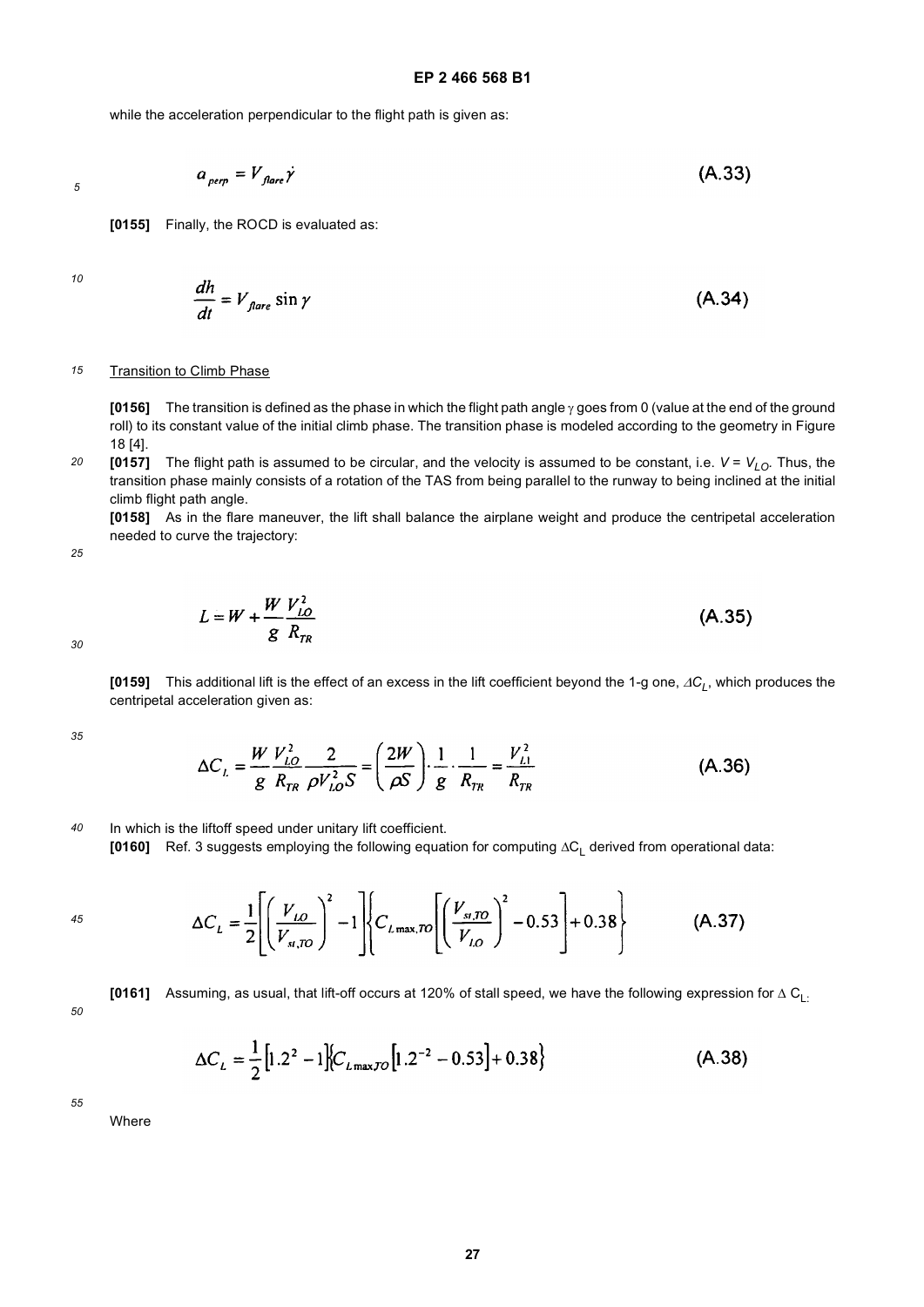$(A.33)$ 

while the acceleration perpendicular to the flight path is given as:

*5*

$$
a_{\text{perp}} = V_{\text{flare}} \dot{\gamma}
$$

**[0155]** Finally, the ROCD is evaluated as:

*10*

$$
\frac{dh}{dt} = V_{\text{flare}} \sin \gamma \tag{A.34}
$$

#### *15* Transition to Climb Phase

**[0156]** The transition is defined as the phase in which the flight path angle γ goes from 0 (value at the end of the ground roll) to its constant value of the initial climb phase. The transition phase is modeled according to the geometry in Figure 18 [4].

*20* **[0157]** The flight path is assumed to be circular, and the velocity is assumed to be constant, i.e.  $V = V_{LO}$ . Thus, the transition phase mainly consists of a rotation of the TAS from being parallel to the runway to being inclined at the initial climb flight path angle.

**[0158]** As in the flare maneuver, the lift shall balance the airplane weight and produce the centripetal acceleration needed to curve the trajectory:

*25*

$$
L = W + \frac{W}{g} \frac{V_{LO}^2}{R_{TR}}
$$
 (A.35)

*30*

**[0159]** This additional lift is the effect of an excess in the lift coefficient beyond the 1-g one, ΔC<sub>L</sub>, which produces the centripetal acceleration given as:

*35*

$$
\Delta C_L = \frac{W}{g} \frac{V_{LO}^2}{R_{TR}} \frac{2}{\rho V_{LO}^2 S} = \left(\frac{2W}{\rho S}\right) \frac{1}{g} \frac{1}{R_{TR}} = \frac{V_{LI}^2}{R_{TR}}
$$
(A.36)

*40* In which is the liftoff speed under unitary lift coefficient.

**[0160]** Ref. 3 suggests employing the following equation for computing ΔC<sub>L</sub> derived from operational data:

*45*

$$
\Delta C_{L} = \frac{1}{2} \left[ \left( \frac{V_{LO}}{V_{sI,TO}} \right)^{2} - 1 \right] \left\{ C_{L \max,TO} \left[ \left( \frac{V_{sI,TO}}{V_{LO}} \right)^{2} - 0.53 \right] + 0.38 \right\}
$$
(A.37)

*50*

[0161] Assuming, as usual, that lift-off occurs at 120% of stall speed, we have the following expression for 
$$
\Delta C_{L}
$$
.

$$
\Delta C_L = \frac{1}{2} \left[ 1.2^2 - 1 \right] \left\{ C_{L_{\text{max},70}} \left[ 1.2^{-2} - 0.53 \right] + 0.38 \right\} \tag{A.38}
$$

*55*

Where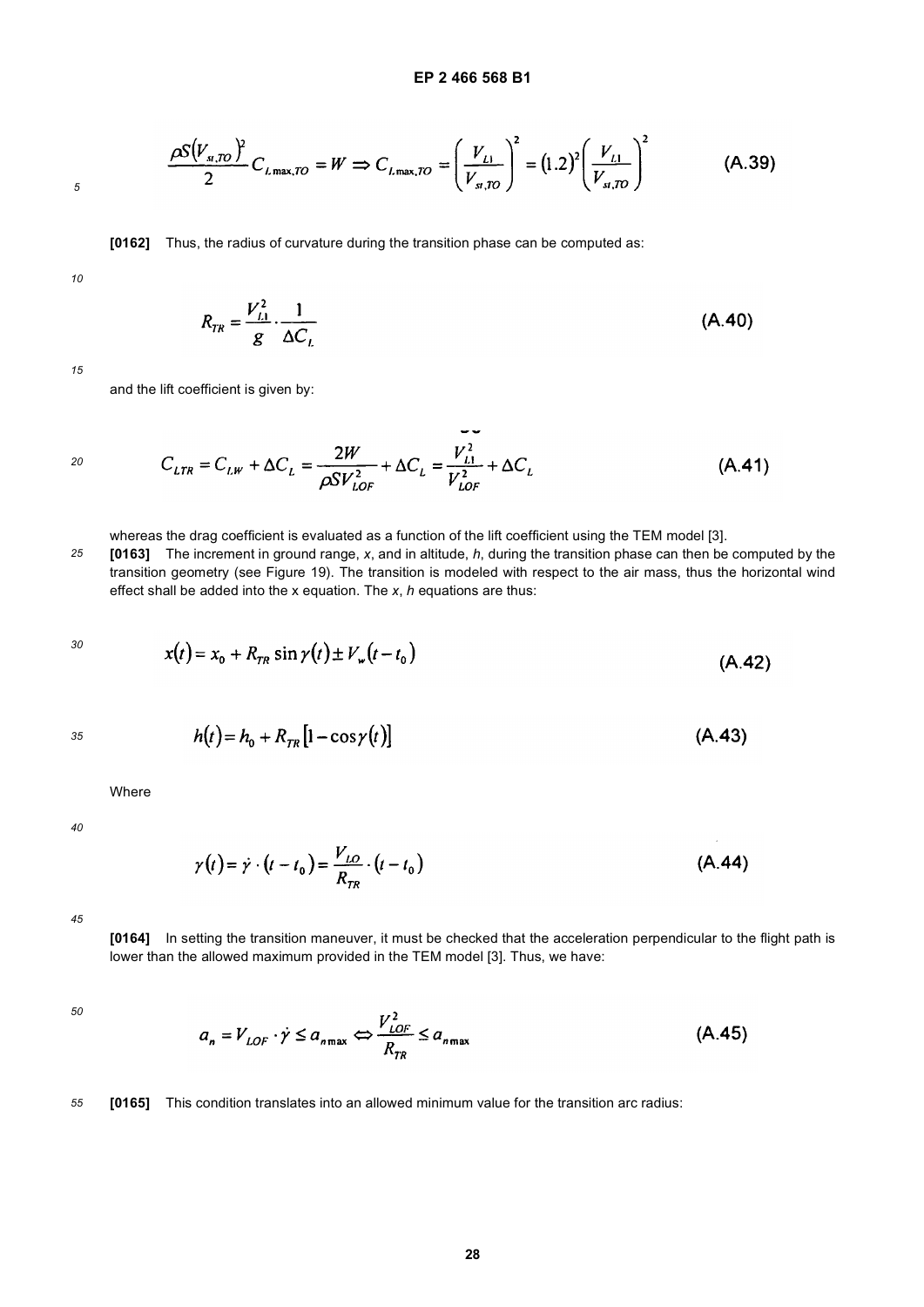$$
\frac{\rho S(V_{s,TO})^2}{2}C_{L\max,TO} = W \Rightarrow C_{L\max,TO} = \left(\frac{V_{L1}}{V_{s,TO}}\right)^2 = (1.2)^2 \left(\frac{V_{L1}}{V_{s,TO}}\right)^2 \tag{A.39}
$$

**[0162]** Thus, the radius of curvature during the transition phase can be computed as:

*10*

*5*

$$
R_{TR} = \frac{V_{L1}^2}{g} \cdot \frac{1}{\Delta C_L}
$$
 (A.40)

*15*

and the lift coefficient is given by:

$$
C_{LTR} = C_{LW} + \Delta C_L = \frac{2W}{\rho SV_{LOF}^2} + \Delta C_L = \frac{V_{L1}^2}{V_{LOF}^2} + \Delta C_L
$$
 (A.41)

whereas the drag coefficient is evaluated as a function of the lift coefficient using the TEM model [3].

*25* **[0163]** The increment in ground range, *x*, and in altitude, *h*, during the transition phase can then be computed by the transition geometry (see Figure 19). The transition is modeled with respect to the air mass, thus the horizontal wind effect shall be added into the x equation. The *x*, *h* equations are thus:

$$
x(t) = x_0 + R_{TR} \sin \gamma(t) \pm V_w(t - t_0)
$$
 (A.42)

*35*

$$
h(t) = h_0 + R_{TR} \left[ 1 - \cos \gamma(t) \right] \tag{A.43}
$$

Where

*40*

$$
\gamma(t) = \dot{\gamma} \cdot (t - t_0) = \frac{V_{LO}}{R_{TR}} \cdot (t - t_0)
$$
\n(A.44)

*45*

**[0164]** In setting the transition maneuver, it must be checked that the acceleration perpendicular to the flight path is lower than the allowed maximum provided in the TEM model [3]. Thus, we have:

*50*

$$
a_n = V_{LOF} \cdot \dot{\gamma} \le a_{n\max} \Leftrightarrow \frac{V_{LOF}^2}{R_{TR}} \le a_{n\max}
$$
 (A.45)

*55* **[0165]** This condition translates into an allowed minimum value for the transition arc radius: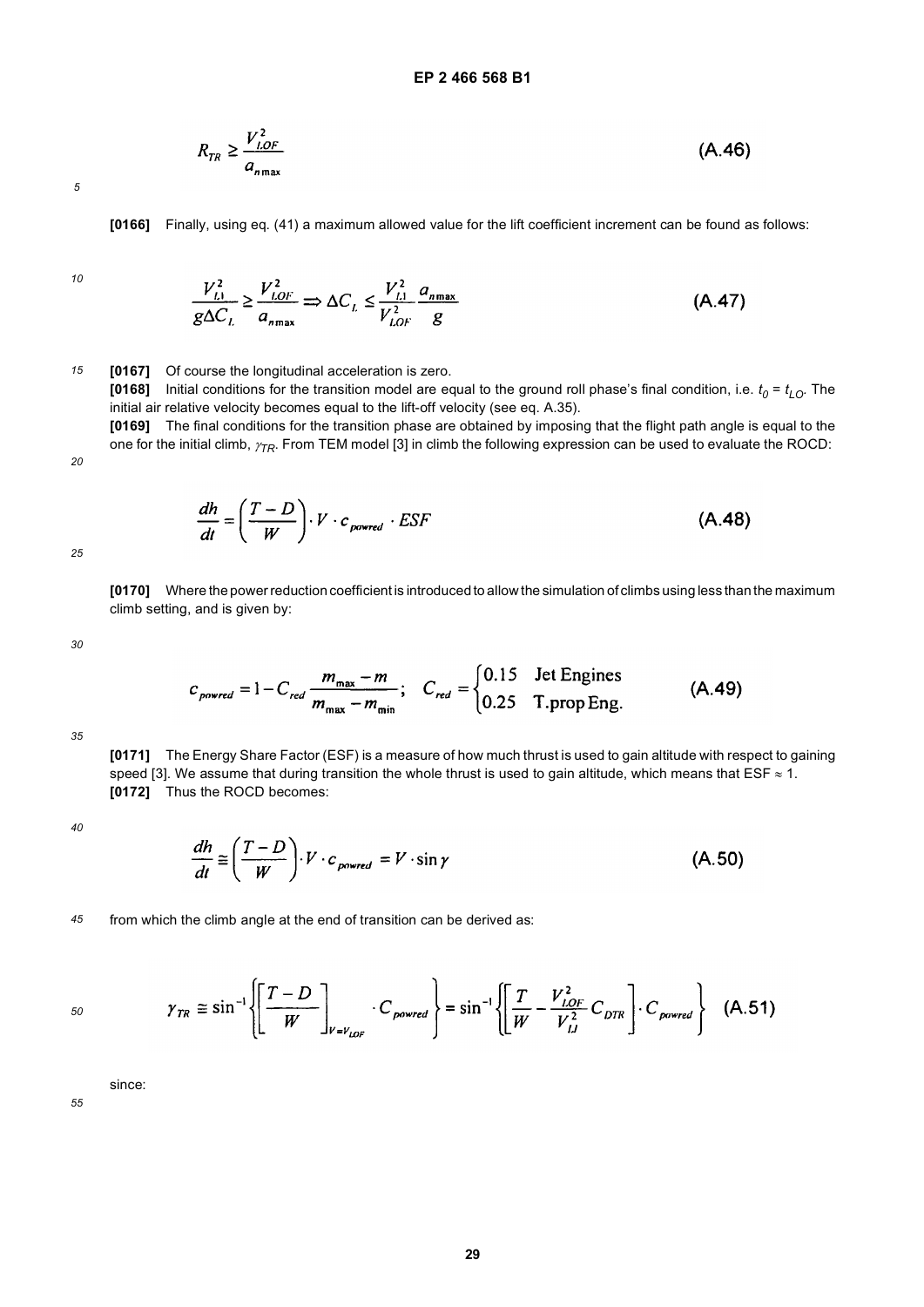$$
R_{TR} \ge \frac{V_{LOF}^2}{a_{n_{\text{max}}}}
$$
 (A.46)

**[0166]** Finally, using eq. (41) a maximum allowed value for the lift coefficient increment can be found as follows:

*10*

$$
\frac{V_{L1}^2}{g\Delta C_L} \ge \frac{V_{LOF}^2}{a_{n_{\text{max}}}} \Rightarrow \Delta C_L \le \frac{V_{L1}^2}{V_{LOF}^2} \frac{a_{n_{\text{max}}}}{g}
$$
(A.47)

*15* **[0167]** Of course the longitudinal acceleration is zero.

[0168] Initial conditions for the transition model are equal to the ground roll phase's final condition, i.e.  $t_0$  =  $t_{LO}$ . The initial air relative velocity becomes equal to the lift-off velocity (see eq. A.35).

**[0169]** The final conditions for the transition phase are obtained by imposing that the flight path angle is equal to the one for the initial climb, <sup>γ</sup>*TR*. From TEM model [3] in climb the following expression can be used to evaluate the ROCD:

$$
\frac{dh}{dt} = \left(\frac{T - D}{W}\right) \cdot V \cdot c_{powered} \cdot ESF
$$
\n(A.48)

*25*

*20*

**[0170]** Where the power reduction coefficient is introduced to allow the simulation of climbs using less than the maximum climb setting, and is given by:

*30*

$$
c_{\text{power}} = 1 - C_{\text{red}} \frac{m_{\text{max}} - m}{m_{\text{max}} - m_{\text{min}}}; \quad C_{\text{red}} = \begin{cases} 0.15 & \text{Jet Engineers} \\ 0.25 & \text{T.prop Eng.} \end{cases} \tag{A.49}
$$

*35*

**[0171]** The Energy Share Factor (ESF) is a measure of how much thrust is used to gain altitude with respect to gaining speed [3]. We assume that during transition the whole thrust is used to gain altitude, which means that ESF  $\approx$  1. **[0172]** Thus the ROCD becomes:

*40*

$$
\frac{dh}{dt} \cong \left(\frac{T - D}{W}\right) \cdot V \cdot c_{\text{power}} = V \cdot \sin \gamma \tag{A.50}
$$

*45* from which the climb angle at the end of transition can be derived as:

$$
\gamma_{TR} \cong \sin^{-1}\left\{\left[\frac{T-D}{W}\right]_{V=V_{LOF}} \cdot C_{powered}\right\} = \sin^{-1}\left\{\left[\frac{T}{W} - \frac{V_{LOF}^2}{V_{LI}^2} C_{DTR}\right] \cdot C_{powered}\right\} \quad (A.51)
$$

since: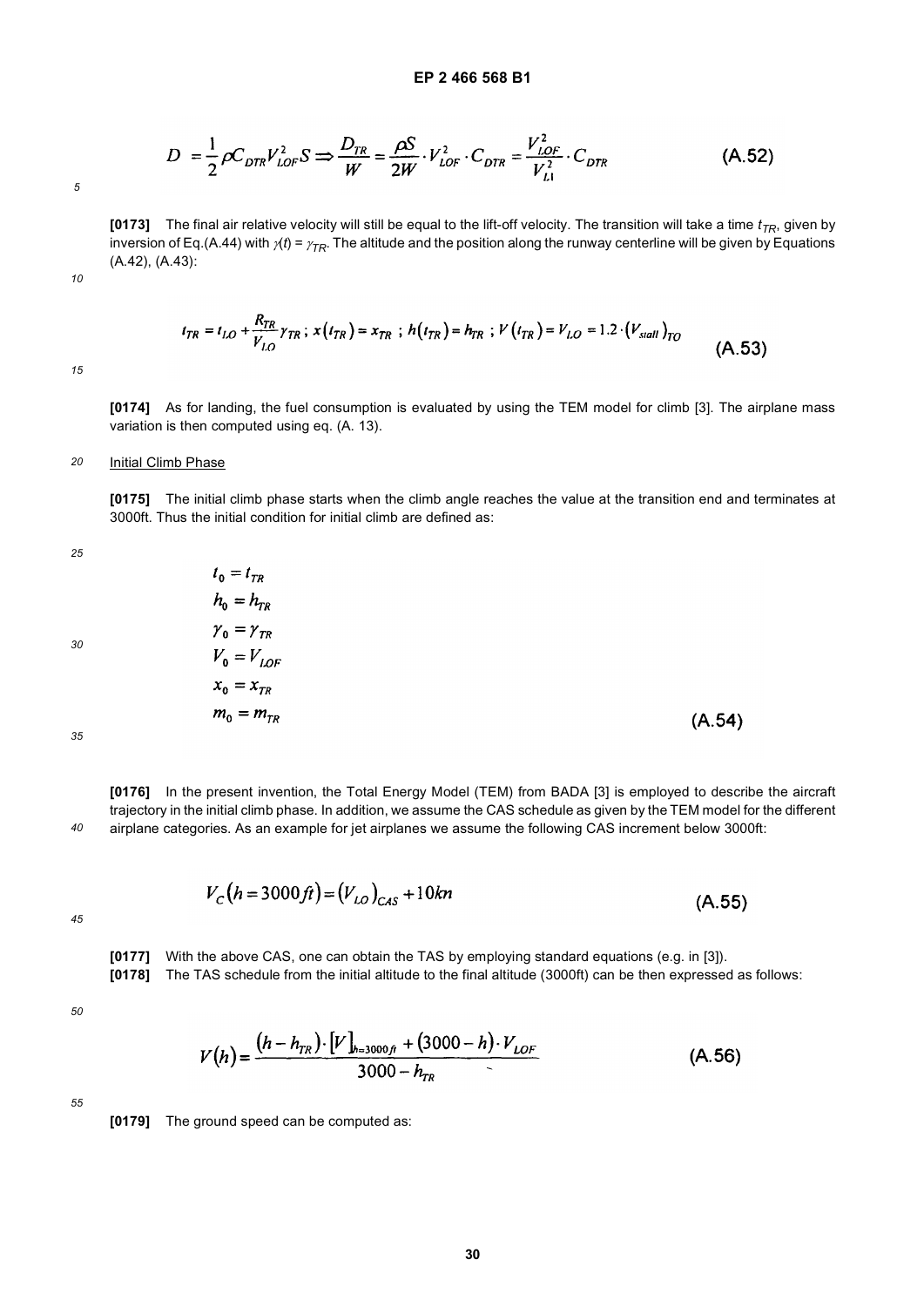$$
D = \frac{1}{2} \rho C_{DTR} V_{LOF}^2 S \Rightarrow \frac{D_{TR}}{W} = \frac{\rho S}{2W} \cdot V_{LOF}^2 \cdot C_{DTR} = \frac{V_{LOF}^2}{V_{LI}^2} \cdot C_{DTR}
$$
(A.52)

*10*

**[0173]** The final air relative velocity will still be equal to the lift-off velocity. The transition will take a time  $t_{TR}$ , given by inversion of Eq.(A.44) with  $\gamma(t) = \gamma_{TR}$ . The altitude and the position along the runway centerline will be given by Equations (A.42), (A.43):

 $t_{TR} = t_{LO} + \frac{R_{TR}}{V_{LO}} \gamma_{TR}$ ;  $x(t_{TR}) = x_{TR}$ ;  $h(t_{TR}) = h_{TR}$ ;  $V(t_{TR}) = V_{LO} = 1.2 \cdot (V_{sall})_{TO}$  $(A.53)$ 

*15*

**[0174]** As for landing, the fuel consumption is evaluated by using the TEM model for climb [3]. The airplane mass variation is then computed using eq. (A. 13).

#### *20* **Initial Climb Phase**

**[0175]** The initial climb phase starts when the climb angle reaches the value at the transition end and terminates at 3000ft. Thus the initial condition for initial climb are defined as:

*25*

$$
t_0 = t_{TR}
$$
  
\n
$$
h_0 = h_{T_1}
$$
  
\n
$$
\gamma_0 = \gamma_{T_1}
$$
  
\n
$$
V_0 = V_L
$$
  
\n
$$
x_0 = x_T
$$

 $= h_{\scriptscriptstyle TR}$ 

 $\gamma_0 = \gamma_{TR}$  $V_{0} = V_{IOF}$  $x_0 = x_{TR}$  $m_0 = m_{TR}$  $(A.54)$ 

*35*

*40* **[0176]** In the present invention, the Total Energy Model (TEM) from BADA [3] is employed to describe the aircraft trajectory in the initial climb phase. In addition, we assume the CAS schedule as given by the TEM model for the different airplane categories. As an example for jet airplanes we assume the following CAS increment below 3000ft:

$$
V_c(h = 3000 \text{ ft}) = (V_{LO})_{CAS} + 10 \text{ km}
$$
\n(A.55)

*45*

**[0177]** With the above CAS, one can obtain the TAS by employing standard equations (e.g. in [3]).

**[0178]** The TAS schedule from the initial altitude to the final altitude (3000ft) can be then expressed as follows:

*50*

$$
V(h) = \frac{(h - h_{TR}) \cdot [V]_{h=3000f} + (3000 - h) \cdot V_{LOF}}{3000 - h_{TR}}
$$
(A.56)

*55*

**[0179]** The ground speed can be computed as: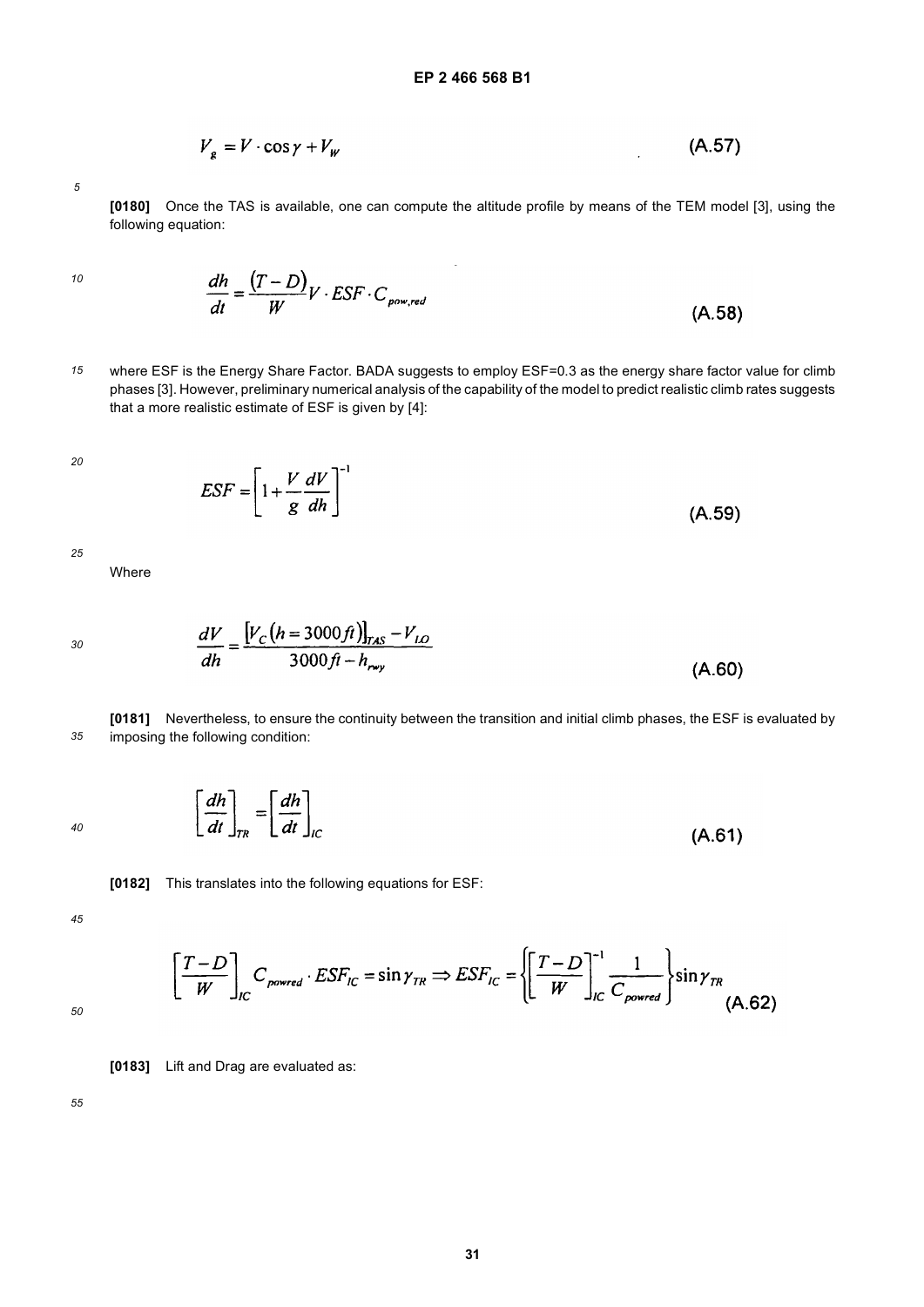$$
V_g = V \cdot \cos \gamma + V_w \tag{A.57}
$$

**[0180]** Once the TAS is available, one can compute the altitude profile by means of the TEM model [3], using the following equation:

*10*

$$
\frac{dh}{dt} = \frac{(T - D)}{W}V \cdot ESF \cdot C_{powered}
$$
\n(A.58)

*15* where ESF is the Energy Share Factor. BADA suggests to employ ESF=0.3 as the energy share factor value for climb phases [3]. However, preliminary numerical analysis of the capability of the model to predict realistic climb rates suggests that a more realistic estimate of ESF is given by [4]:

*20*

$$
ESF = \left[1 + \frac{V}{g} \frac{dV}{dh}\right]^{-1}
$$
 (A.59)

*25*

Where

*30*

$$
\frac{dV}{dh} = \frac{[V_C(h = 3000ft)]_{\text{max}} - V_{LO}}{3000ft - h_{\text{ray}}}
$$
(A.60)

*35* **[0181]** Nevertheless, to ensure the continuity between the transition and initial climb phases, the ESF is evaluated by imposing the following condition:

*40*



**[0182]** This translates into the following equations for ESF:

*45*

$$
\left[\frac{T-D}{W}\right]_{IC} C_{powered} \cdot ESF_{IC} = \sin \gamma_{TR} \Rightarrow ESF_{IC} = \left\{\left[\frac{T-D}{W}\right]_{IC}^{-1} \frac{1}{C_{powered}}\right\} \sin \gamma_{TR}
$$
\n(A.62)

*50*

**[0183]** Lift and Drag are evaluated as: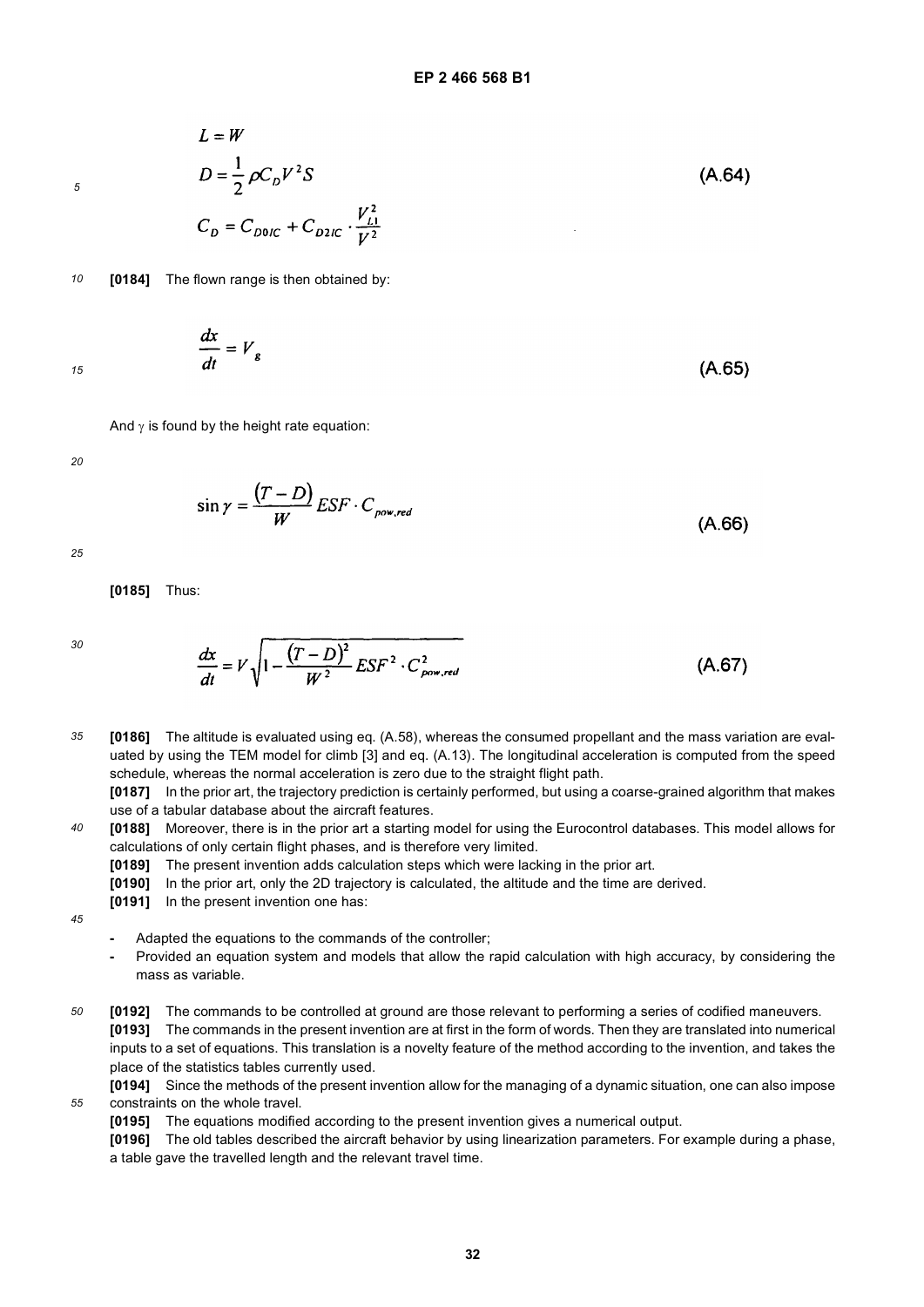$(A.64)$ 

 $(A.65)$ 

$$
\overline{\mathbf{5}}
$$

 $D=\frac{1}{2}\rho C_D V^2 S$  $C_D = C_{D0IC} + C_{D2IC} \cdot \frac{V_{L1}^2}{V^2}$ 

*10* **[0184]** The flown range is then obtained by:

 $\frac{dx}{dt} = V_g$ 

 $L = W$ 

*15*

And  $\gamma$  is found by the height rate equation:

*20*

$$
\sin \gamma = \frac{(T - D)}{W} E S F \cdot C_{\text{pow,red}} \tag{A.66}
$$

*25*

**[0185]** Thus:

*30*

$$
\frac{dx}{dt} = V \sqrt{1 - \frac{(T - D)^2}{W^2} E S F^2 \cdot C_{\text{pow,red}}^2}
$$
 (A.67)

*35* **[0186]** The altitude is evaluated using eq. (A.58), whereas the consumed propellant and the mass variation are evaluated by using the TEM model for climb [3] and eq. (A.13). The longitudinal acceleration is computed from the speed schedule, whereas the normal acceleration is zero due to the straight flight path.

**[0187]** In the prior art, the trajectory prediction is certainly performed, but using a coarse-grained algorithm that makes use of a tabular database about the aircraft features.

- *40* **[0188]** Moreover, there is in the prior art a starting model for using the Eurocontrol databases. This model allows for calculations of only certain flight phases, and is therefore very limited.
	- **[0189]** The present invention adds calculation steps which were lacking in the prior art.
	- **[0190]** In the prior art, only the 2D trajectory is calculated, the altitude and the time are derived.
	- **[0191]** In the present invention one has:

*45*

- **-** Adapted the equations to the commands of the controller;
- **-** Provided an equation system and models that allow the rapid calculation with high accuracy, by considering the mass as variable.
- *50* **[0192]** The commands to be controlled at ground are those relevant to performing a series of codified maneuvers. **[0193]** The commands in the present invention are at first in the form of words. Then they are translated into numerical inputs to a set of equations. This translation is a novelty feature of the method according to the invention, and takes the place of the statistics tables currently used.
	- **[0194]** Since the methods of the present invention allow for the managing of a dynamic situation, one can also impose constraints on the whole travel.
		- **[0195]** The equations modified according to the present invention gives a numerical output.
		- **[0196]** The old tables described the aircraft behavior by using linearization parameters. For example during a phase, a table gave the travelled length and the relevant travel time.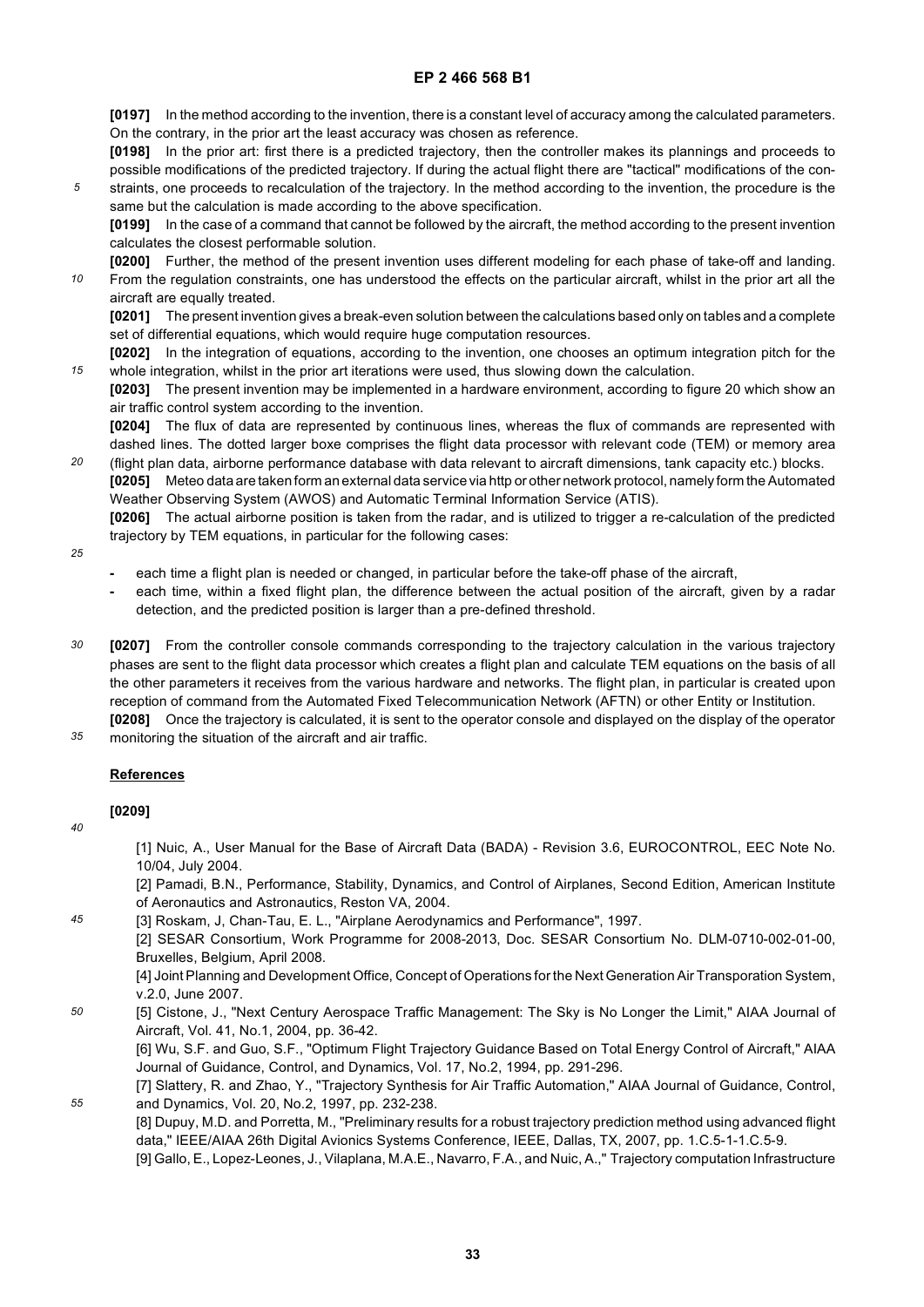**[0197]** In the method according to the invention, there is a constant level of accuracy among the calculated parameters. On the contrary, in the prior art the least accuracy was chosen as reference.

**[0198]** In the prior art: first there is a predicted trajectory, then the controller makes its plannings and proceeds to possible modifications of the predicted trajectory. If during the actual flight there are "tactical" modifications of the con-

*5* straints, one proceeds to recalculation of the trajectory. In the method according to the invention, the procedure is the same but the calculation is made according to the above specification.

**[0199]** In the case of a command that cannot be followed by the aircraft, the method according to the present invention calculates the closest performable solution.

*10* **[0200]** Further, the method of the present invention uses different modeling for each phase of take-off and landing. From the regulation constraints, one has understood the effects on the particular aircraft, whilst in the prior art all the aircraft are equally treated.

**[0201]** The present invention gives a break-even solution between the calculations based only on tables and a complete set of differential equations, which would require huge computation resources.

*15* **[0202]** In the integration of equations, according to the invention, one chooses an optimum integration pitch for the whole integration, whilst in the prior art iterations were used, thus slowing down the calculation.

**[0203]** The present invention may be implemented in a hardware environment, according to figure 20 which show an air traffic control system according to the invention.

**[0204]** The flux of data are represented by continuous lines, whereas the flux of commands are represented with dashed lines. The dotted larger boxe comprises the flight data processor with relevant code (TEM) or memory area

*20* (flight plan data, airborne performance database with data relevant to aircraft dimensions, tank capacity etc.) blocks. **[0205]** Meteo data are taken form an external data service via http or other network protocol, namely form the Automated Weather Observing System (AWOS) and Automatic Terminal Information Service (ATIS).

**[0206]** The actual airborne position is taken from the radar, and is utilized to trigger a re-calculation of the predicted trajectory by TEM equations, in particular for the following cases:

- *25*
- **-** each time a flight plan is needed or changed, in particular before the take-off phase of the aircraft,
- **-** each time, within a fixed flight plan, the difference between the actual position of the aircraft, given by a radar detection, and the predicted position is larger than a pre-defined threshold.
- *30* **[0207]** From the controller console commands corresponding to the trajectory calculation in the various trajectory phases are sent to the flight data processor which creates a flight plan and calculate TEM equations on the basis of all the other parameters it receives from the various hardware and networks. The flight plan, in particular is created upon reception of command from the Automated Fixed Telecommunication Network (AFTN) or other Entity or Institution. **[0208]** Once the trajectory is calculated, it is sent to the operator console and displayed on the display of the operator
- *35* monitoring the situation of the aircraft and air traffic.

# **References**

**[0209]**

*40*

*45*

[1] Nuic, A., User Manual for the Base of Aircraft Data (BADA) - Revision 3.6, EUROCONTROL, EEC Note No. 10/04, July 2004.

[2] Pamadi, B.N., Performance, Stability, Dynamics, and Control of Airplanes, Second Edition, American Institute of Aeronautics and Astronautics, Reston VA, 2004.

[3] Roskam, J, Chan-Tau, E. L., "Airplane Aerodynamics and Performance", 1997.

[2] SESAR Consortium, Work Programme for 2008-2013, Doc. SESAR Consortium No. DLM-0710-002-01-00, Bruxelles, Belgium, April 2008.

[4] Joint Planning and Development Office, Concept of Operations for the Next Generation Air Transporation System, v.2.0, June 2007.

*50* [5] Cistone, J., "Next Century Aerospace Traffic Management: The Sky is No Longer the Limit," AIAA Journal of Aircraft, Vol. 41, No.1, 2004, pp. 36-42.

[6] Wu, S.F. and Guo, S.F., "Optimum Flight Trajectory Guidance Based on Total Energy Control of Aircraft," AIAA Journal of Guidance, Control, and Dynamics, Vol. 17, No.2, 1994, pp. 291-296.

- *55* [7] Slattery, R. and Zhao, Y., "Trajectory Synthesis for Air Traffic Automation," AIAA Journal of Guidance, Control, and Dynamics, Vol. 20, No.2, 1997, pp. 232-238.
	- [8] Dupuy, M.D. and Porretta, M., "Preliminary results for a robust trajectory prediction method using advanced flight data," IEEE/AIAA 26th Digital Avionics Systems Conference, IEEE, Dallas, TX, 2007, pp. 1.C.5-1-1.C.5-9.

[9] Gallo, E., Lopez-Leones, J., Vilaplana, M.A.E., Navarro, F.A., and Nuic, A.," Trajectory computation Infrastructure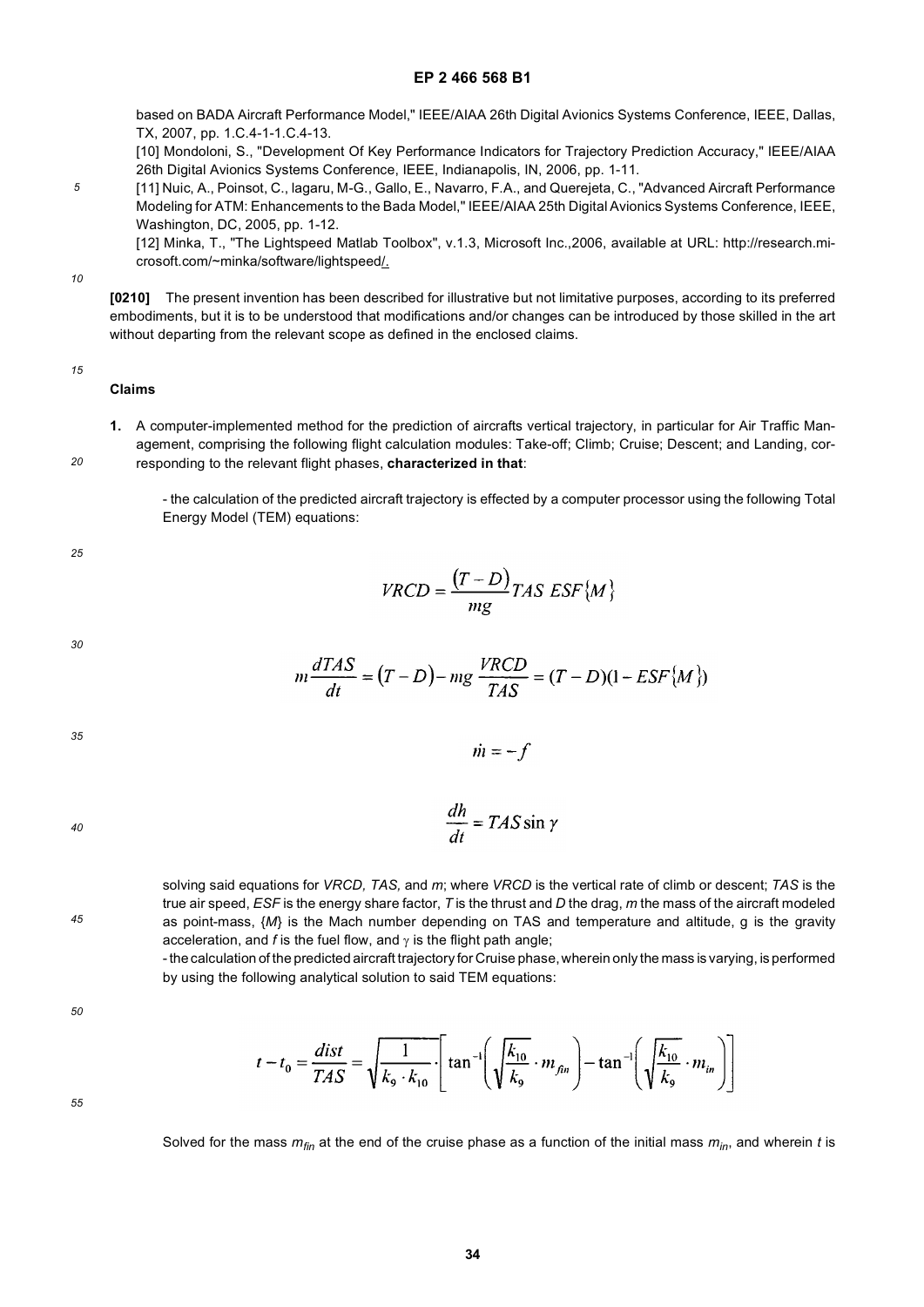based on BADA Aircraft Performance Model," IEEE/AIAA 26th Digital Avionics Systems Conference, IEEE, Dallas, TX, 2007, pp. 1.C.4-1-1.C.4-13.

[10] Mondoloni, S., "Development Of Key Performance Indicators for Trajectory Prediction Accuracy," IEEE/AIAA 26th Digital Avionics Systems Conference, IEEE, Indianapolis, IN, 2006, pp. 1-11.

*5* [11] Nuic, A., Poinsot, C., lagaru, M-G., Gallo, E., Navarro, F.A., and Querejeta, C., "Advanced Aircraft Performance Modeling for ATM: Enhancements to the Bada Model," IEEE/AIAA 25th Digital Avionics Systems Conference, IEEE, Washington, DC, 2005, pp. 1-12.

[12] Minka, T., "The Lightspeed Matlab Toolbox", v.1.3, Microsoft Inc.,2006, available at URL: http://research.microsoft.com/~minka/software/lightspeed/.

*10*

**[0210]** The present invention has been described for illustrative but not limitative purposes, according to its preferred embodiments, but it is to be understood that modifications and/or changes can be introduced by those skilled in the art without departing from the relevant scope as defined in the enclosed claims.

### *15*

*20*

**Claims**

**1.** A computer-implemented method for the prediction of aircrafts vertical trajectory, in particular for Air Traffic Management, comprising the following flight calculation modules: Take-off; Climb; Cruise; Descent; and Landing, corresponding to the relevant flight phases, **characterized in that**:

- the calculation of the predicted aircraft trajectory is effected by a computer processor using the following Total Energy Model (TEM) equations:

*25*

$$
VRCD = \frac{(T - D)}{mg}TAS\ ESF\{M\}
$$

*30*

$$
m\frac{dTAS}{dt} = (T - D) - mg\frac{VRCD}{TAS} = (T - D)(1 - ESF\{M\})
$$

 $\dot{m} = -f$ 

 $\cdot$ 

*35*

*40*

$$
\frac{dh}{dt} = TAS\sin\gamma
$$

solving said equations for *VRCD, TAS,* and *m*; where *VRCD* is the vertical rate of climb or descent; *TAS* is the true air speed, *ESF* is the energy share factor, *T* is the thrust and *D* the drag, *m* the mass of the aircraft modeled as point-mass, {*M*} is the Mach number depending on TAS and temperature and altitude, g is the gravity acceleration, and *f* is the fuel flow, and  $\gamma$  is the flight path angle;

- the calculation of the predicted aircraft trajectory for Cruise phase, wherein only the mass is varying, is performed by using the following analytical solution to said TEM equations:

*50*

*45*

$$
t - t_0 = \frac{dist}{TAS} = \sqrt{\frac{1}{k_9 \cdot k_{10}}} \cdot \left[ \tan^{-1} \left( \sqrt{\frac{k_{10}}{k_9}} \cdot m_{fin} \right) - \tan^{-1} \left( \sqrt{\frac{k_{10}}{k_9}} \cdot m_{in} \right) \right]
$$

*55*

Solved for the mass  $m_{fin}$  at the end of the cruise phase as a function of the initial mass  $m_{in}$ , and wherein *t* is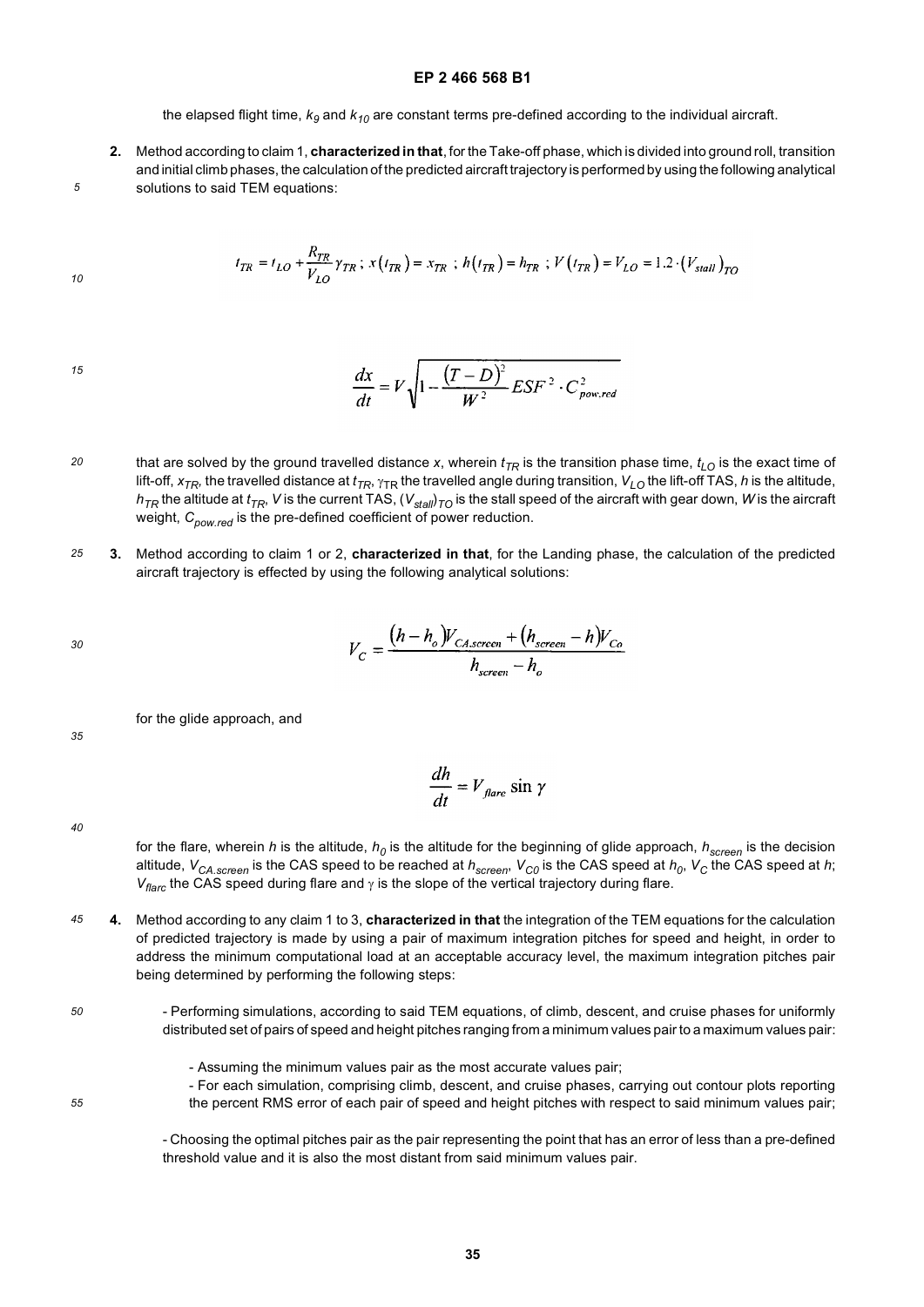the elapsed flight time,  $k_9$  and  $k_{10}$  are constant terms pre-defined according to the individual aircraft.

**2.** Method according to claim 1, **characterized in that**, for the Take-off phase, which is divided into ground roll, transition and initial climb phases, the calculation of the predicted aircraft trajectory is performed by using the following analytical solutions to said TEM equations:

$$
t_{TR} = t_{LO} + \frac{R_{TR}}{V_{LO}} \gamma_{TR} \ ; \ x(t_{TR}) = x_{TR} \ ; \ h(t_{TR}) = h_{TR} \ ; \ V(t_{TR}) = V_{LO} = 1.2 \cdot (V_{stall})_{TO}
$$

*15*

*5*

*10*

$$
\frac{dx}{dt} = V \sqrt{1 - \frac{(T - D)^2}{W^2} E S F^2 \cdot C_{\text{pow,red}}^2}
$$

- *20* that are solved by the ground travelled distance x, wherein  $t_{TR}$  is the transition phase time,  $t_{LO}$  is the exact time of lift-off,  $x_{TR}$ , the travelled distance at  $t_{TR}$ ,  $\gamma_{TR}$  the travelled angle during transition,  $V_{LO}$  the lift-off TAS, *h* is the altitude,  $h_{\mathcal{TR}}$  the altitude at  $t_{\mathcal{TR}}$ ,  $V$  is the current TAS, ( $V_{stall}$ ) $_{\mathcal{TO}}$  is the stall speed of the aircraft with gear down,  $W$  is the aircraft weight,  $C_{now \, red}$  is the pre-defined coefficient of power reduction.
- *25* **3.** Method according to claim 1 or 2, **characterized in that**, for the Landing phase, the calculation of the predicted aircraft trajectory is effected by using the following analytical solutions:

$$
V_C = \frac{(h - h_o)V_{CAscrec} + (h_{screen} - h)V_{Co}}{h_{screen} - h_o}
$$

for the glide approach, and

$$
\frac{dh}{dt} = V_{\text{flare}} \sin \gamma
$$

*40*

*35*

for the flare, wherein *h* is the altitude,  $h_0$  is the altitude for the beginning of glide approach,  $h_{screen}$  is the decision altitude,  $V_{CA. screen}$  is the CAS speed to be reached at  $h_{screen}$ ,  $V_{CO}$  is the CAS speed at  $h_0$ ,  $V_C$  the CAS speed at  $h$ ; *V<sub>flarc</sub>* the CAS speed during flare and γ is the slope of the vertical trajectory during flare.

- *45* **4.** Method according to any claim 1 to 3, **characterized in that** the integration of the TEM equations for the calculation of predicted trajectory is made by using a pair of maximum integration pitches for speed and height, in order to address the minimum computational load at an acceptable accuracy level, the maximum integration pitches pair being determined by performing the following steps:
- *50*

- Performing simulations, according to said TEM equations, of climb, descent, and cruise phases for uniformly distributed set of pairs of speed and height pitches ranging from a minimum values pair to a maximum values pair:

- Assuming the minimum values pair as the most accurate values pair;
- *55*

- For each simulation, comprising climb, descent, and cruise phases, carrying out contour plots reporting the percent RMS error of each pair of speed and height pitches with respect to said minimum values pair;

- Choosing the optimal pitches pair as the pair representing the point that has an error of less than a pre-defined threshold value and it is also the most distant from said minimum values pair.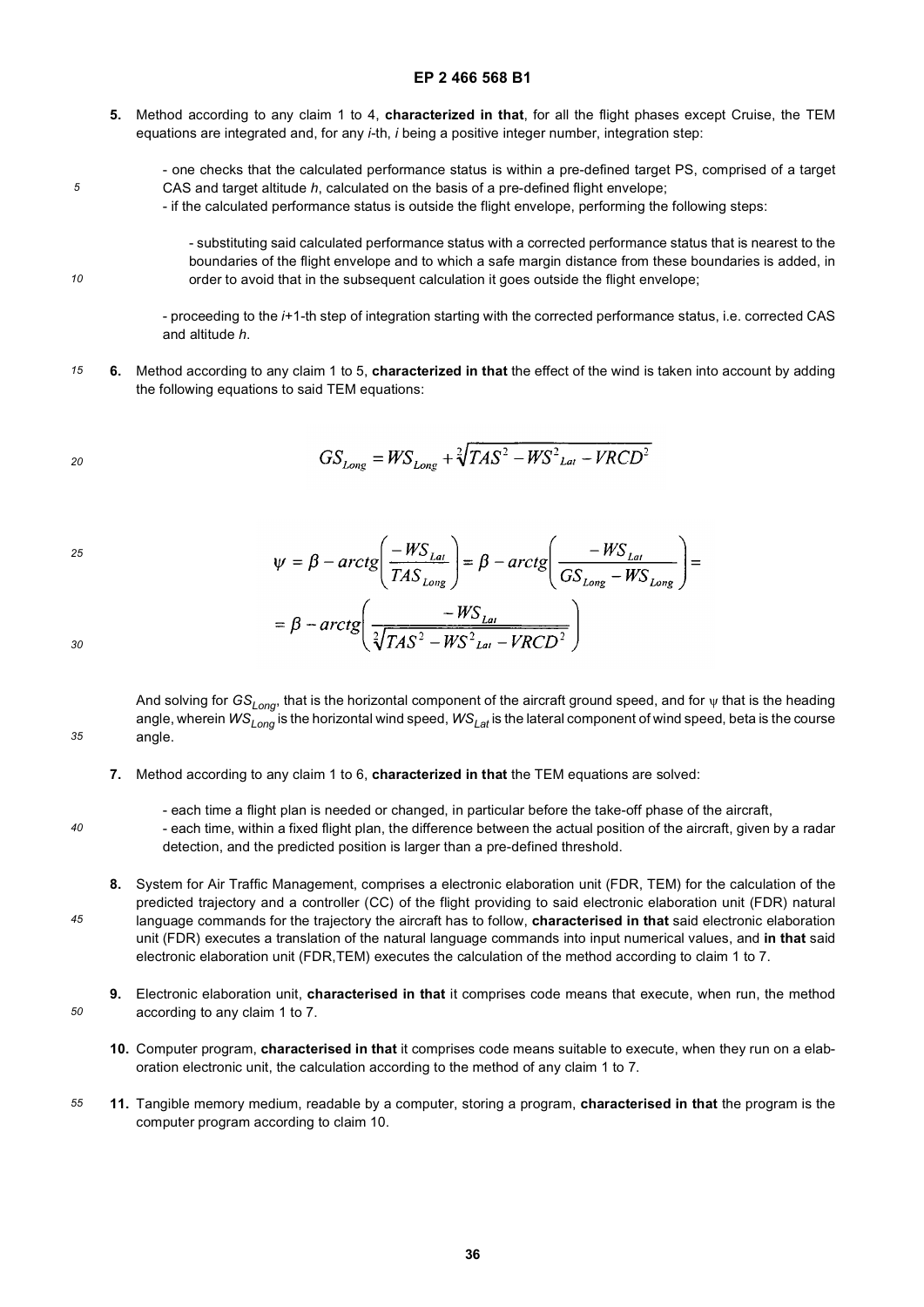- **5.** Method according to any claim 1 to 4, **characterized in that**, for all the flight phases except Cruise, the TEM equations are integrated and, for any *i*-th, *i* being a positive integer number, integration step:
	- one checks that the calculated performance status is within a pre-defined target PS, comprised of a target CAS and target altitude *h*, calculated on the basis of a pre-defined flight envelope;
		- if the calculated performance status is outside the flight envelope, performing the following steps:

- substituting said calculated performance status with a corrected performance status that is nearest to the boundaries of the flight envelope and to which a safe margin distance from these boundaries is added, in order to avoid that in the subsequent calculation it goes outside the flight envelope;

- proceeding to the *i*+1-th step of integration starting with the corrected performance status, i.e. corrected CAS and altitude *h*.

*15* **6.** Method according to any claim 1 to 5, **characterized in that** the effect of the wind is taken into account by adding the following equations to said TEM equations:

$$
GS_{Long} = WS_{Long} + \sqrt[2]{TAS^2 - WS_{Lat}^2 - VRCD^2}
$$

*25*

*5*

*10*

$$
\psi = \beta - \arctg \left( \frac{-WS_{Lat}}{TAS_{Long}} \right) = \beta - \arctg \left( \frac{-WS_{Lat}}{GS_{Long} - WS_{Long}} \right) =
$$

$$
= \beta - \arctg \left( \frac{-WS_{Lat}}{\sqrt[2]{TAS^2 - WS_{Lat}^2 - VRCD^2}} \right)
$$

*30*

*35*

And solving for *GSLong*, that is the horizontal component of the aircraft ground speed, and for ψ that is the heading angle, wherein *WSLong* is the horizontal wind speed, *WSLat* is the lateral component of wind speed, beta is the course angle.

- **7.** Method according to any claim 1 to 6, **characterized in that** the TEM equations are solved:
- *40*

*45*

*50*

- each time a flight plan is needed or changed, in particular before the take-off phase of the aircraft,

- each time, within a fixed flight plan, the difference between the actual position of the aircraft, given by a radar detection, and the predicted position is larger than a pre-defined threshold.

- **8.** System for Air Traffic Management, comprises a electronic elaboration unit (FDR, TEM) for the calculation of the predicted trajectory and a controller (CC) of the flight providing to said electronic elaboration unit (FDR) natural language commands for the trajectory the aircraft has to follow, **characterised in that** said electronic elaboration unit (FDR) executes a translation of the natural language commands into input numerical values, and **in that** said electronic elaboration unit (FDR,TEM) executes the calculation of the method according to claim 1 to 7.
- **9.** Electronic elaboration unit, **characterised in that** it comprises code means that execute, when run, the method according to any claim 1 to 7.
	- **10.** Computer program, **characterised in that** it comprises code means suitable to execute, when they run on a elaboration electronic unit, the calculation according to the method of any claim 1 to 7.
- *55* **11.** Tangible memory medium, readable by a computer, storing a program, **characterised in that** the program is the computer program according to claim 10.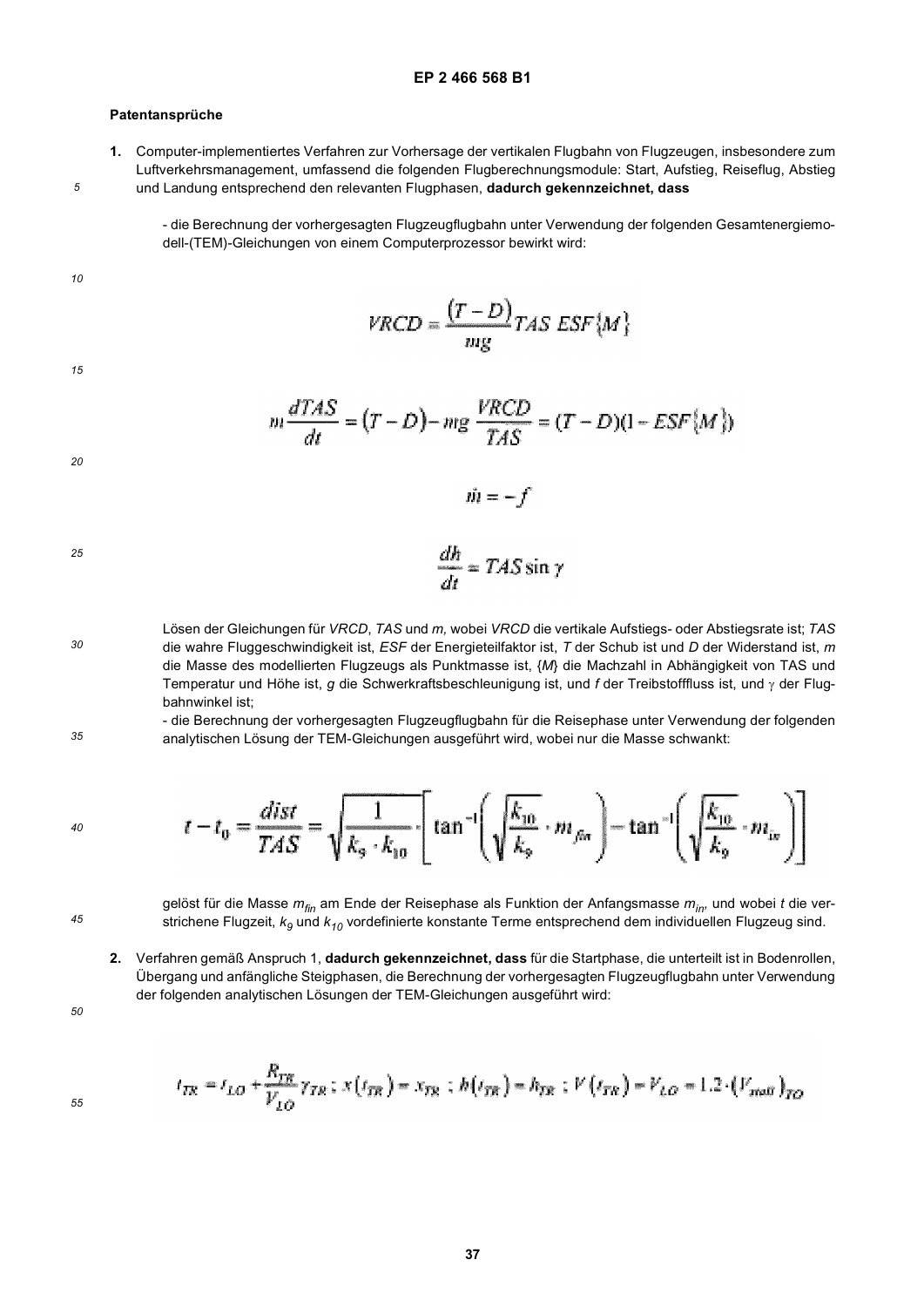### **Patentansprüche**

**1.** Computer-implementiertes Verfahren zur Vorhersage der vertikalen Flugbahn von Flugzeugen, insbesondere zum Luftverkehrsmanagement, umfassend die folgenden Flugberechnungsmodule: Start, Aufstieg, Reiseflug, Abstieg und Landung entsprechend den relevanten Flugphasen, **dadurch gekennzeichnet, dass**

- die Berechnung der vorhergesagten Flugzeugflugbahn unter Verwendung der folgenden Gesamtenergiemodell-(TEM)-Gleichungen von einem Computerprozessor bewirkt wird:

*10*

*5*

$$
VRCD = \frac{(T - D)}{mg} TAS\ ESF\{M\}
$$

*15*

$$
m\frac{dTAS}{dt} = (T - D) - mg\frac{VRCD}{TAS} = (T - D)(1 - ESF\{M\})
$$

 $\dot{m} = -f$ 

$$
f_{\rm{max}}
$$

*30*

*35*

*20*

$$
\frac{dh}{dt} = TAS \sin \gamma
$$

Lösen der Gleichungen für *VRCD*, *TAS* und *m,* wobei *VRCD* die vertikale Aufstiegs- oder Abstiegsrate ist; *TAS* die wahre Fluggeschwindigkeit ist, *ESF* der Energieteilfaktor ist, *T* der Schub ist und *D* der Widerstand ist, *m* die Masse des modellierten Flugzeugs als Punktmasse ist, {*M*} die Machzahl in Abhängigkeit von TAS und Temperatur und Höhe ist, *g* die Schwerkraftsbeschleunigung ist, und *f* der Treibstofffluss ist, und γ der Flugbahnwinkel ist;

- die Berechnung der vorhergesagten Flugzeugflugbahn für die Reisephase unter Verwendung der folgenden analytischen Lösung der TEM-Gleichungen ausgeführt wird, wobei nur die Masse schwankt:

$$
t - t_0 = \frac{dist}{TAS} = \sqrt{\frac{1}{k_9 \cdot k_{10}}} \cdot \left[ \tan^{-1} \left( \sqrt{\frac{k_{10}}{k_9}} \cdot m_{\beta\alpha} \right) - \tan^{-1} \left( \sqrt{\frac{k_{10}}{k_9}} \cdot m_{\beta\alpha} \right) \right]
$$

*45*

*40*

gelöst für die Masse *mfin* am Ende der Reisephase als Funktion der Anfangsmasse *min,* und wobei *t* die verstrichene Flugzeit,  $k<sub>9</sub>$  und  $k<sub>10</sub>$  vordefinierte konstante Terme entsprechend dem individuellen Flugzeug sind.

**2.** Verfahren gemäß Anspruch 1, **dadurch gekennzeichnet, dass** für die Startphase, die unterteilt ist in Bodenrollen, Übergang und anfängliche Steigphasen, die Berechnung der vorhergesagten Flugzeugflugbahn unter Verwendung der folgenden analytischen Lösungen der TEM-Gleichungen ausgeführt wird:

*50*

$$
t_{IR} = t_{LO} + \frac{R_{IR}}{V_{LO}} \gamma_{IR} \ ; \ x\left(t_{IR}\right) = x_{IR} \ ; \ h\left(t_{IR}\right) = h_{IR} \ ; \ V\left(t_{IR}\right) = V_{LO} = 1.2 \cdot \left(V_{mol}\right)_{IO}
$$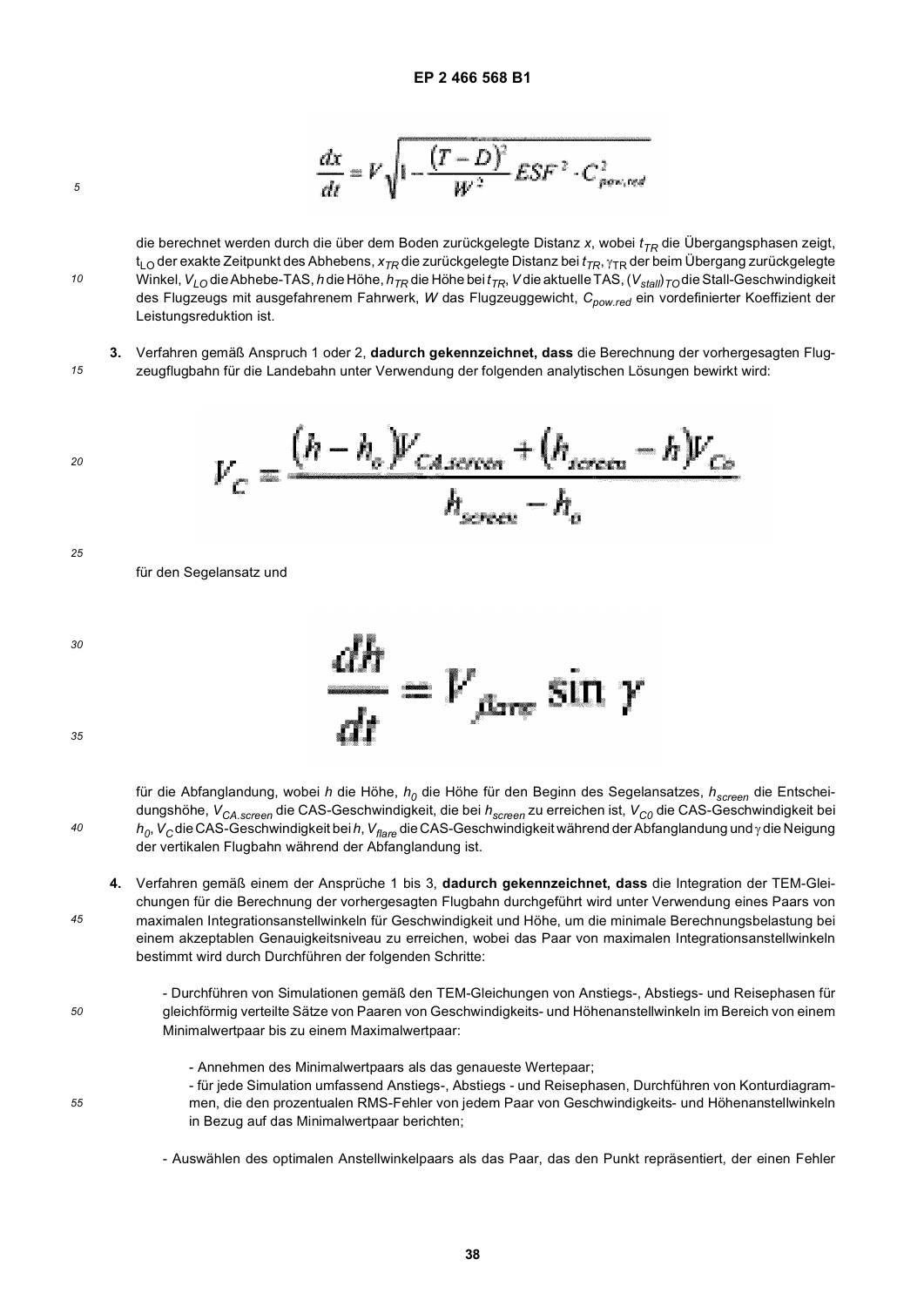$$
\frac{dx}{dt} = V \sqrt{1 - \frac{(T - D)^2}{W^2} E S F^2 \cdot C_{\text{prov,red}}^2}
$$

die berechnet werden durch die über dem Boden zurückgelegte Distanz x, wobei  $t_{TR}$  die Übergangsphasen zeigt, t<sub>LO</sub> der exakte Zeitpunkt des Abhebens, x<sub>TR</sub> die zurückgelegte Distanz bei f<sub>TR</sub>, <sub>ΎTR</sub> der beim Übergang zurückgelegte Winkel, V<sub>LO</sub> die Abhebe-TAS, *h* die Höhe, *h<sub>TR</sub>* die Höhe bei  $t_{TR}$ , V die aktuelle TAS, (V<sub>stal</sub>)<sub></sub> T<sub>O</sub> die Stall-Geschwindigkeit des Flugzeugs mit ausgefahrenem Fahrwerk, *W* das Flugzeuggewicht, C<sub>pow.red</sub> ein vordefinierter Koeffizient der Leistungsreduktion ist.

*15* **3.** Verfahren gemäß Anspruch 1 oder 2, **dadurch gekennzeichnet, dass** die Berechnung der vorhergesagten Flugzeugflugbahn für die Landebahn unter Verwendung der folgenden analytischen Lösungen bewirkt wird:

$$
V_C = \frac{(h - h_o)V_{CASereen} + (h_{screen} - h)V_{Co}}{h_{screen} - h_o}
$$

*25*

für den Segelansatz und

*40*

*45*

*50*

*55*

*20*

*5*

*10*



für die Abfanglandung, wobei *h* die Höhe,  $h_0$  die Höhe für den Beginn des Segelansatzes,  $h_{screen}$  die Entscheidungshöhe,  $V_{CA. screen}$ die CAS-Geschwindigkeit, die bei  $h_{screen}$ zu erreichen ist,  $V_{CO}$ die CAS-Geschwindigkeit bei *h0*, *VC* die CAS-Geschwindigkeit bei *h*, *Vflare* die CAS-Geschwindigkeit während der Abfanglandung und γ die Neigung der vertikalen Flugbahn während der Abfanglandung ist.

**4.** Verfahren gemäß einem der Ansprüche 1 bis 3, **dadurch gekennzeichnet, dass** die Integration der TEM-Gleichungen für die Berechnung der vorhergesagten Flugbahn durchgeführt wird unter Verwendung eines Paars von maximalen Integrationsanstellwinkeln für Geschwindigkeit und Höhe, um die minimale Berechnungsbelastung bei einem akzeptablen Genauigkeitsniveau zu erreichen, wobei das Paar von maximalen Integrationsanstellwinkeln bestimmt wird durch Durchführen der folgenden Schritte:

- Durchführen von Simulationen gemäß den TEM-Gleichungen von Anstiegs-, Abstiegs- und Reisephasen für gleichförmig verteilte Sätze von Paaren von Geschwindigkeits- und Höhenanstellwinkeln im Bereich von einem Minimalwertpaar bis zu einem Maximalwertpaar:
	- Annehmen des Minimalwertpaars als das genaueste Wertepaar;
	- für jede Simulation umfassend Anstiegs-, Abstiegs und Reisephasen, Durchführen von Konturdiagrammen, die den prozentualen RMS-Fehler von jedem Paar von Geschwindigkeits- und Höhenanstellwinkeln in Bezug auf das Minimalwertpaar berichten;

- Auswählen des optimalen Anstellwinkelpaars als das Paar, das den Punkt repräsentiert, der einen Fehler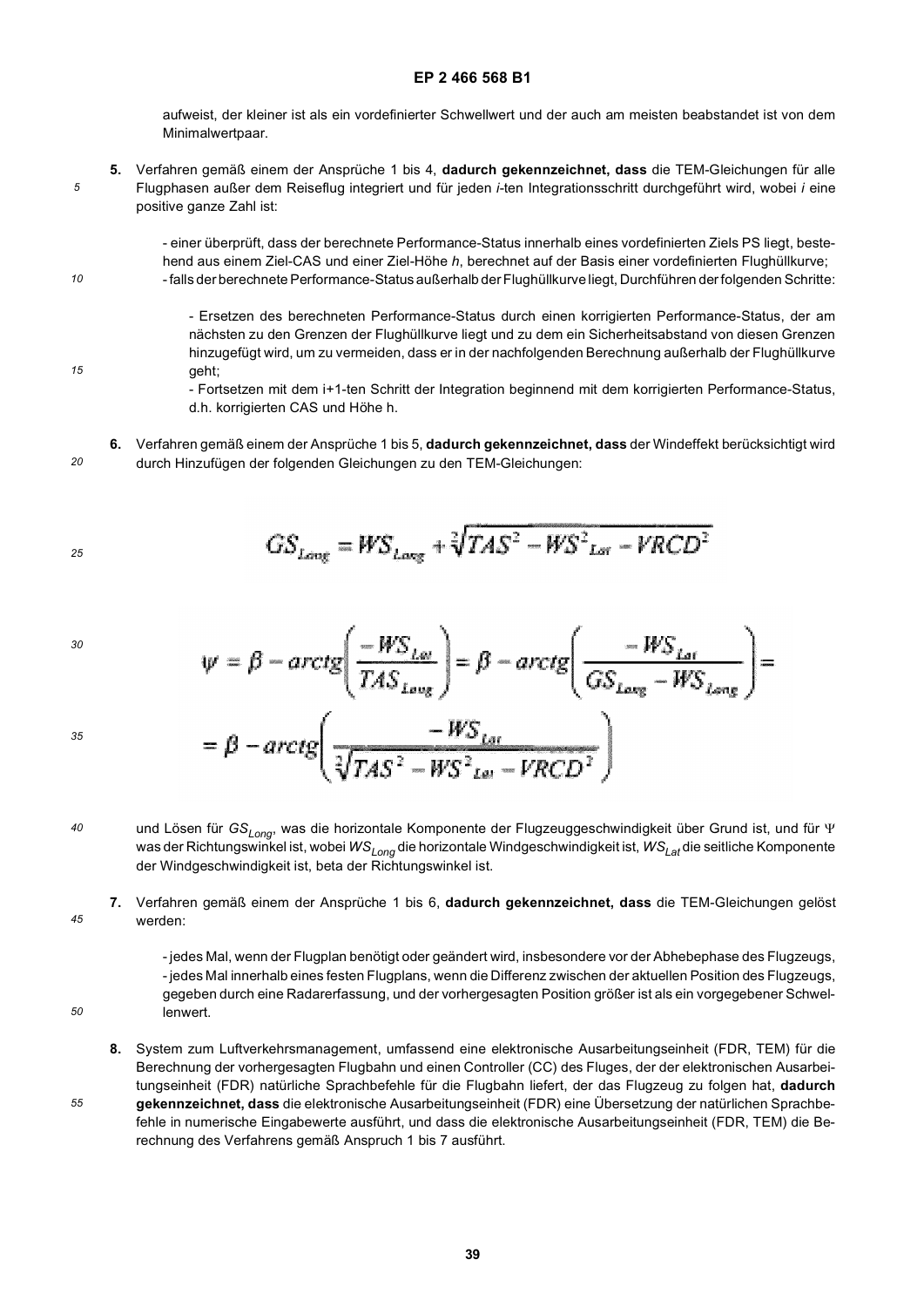aufweist, der kleiner ist als ein vordefinierter Schwellwert und der auch am meisten beabstandet ist von dem Minimalwertpaar.

*5* **5.** Verfahren gemäß einem der Ansprüche 1 bis 4, **dadurch gekennzeichnet, dass** die TEM-Gleichungen für alle Flugphasen außer dem Reiseflug integriert und für jeden *i*-ten Integrationsschritt durchgeführt wird, wobei *i* eine positive ganze Zahl ist:

> - einer überprüft, dass der berechnete Performance-Status innerhalb eines vordefinierten Ziels PS liegt, bestehend aus einem Ziel-CAS und einer Ziel-Höhe *h*, berechnet auf der Basis einer vordefinierten Flughüllkurve; - falls der berechnete Performance-Status außerhalb der Flughüllkurve liegt, Durchführen der folgenden Schritte:

- Ersetzen des berechneten Performance-Status durch einen korrigierten Performance-Status, der am nächsten zu den Grenzen der Flughüllkurve liegt und zu dem ein Sicherheitsabstand von diesen Grenzen hinzugefügt wird, um zu vermeiden, dass er in der nachfolgenden Berechnung außerhalb der Flughüllkurve geht;

- Fortsetzen mit dem i+1-ten Schritt der Integration beginnend mit dem korrigierten Performance-Status, d.h. korrigierten CAS und Höhe h.

*20* **6.** Verfahren gemäß einem der Ansprüche 1 bis 5, **dadurch gekennzeichnet, dass** der Windeffekt berücksichtigt wird durch Hinzufügen der folgenden Gleichungen zu den TEM-Gleichungen:

$$
GS_{Long} = WS_{long} + \sqrt[2]{TAS^2 - WS_{Lor}^2 - VRCD^2}
$$

$$
^{30}
$$

*35*

*10*

*15*

$$
\psi = \beta - \arctg \left( \frac{-WS_{L\omega}}{TAS_{L\omega_{g}}} \right) = \beta - \arctg \left( \frac{-WS_{L\omega}}{GS_{L\omega_{g}} - WS_{L\omega_{g}}} \right) =
$$

$$
= \beta - \arctg \left( \frac{-WS_{L\omega}}{\sqrt[3]{TAS^{2} - WS_{L\omega} - VRCD^{2}}} \right)
$$

*40* und Lösen für *GS<sub>Long</sub>*, was die horizontale Komponente der Flugzeuggeschwindigkeit über Grund ist, und für Ψ was der Richtungswinkel ist, wobei *WSLong* die horizontale Windgeschwindigkeit ist, *WSLat* die seitliche Komponente der Windgeschwindigkeit ist, beta der Richtungswinkel ist.

*45* **7.** Verfahren gemäß einem der Ansprüche 1 bis 6, **dadurch gekennzeichnet, dass** die TEM-Gleichungen gelöst werden:

> - jedes Mal, wenn der Flugplan benötigt oder geändert wird, insbesondere vor der Abhebephase des Flugzeugs, - jedes Mal innerhalb eines festen Flugplans, wenn die Differenz zwischen der aktuellen Position des Flugzeugs, gegeben durch eine Radarerfassung, und der vorhergesagten Position größer ist als ein vorgegebener Schwellenwert.

*50*

*55*

**8.** System zum Luftverkehrsmanagement, umfassend eine elektronische Ausarbeitungseinheit (FDR, TEM) für die Berechnung der vorhergesagten Flugbahn und einen Controller (CC) des Fluges, der der elektronischen Ausarbeitungseinheit (FDR) natürliche Sprachbefehle für die Flugbahn liefert, der das Flugzeug zu folgen hat, **dadurch gekennzeichnet, dass** die elektronische Ausarbeitungseinheit (FDR) eine Übersetzung der natürlichen Sprachbefehle in numerische Eingabewerte ausführt, und dass die elektronische Ausarbeitungseinheit (FDR, TEM) die Be-

rechnung des Verfahrens gemäß Anspruch 1 bis 7 ausführt.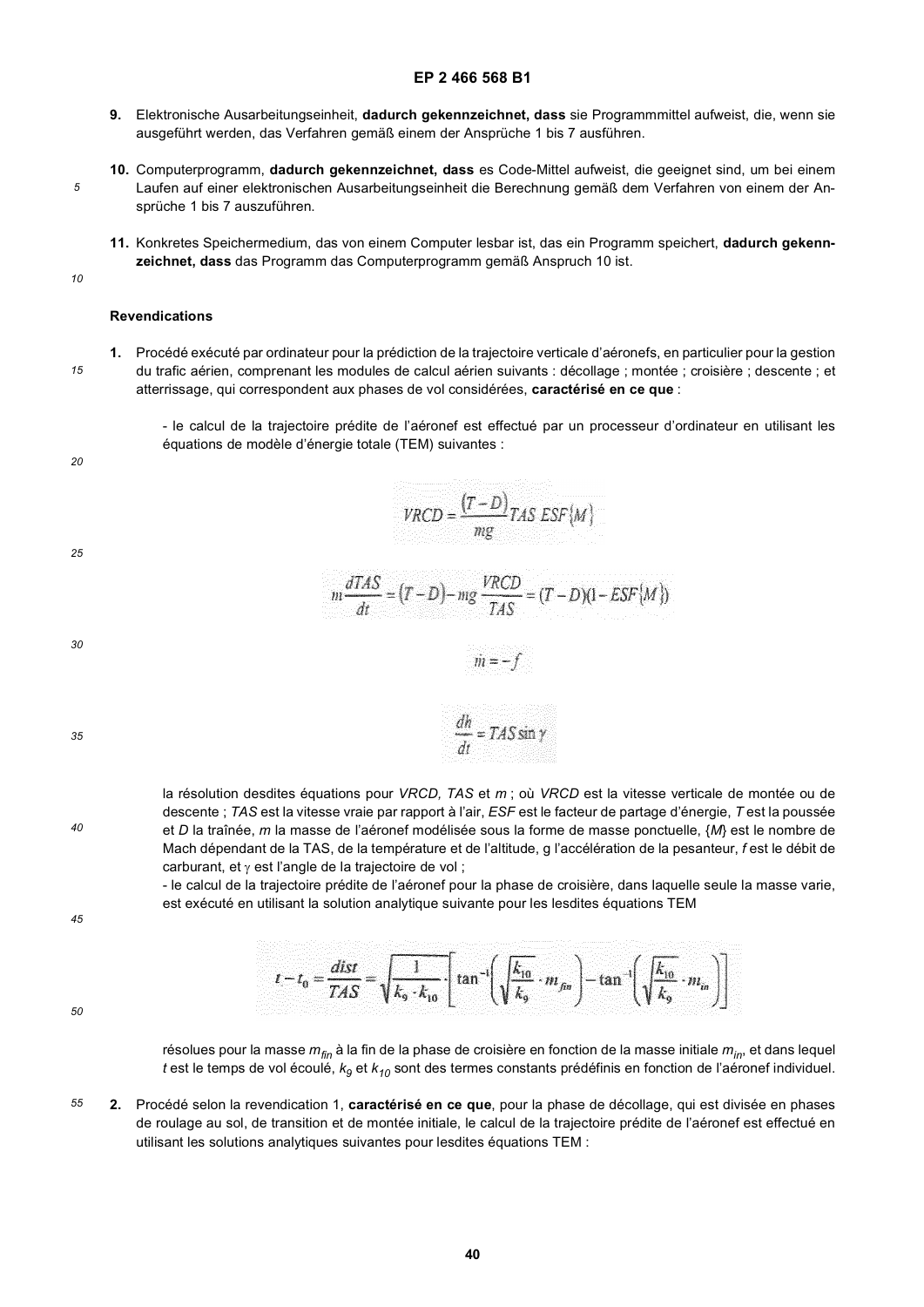- **9.** Elektronische Ausarbeitungseinheit, **dadurch gekennzeichnet, dass** sie Programmmittel aufweist, die, wenn sie ausgeführt werden, das Verfahren gemäß einem der Ansprüche 1 bis 7 ausführen.
- **10.** Computerprogramm, **dadurch gekennzeichnet, dass** es Code-Mittel aufweist, die geeignet sind, um bei einem Laufen auf einer elektronischen Ausarbeitungseinheit die Berechnung gemäß dem Verfahren von einem der Ansprüche 1 bis 7 auszuführen.
- **11.** Konkretes Speichermedium, das von einem Computer lesbar ist, das ein Programm speichert, **dadurch gekennzeichnet, dass** das Programm das Computerprogramm gemäß Anspruch 10 ist.
- *10*

*15*

*5*

### **Revendications**

**1.** Procédé exécuté par ordinateur pour la prédiction de la trajectoire verticale d'aéronefs, en particulier pour la gestion du trafic aérien, comprenant les modules de calcul aérien suivants : décollage ; montée ; croisière ; descente ; et atterrissage, qui correspondent aux phases de vol considérées, **caractérisé en ce que** :

- le calcul de la trajectoire prédite de l'aéronef est effectué par un processeur d'ordinateur en utilisant les équations de modèle d'énergie totale (TEM) suivantes :

 $VRCD = \frac{(T-D)}{mg}TAS ESF\{M\}$ 

 $m\frac{dTAS}{dt} = (T - D) - mg\frac{VRCD}{TAS} = (T - D)(1 - ESF\{M\})$ 

 $\dot{m} = -f$ 

 $\frac{dh}{dt} = TAS \sin \gamma$ 

*20*

*25*

*30*

*35*

*40*

la résolution desdites équations pour *VRCD, TAS* et *m* ; où *VRCD* est la vitesse verticale de montée ou de descente ; *TAS* est la vitesse vraie par rapport à l'air, *ESF* est le facteur de partage d'énergie, *T* est la poussée et *D* la traînée, *m* la masse de l'aéronef modélisée sous la forme de masse ponctuelle, {*M*} est le nombre de Mach dépendant de la TAS, de la température et de l'altitude, g l'accélération de la pesanteur, *f* est le débit de carburant, et γ est l'angle de la trajectoire de vol ;

- le calcul de la trajectoire prédite de l'aéronef pour la phase de croisière, dans laquelle seule la masse varie, est exécuté en utilisant la solution analytique suivante pour les lesdites équations TEM

*45*

| $t - t_0 = \frac{dist}{TAS} = \sqrt{\frac{1}{k_9 \cdot k_{10}}} \cdot \left[ \tan^{-1} \left( \sqrt{\frac{k_{10}}{k_9}} \cdot m_{\beta n} \right) - \tan^{-1} \left( \sqrt{\frac{k_{10}}{k_9}} \cdot m_{\beta n} \right) \right]$ |  |  |  |
|-----------------------------------------------------------------------------------------------------------------------------------------------------------------------------------------------------------------------------------|--|--|--|

*50*

résolues pour la masse *mfin* à la fin de la phase de croisière en fonction de la masse initiale *min*, et dans lequel *t* est le temps de vol écoulé, *k9* et *k10* sont des termes constants prédéfinis en fonction de l'aéronef individuel.

*55* **2.** Procédé selon la revendication 1, **caractérisé en ce que**, pour la phase de décollage, qui est divisée en phases de roulage au sol, de transition et de montée initiale, le calcul de la trajectoire prédite de l'aéronef est effectué en utilisant les solutions analytiques suivantes pour lesdites équations TEM :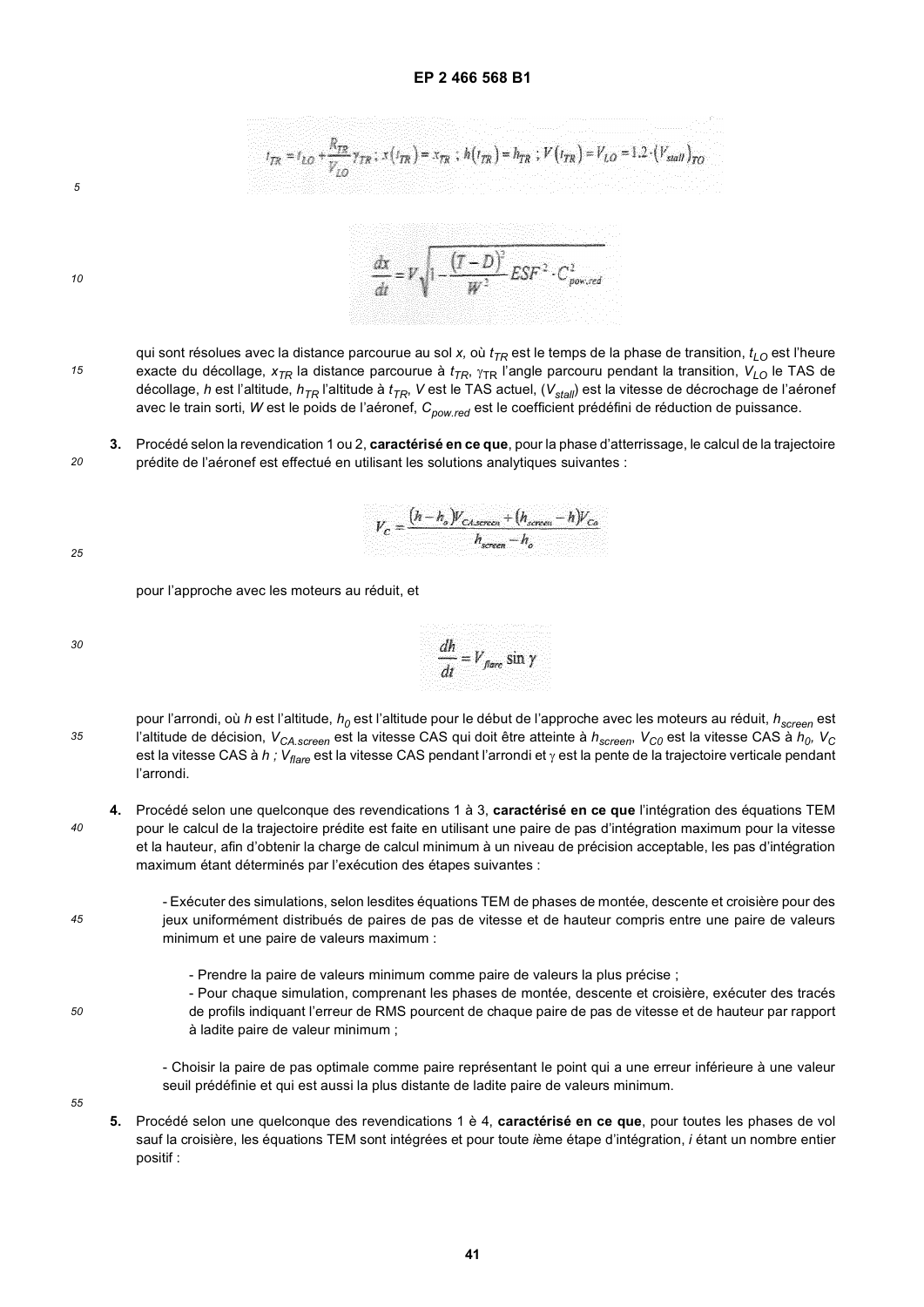$t_{TR} = t_{LO} + \frac{R_{TR}}{V} \gamma_{TR}$ ;  $x(t_{TR}) = x_{TR}$ ;  $h(t_{TR}) = h_{TR}$ ;  $V(t_{TR}) = V_{LO} = 1.2 \cdot (V_{wall})_{TO}$ 

*5*

*10*

*15*

*20*

$$
\frac{dx}{dt} = V \sqrt{1 - \frac{(T - D)^2}{W^2} E S F^2 \cdot C_{powered}^2}
$$

qui sont résolues avec la distance parcourue au sol *x,* où  $t_{\mathcal{T}R}$  est le temps de la phase de transition,  $t_{LO}$  est l'heure exacte du décollage, x<sub>7R</sub> la distance parcourue à t<sub>7R</sub>, <sub>YTR</sub> l'angle parcouru pendant la transition, V<sub>LO</sub> le TAS de décollage, *h* est l'altitude, *h<sub>TR</sub>* l'altitude à  $t_{\mathsf{TR}}$ , V est le TAS actuel, (V<sub>stall</sub>) est la vitesse de décrochage de l'aéronef avec le train sorti, *W* est le poids de l'aéronef, C<sub>pow.red</sub> est le coefficient prédéfini de réduction de puissance.

**3.** Procédé selon la revendication 1 ou 2, **caractérisé en ce que**, pour la phase d'atterrissage, le calcul de la trajectoire prédite de l'aéronef est effectué en utilisant les solutions analytiques suivantes :

$$
V_C = \frac{(h-h_o)V_{CAscrec} + (h_{screen} - h)V_{Co}}{h_{screen} - h_o}
$$

*25*

pour l'approche avec les moteurs au réduit, et

| 30 | $dh$ $\ldots$                                                  |
|----|----------------------------------------------------------------|
|    | a material                                                     |
|    | $V = V_{\text{flare}} \sin \gamma$<br><b>Controlled States</b> |
|    | <b>Kalendario</b>                                              |
|    |                                                                |
|    | $\frac{d}{dt}$<br>the engine.<br>the common to the first       |

*35* pour l'arrondi, où *h* est l'altitude,  $h_0$  est l'altitude pour le début de l'approche avec les moteurs au réduit,  $h_{screen}$ est l'altitude de décision,  $V_{CA. screen}$  est la vitesse CAS qui doit être atteinte à  $h_{screen}$ ,  $V_{CO}$  est la vitesse CAS à  $h_0$ ,  $V_C$ est la vitesse CAS à *h ; Vflare* est la vitesse CAS pendant l'arrondi et γ est la pente de la trajectoire verticale pendant l'arrondi.

*40* **4.** Procédé selon une quelconque des revendications 1 à 3, **caractérisé en ce que** l'intégration des équations TEM pour le calcul de la trajectoire prédite est faite en utilisant une paire de pas d'intégration maximum pour la vitesse et la hauteur, afin d'obtenir la charge de calcul minimum à un niveau de précision acceptable, les pas d'intégration maximum étant déterminés par l'exécution des étapes suivantes :

*45*

- Exécuter des simulations, selon lesdites équations TEM de phases de montée, descente et croisière pour des jeux uniformément distribués de paires de pas de vitesse et de hauteur compris entre une paire de valeurs minimum et une paire de valeurs maximum :

- Prendre la paire de valeurs minimum comme paire de valeurs la plus précise ;
- Pour chaque simulation, comprenant les phases de montée, descente et croisière, exécuter des tracés de profils indiquant l'erreur de RMS pourcent de chaque paire de pas de vitesse et de hauteur par rapport à ladite paire de valeur minimum ;

*55*

- Choisir la paire de pas optimale comme paire représentant le point qui a une erreur inférieure à une valeur seuil prédéfinie et qui est aussi la plus distante de ladite paire de valeurs minimum.
- **5.** Procédé selon une quelconque des revendications 1 è 4, **caractérisé en ce que**, pour toutes les phases de vol sauf la croisière, les équations TEM sont intégrées et pour toute *i*ème étape d'intégration, *i* étant un nombre entier positif :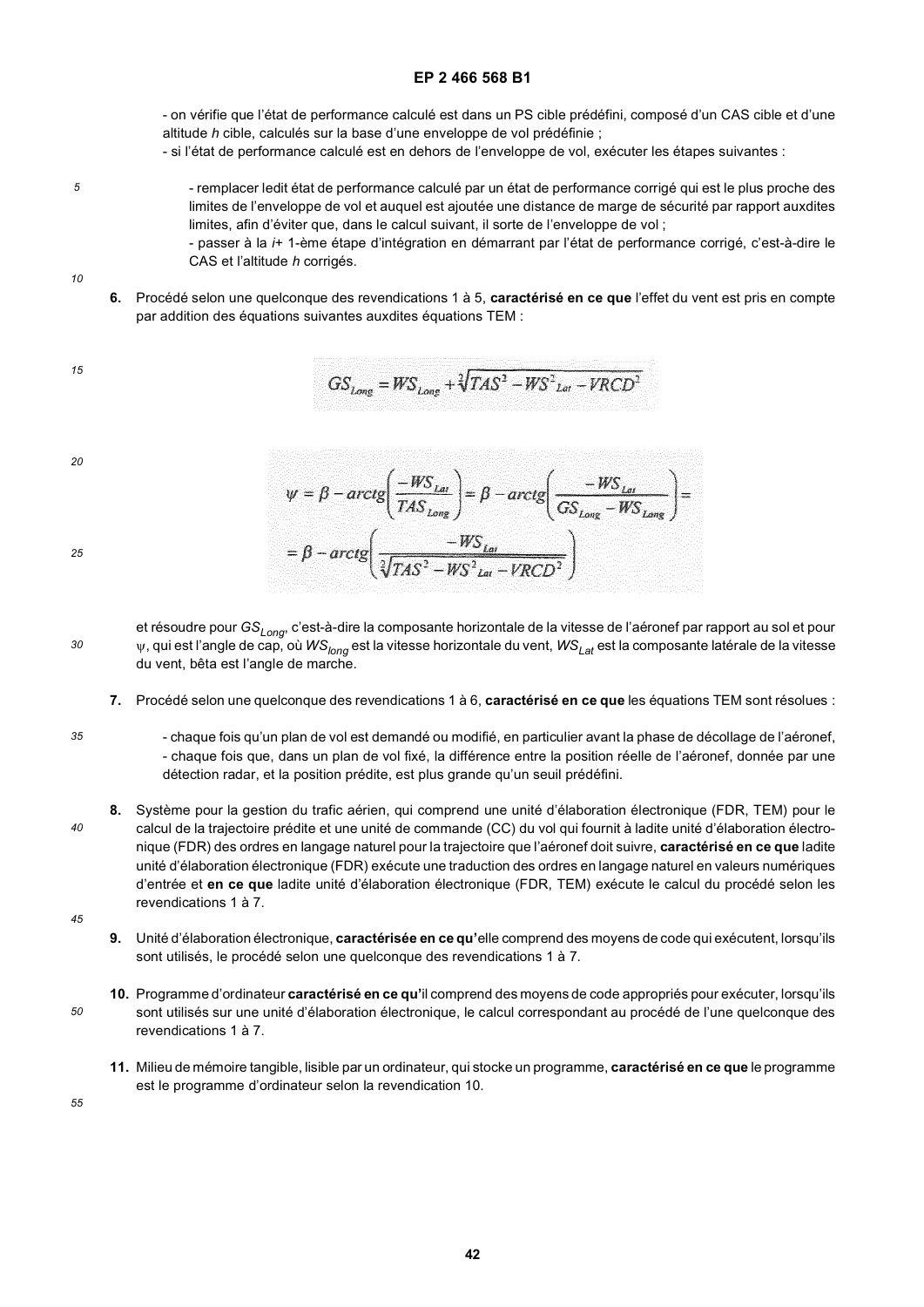- on vérifie que l'état de performance calculé est dans un PS cible prédéfini, composé d'un CAS cible et d'une altitude *h* cible, calculés sur la base d'une enveloppe de vol prédéfinie ;

- si l'état de performance calculé est en dehors de l'enveloppe de vol, exécuter les étapes suivantes :

- remplacer ledit état de performance calculé par un état de performance corrigé qui est le plus proche des limites de l'enveloppe de vol et auquel est ajoutée une distance de marge de sécurité par rapport auxdites limites, afin d'éviter que, dans le calcul suivant, il sorte de l'enveloppe de vol ;

- passer à la *i*+ 1-ème étape d'intégration en démarrant par l'état de performance corrigé, c'est-à-dire le CAS et l'altitude *h* corrigés.

**6.** Procédé selon une quelconque des revendications 1 à 5, **caractérisé en ce que** l'effet du vent est pris en compte par addition des équations suivantes auxdites équations TEM :

ġ

$$
GS_{Long} = WS_{Long} + \sqrt[2]{TAS^2 - WS^2_{lat} - VRCD^2}
$$

*20*

*5*

*10*

*15*

*25*

| $\psi = \beta - \arctg \left( \frac{-w_{\Delta}}{IAS_{Long}} \right) = \beta - \arctg \left( \frac{-w_{\Delta}}{GS_{long}} - \frac{w_{\Delta}}{WS_{long}} \right) =$ |  |
|----------------------------------------------------------------------------------------------------------------------------------------------------------------------|--|
|                                                                                                                                                                      |  |
|                                                                                                                                                                      |  |
| $= \beta - \arctg\left(\frac{-WS_{Lot}}{\sqrt[3]{TAS^2 - WS_{Lot}^2 - VRCD^2}}\right)$                                                                               |  |
|                                                                                                                                                                      |  |

V.

et résoudre pour *GSLong*, c'est-à-dire la composante horizontale de la vitesse de l'aéronef par rapport au sol et pour ψ, qui est l'angle de cap, où *WSlong* est la vitesse horizontale du vent, *WSLat* est la composante latérale de la vitesse du vent, bêta est l'angle de marche.

 $\Delta$ 

 $\frac{1}{2}$ 

**7.** Procédé selon une quelconque des revendications 1 à 6, **caractérisé en ce que** les équations TEM sont résolues :

*35*

*30*

- chaque fois qu'un plan de vol est demandé ou modifié, en particulier avant la phase de décollage de l'aéronef, - chaque fois que, dans un plan de vol fixé, la différence entre la position réelle de l'aéronef, donnée par une détection radar, et la position prédite, est plus grande qu'un seuil prédéfini.
- *40* **8.** Système pour la gestion du trafic aérien, qui comprend une unité d'élaboration électronique (FDR, TEM) pour le calcul de la trajectoire prédite et une unité de commande (CC) du vol qui fournit à ladite unité d'élaboration électronique (FDR) des ordres en langage naturel pour la trajectoire que l'aéronef doit suivre, **caractérisé en ce que** ladite unité d'élaboration électronique (FDR) exécute une traduction des ordres en langage naturel en valeurs numériques d'entrée et **en ce que** ladite unité d'élaboration électronique (FDR, TEM) exécute le calcul du procédé selon les revendications 1 à 7.
- *45*

*50*

- **9.** Unité d'élaboration électronique, **caractérisée en ce qu'**elle comprend des moyens de code qui exécutent, lorsqu'ils sont utilisés, le procédé selon une quelconque des revendications 1 à 7.
- **10.** Programme d'ordinateur **caractérisé en ce qu'**il comprend des moyens de code appropriés pour exécuter, lorsqu'ils sont utilisés sur une unité d'élaboration électronique, le calcul correspondant au procédé de l'une quelconque des revendications 1 à 7.
	- **11.** Milieu de mémoire tangible, lisible par un ordinateur, qui stocke un programme, **caractérisé en ce que** le programme est le programme d'ordinateur selon la revendication 10.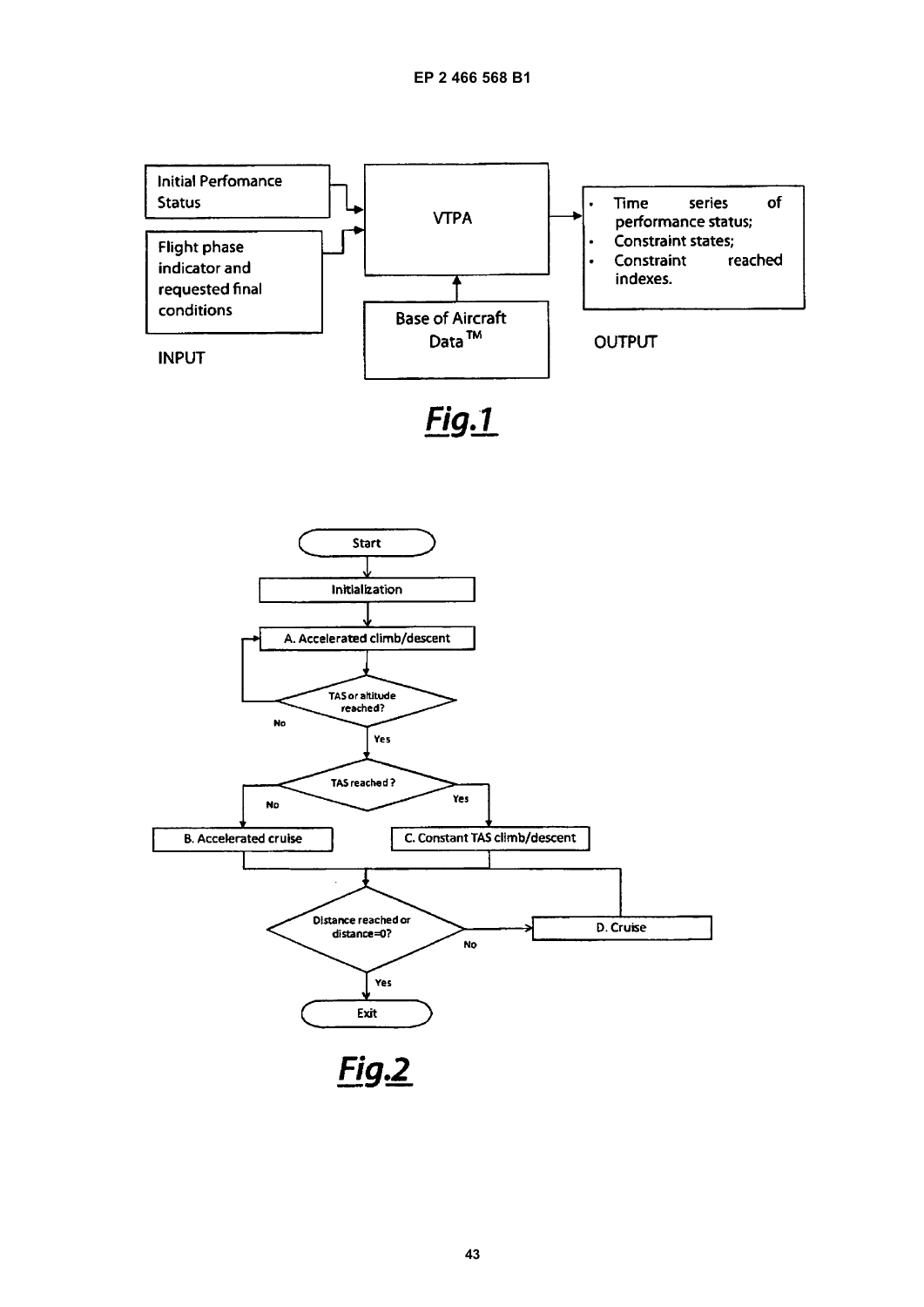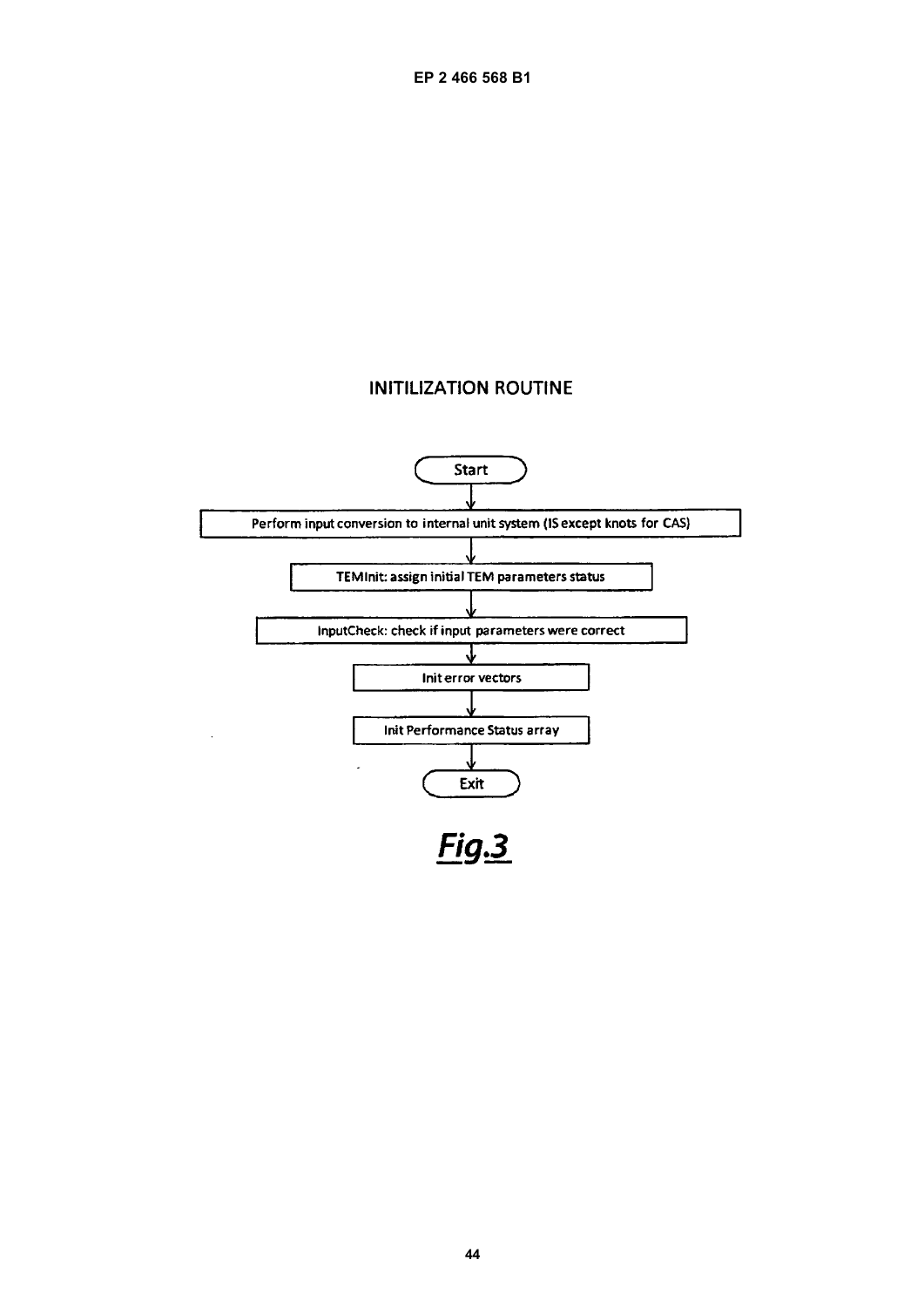# **INITILIZATION ROUTINE**

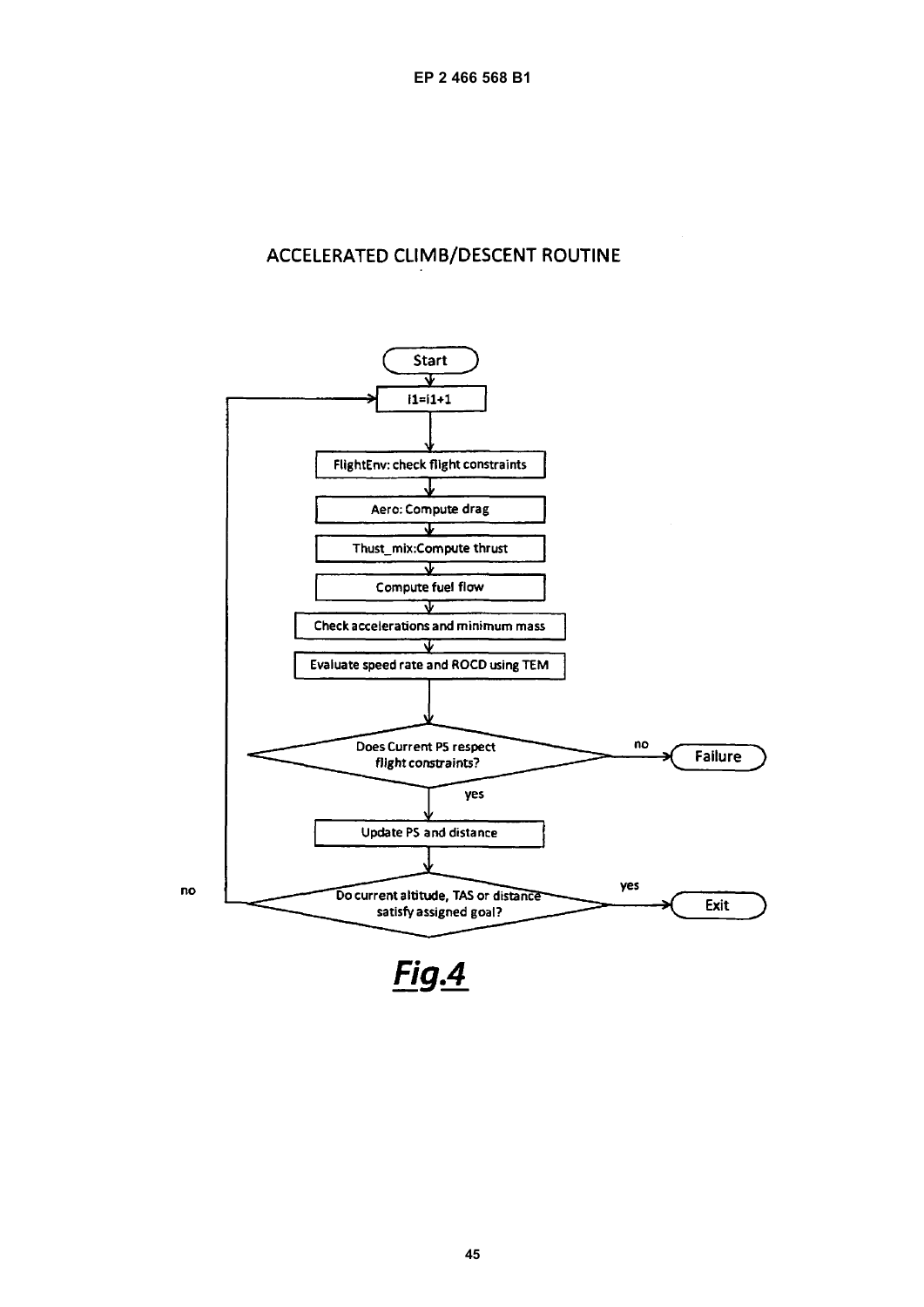# ACCELERATED CLIMB/DESCENT ROUTINE

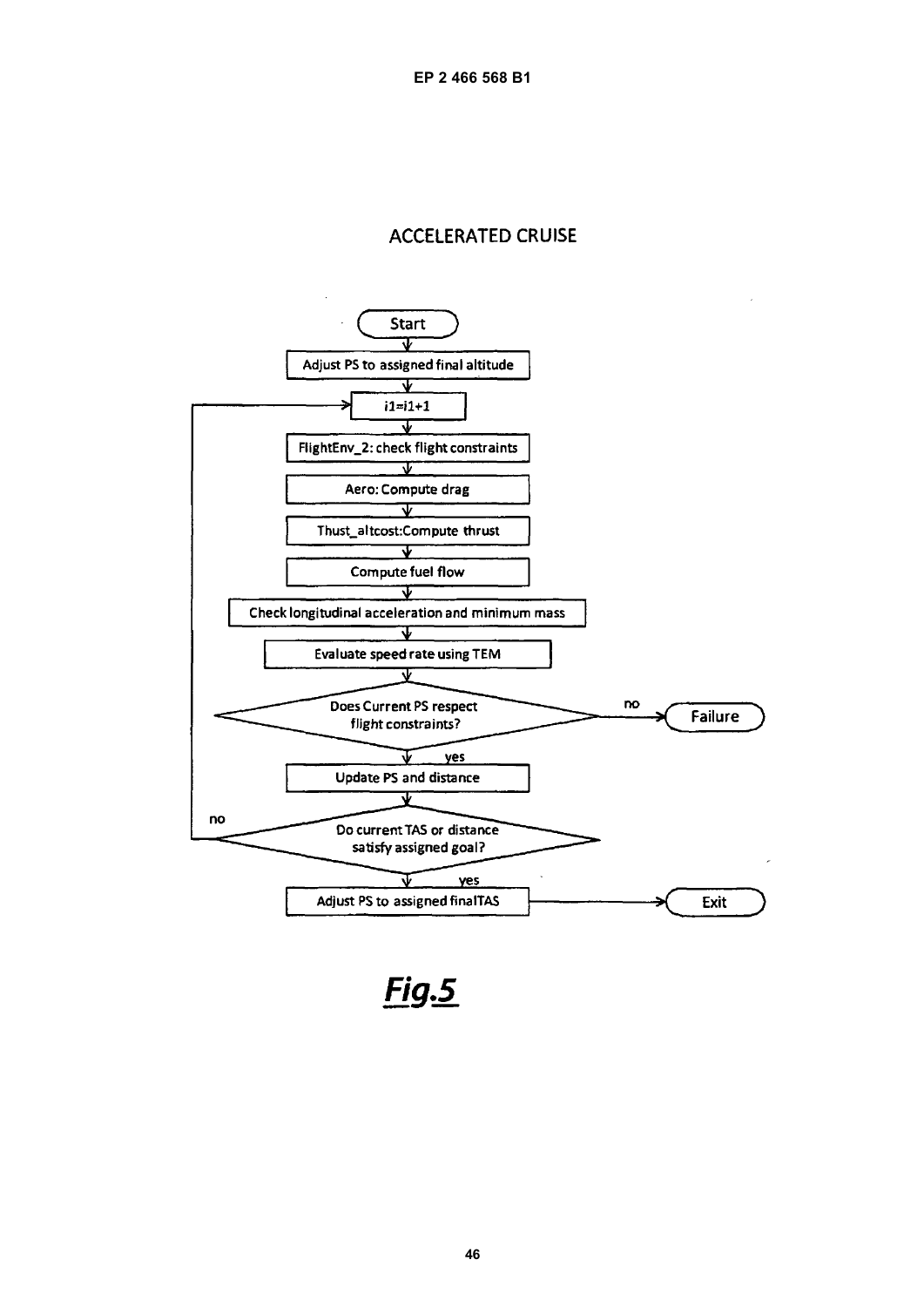# **ACCELERATED CRUISE**



**Fig.5**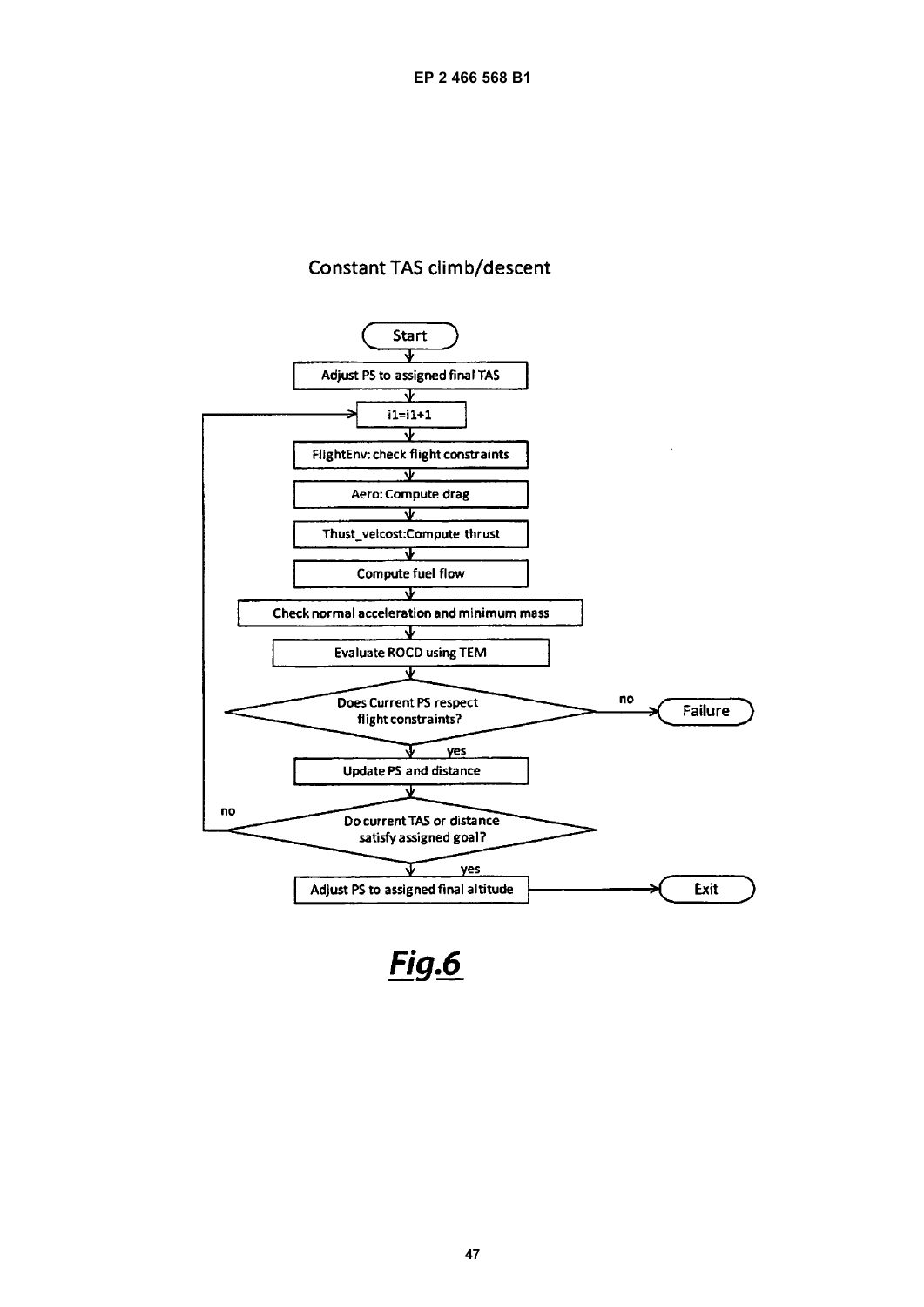# **Constant TAS climb/descent**

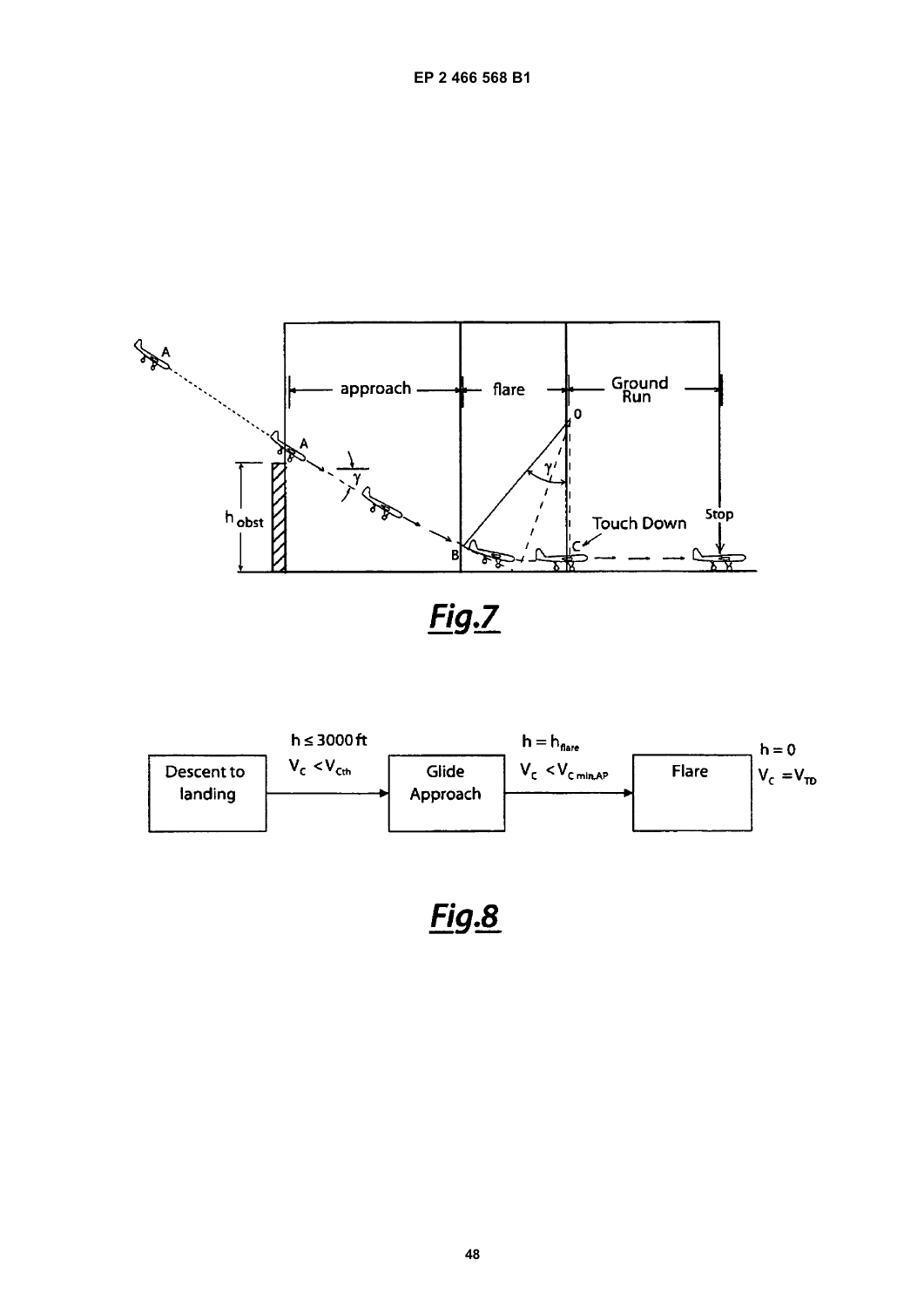

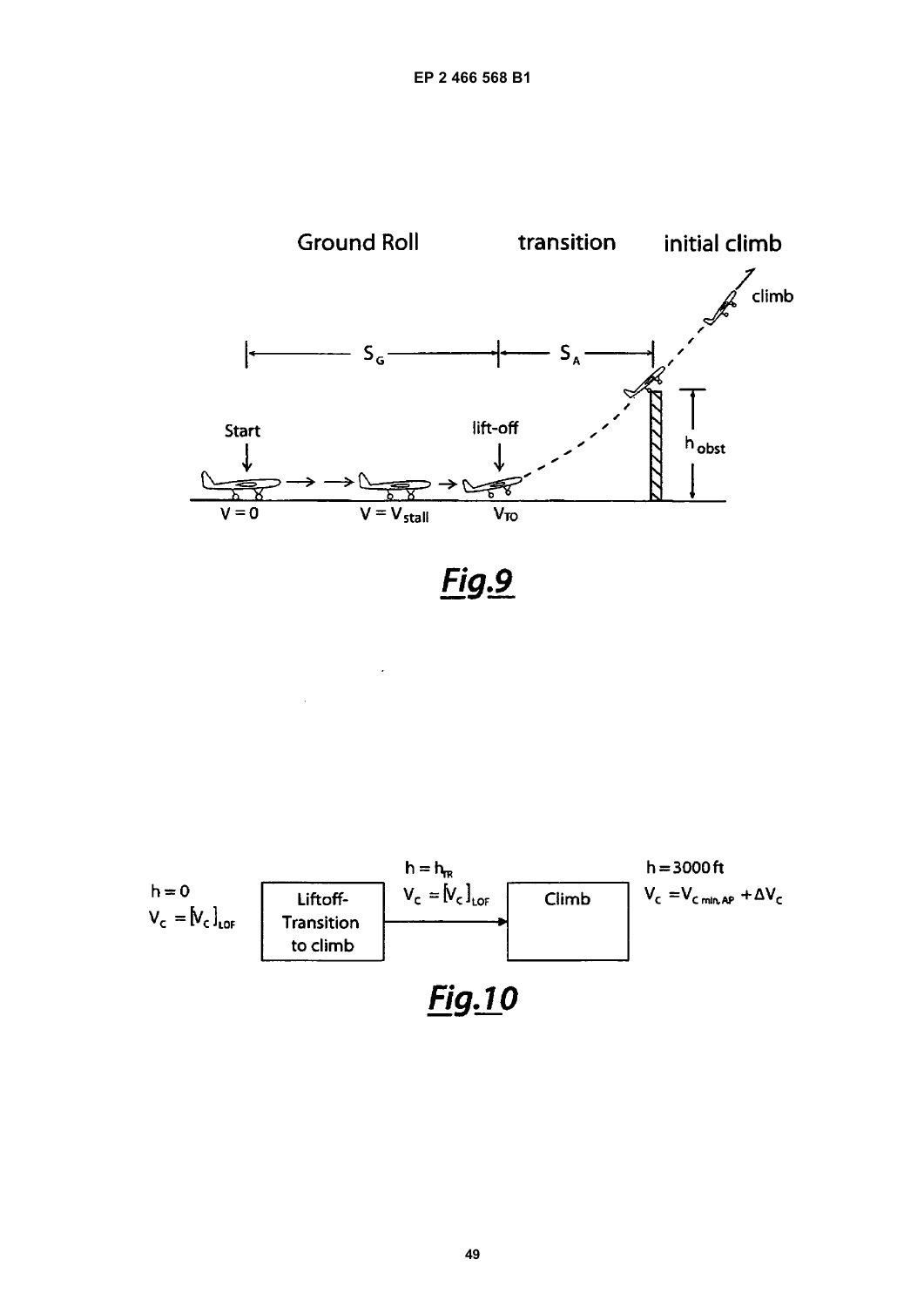

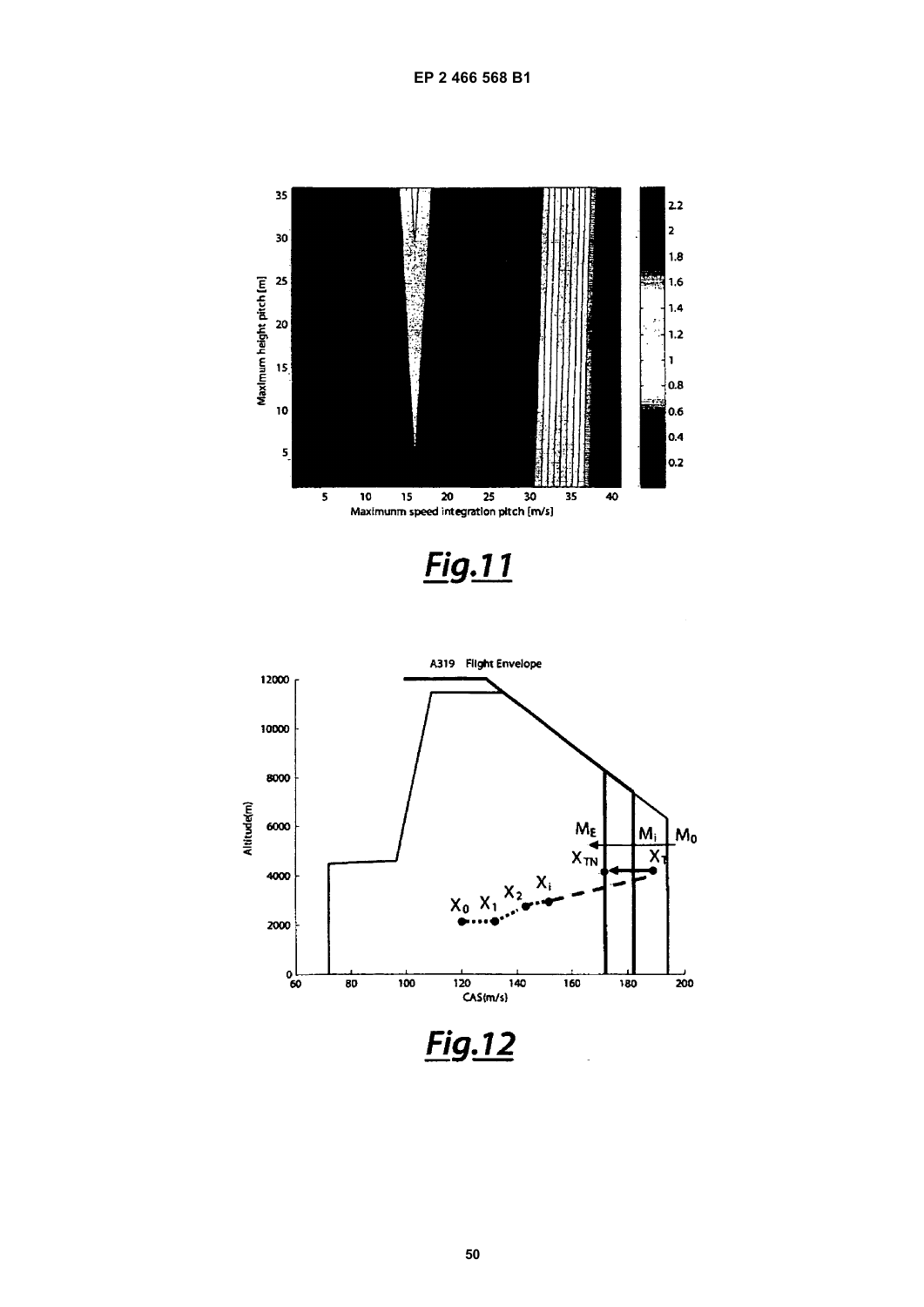

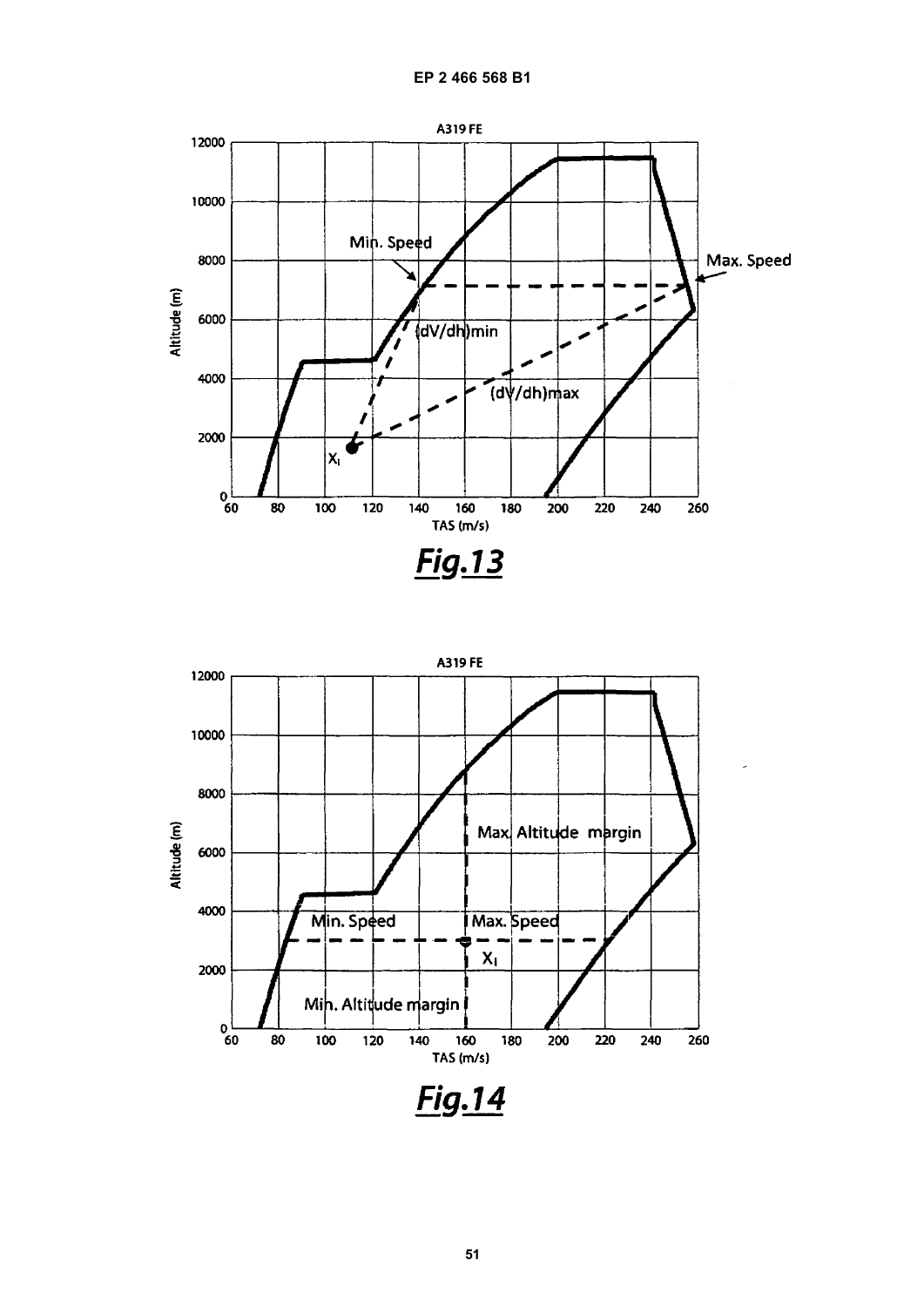

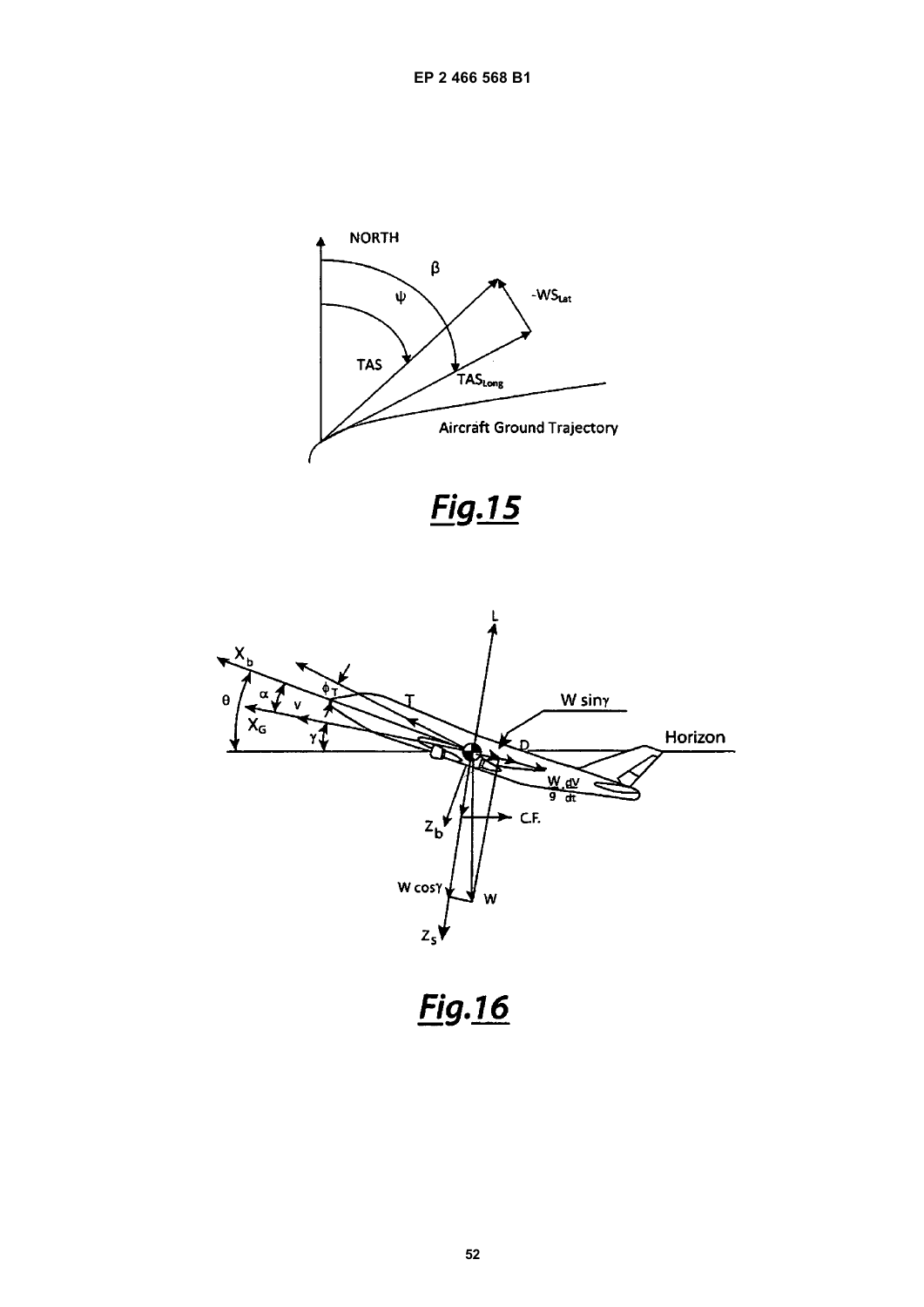



<u>Fig.16</u>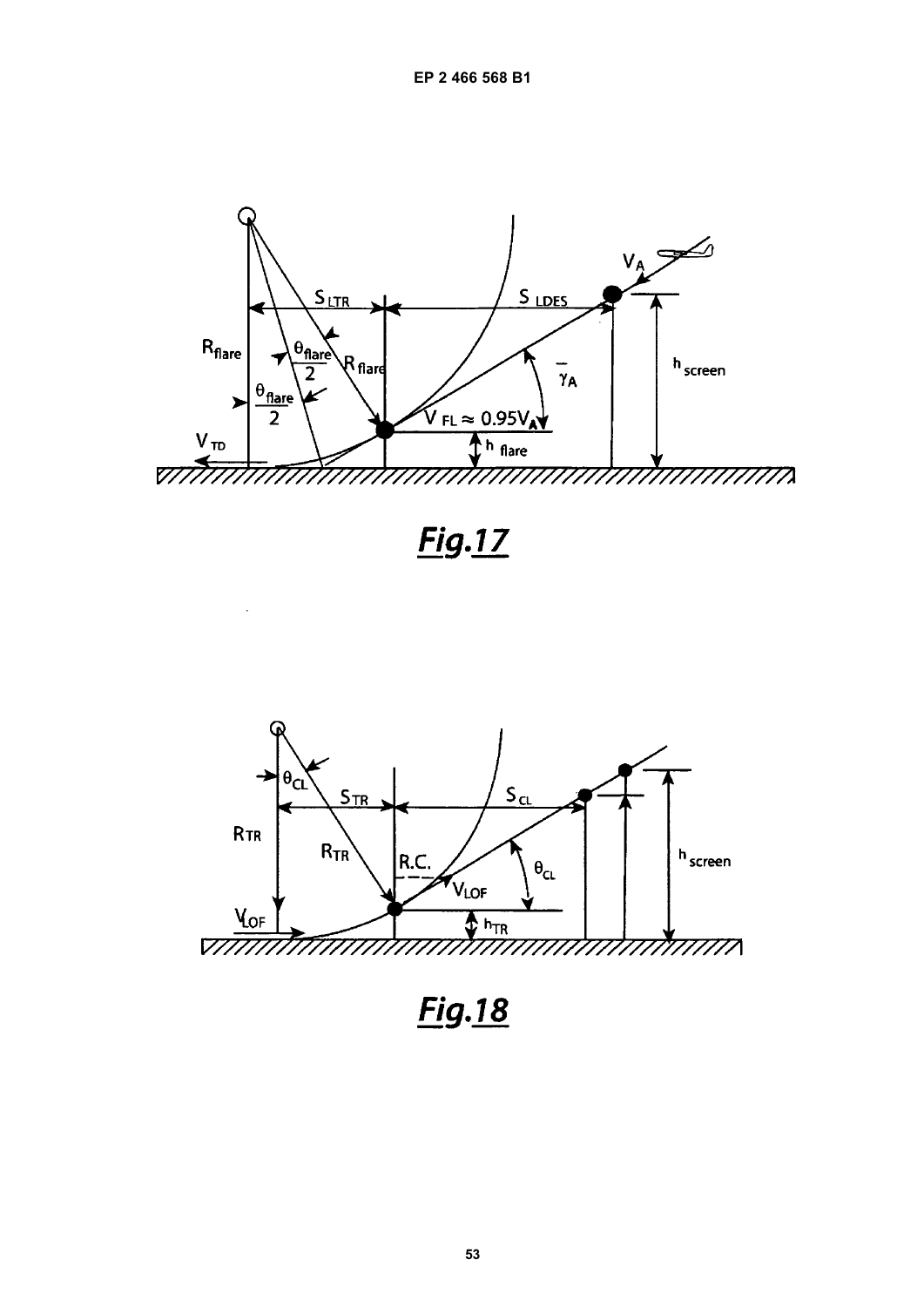



<u>Fig.18</u>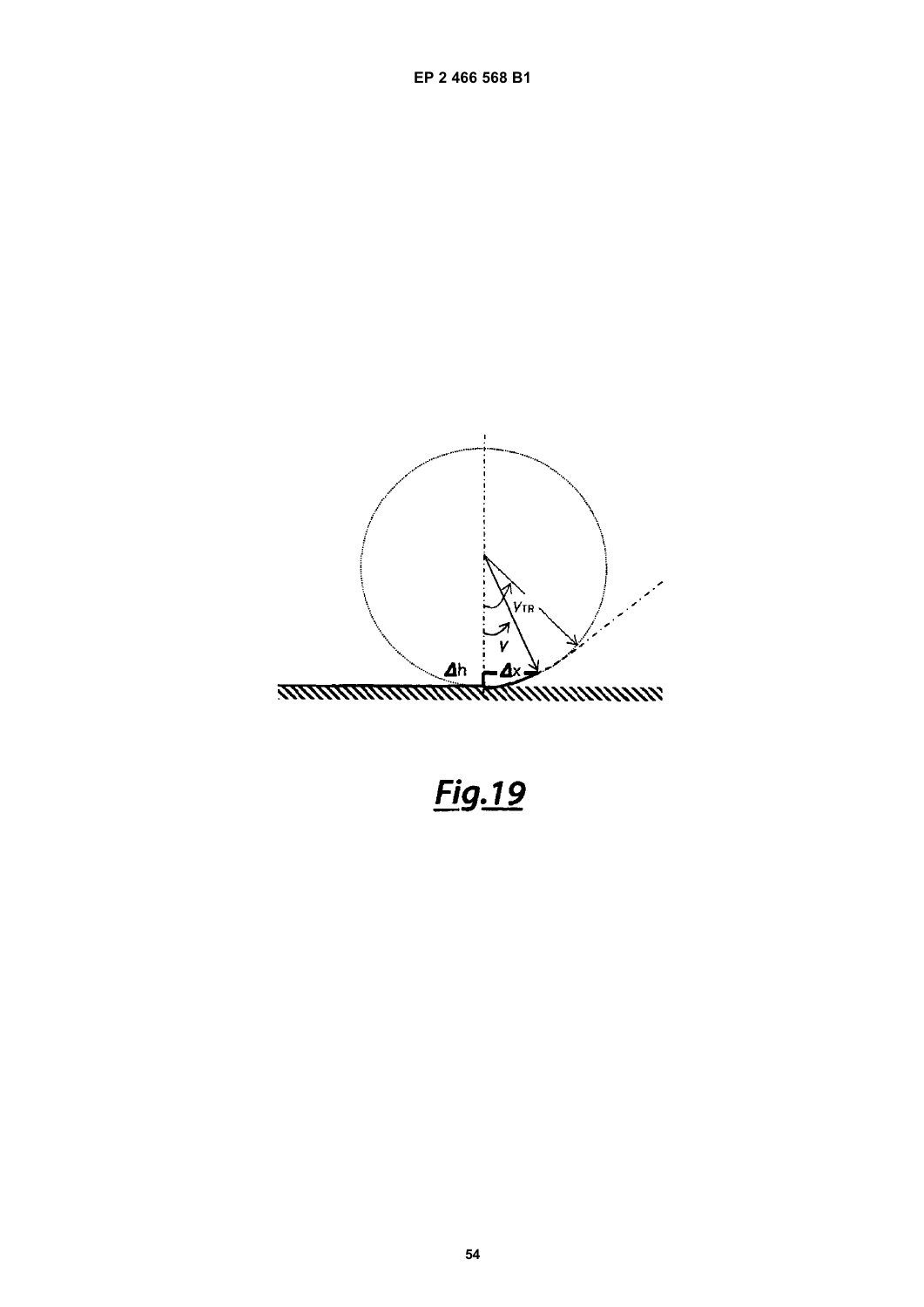

Fig.19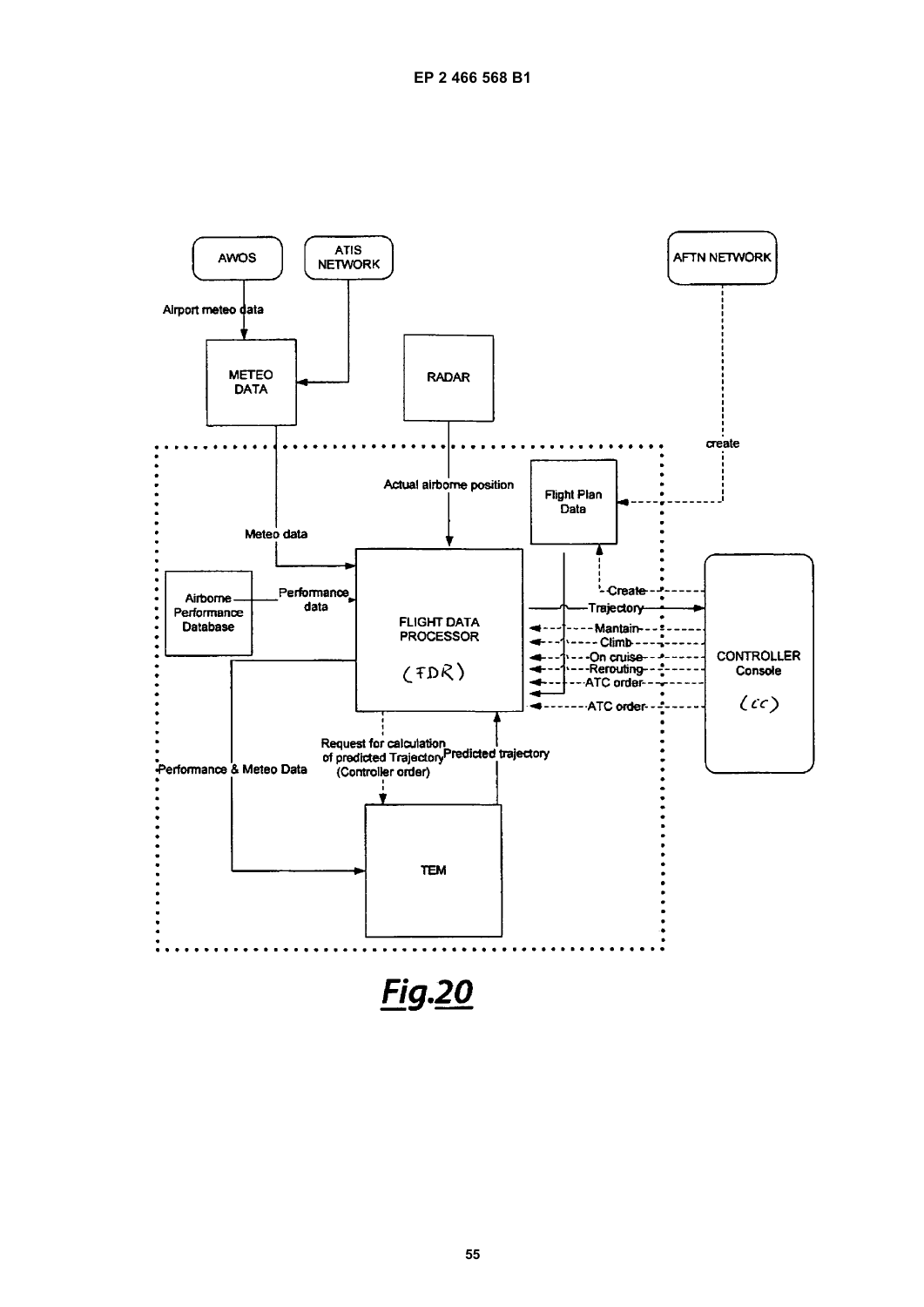